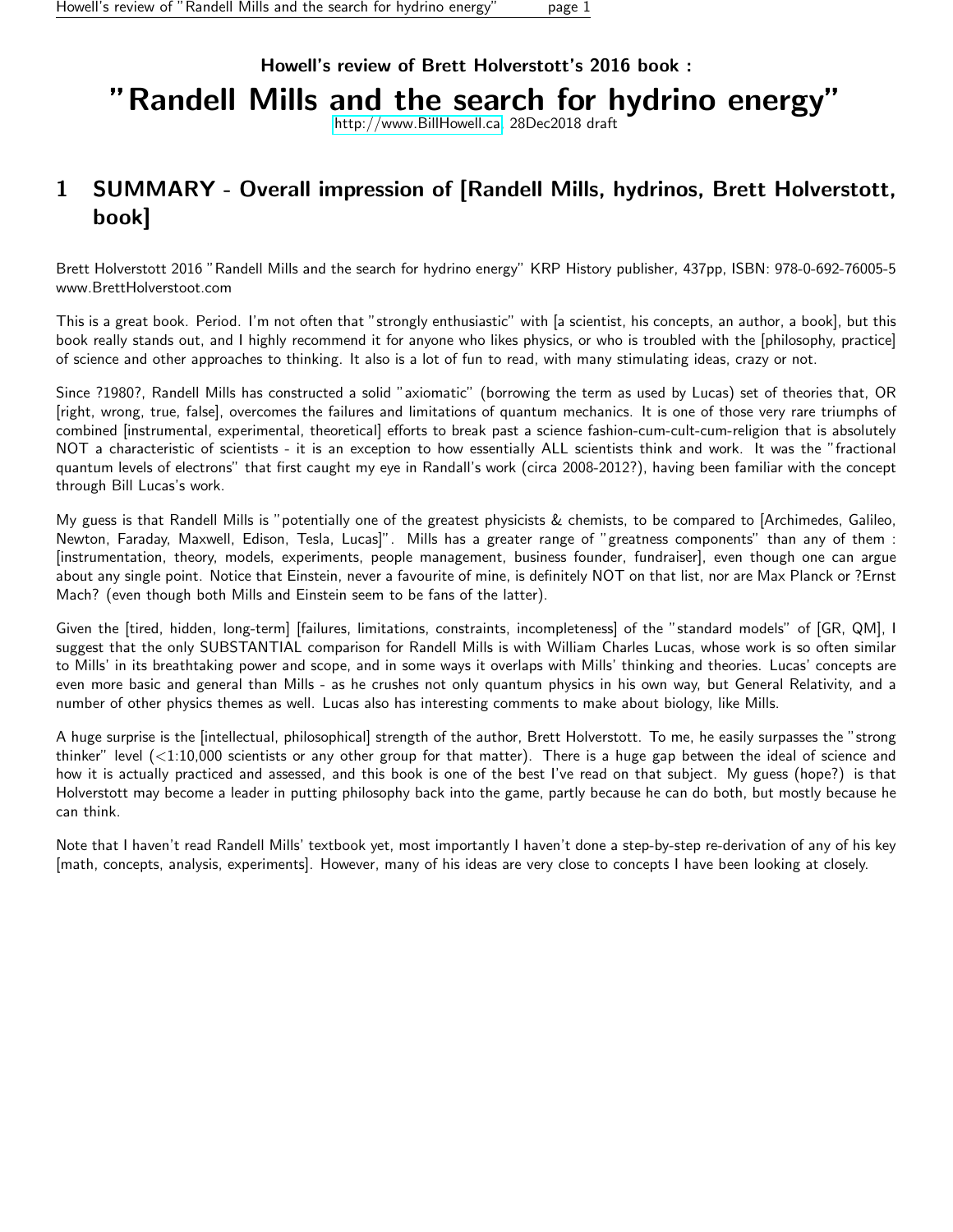## Howell's review of Brett Holverstott's 2016 book : "Randell Mills and the search for hydrino energy"

[http://www.BillHowell.ca,](http://www.BillHowell.ca) 28Dec2018 draft

## <span id="page-0-0"></span>1 SUMMARY - Overall impression of [Randell Mills, hydrinos, Brett Holverstott, book]

Brett Holverstott 2016 "Randell Mills and the search for hydrino energy" KRP History publisher, 437pp, ISBN: 978-0-692-76005-5 www.BrettHolverstoot.com

This is a great book. Period. I'm not often that "strongly enthusiastic" with [a scientist, his concepts, an author, a book], but this book really stands out, and I highly recommend it for anyone who likes physics, or who is troubled with the [philosophy, practice] of science and other approaches to thinking. It also is a lot of fun to read, with many stimulating ideas, crazy or not.

Since ?1980?, Randell Mills has constructed a solid "axiomatic" (borrowing the term as used by Lucas) set of theories that, OR [right, wrong, true, false], overcomes the failures and limitations of quantum mechanics. It is one of those very rare triumphs of combined [instrumental, experimental, theoretical] efforts to break past a science fashion-cum-cult-cum-religion that is absolutely NOT a characteristic of scientists - it is an exception to how essentially ALL scientists think and work. It was the "fractional quantum levels of electrons" that first caught my eye in Randall's work (circa 2008-2012?), having been familiar with the concept through Bill Lucas's work.

My guess is that Randell Mills is "potentially one of the greatest physicists & chemists, to be compared to [Archimedes, Galileo, Newton, Faraday, Maxwell, Edison, Tesla, Lucas]". Mills has a greater range of "greatness components" than any of them : [instrumentation, theory, models, experiments, people management, business founder, fundraiser], even though one can argue about any single point. Notice that Einstein, never a favourite of mine, is definitely NOT on that list, nor are Max Planck or ?Ernst Mach? (even though both Mills and Einstein seem to be fans of the latter).

Given the [tired, hidden, long-term] [failures, limitations, constraints, incompleteness] of the "standard models" of [GR, QM], I suggest that the only SUBSTANTIAL comparison for Randell Mills is with William Charles Lucas, whose work is so often similar to Mills' in its breathtaking power and scope, and in some ways it overlaps with Mills' thinking and theories. Lucas' concepts are even more basic and general than Mills - as he crushes not only quantum physics in his own way, but General Relativity, and a number of other physics themes as well. Lucas also has interesting comments to make about biology, like Mills.

A huge surprise is the [intellectual, philosophical] strength of the author, Brett Holverstott. To me, he easily surpasses the "strong thinker" level (<1:10,000 scientists or any other group for that matter). There is a huge gap between the ideal of science and how it is actually practiced and assessed, and this book is one of the best I've read on that subject. My guess (hope?) is that Holverstott may become a leader in putting philosophy back into the game, partly because he can do both, but mostly because he can think.

Note that I haven't read Randell Mills' textbook yet, most importantly I haven't done a step-by-step re-derivation of any of his key [math, concepts, analysis, experiments]. However, many of his ideas are very close to concepts I have been looking at closely.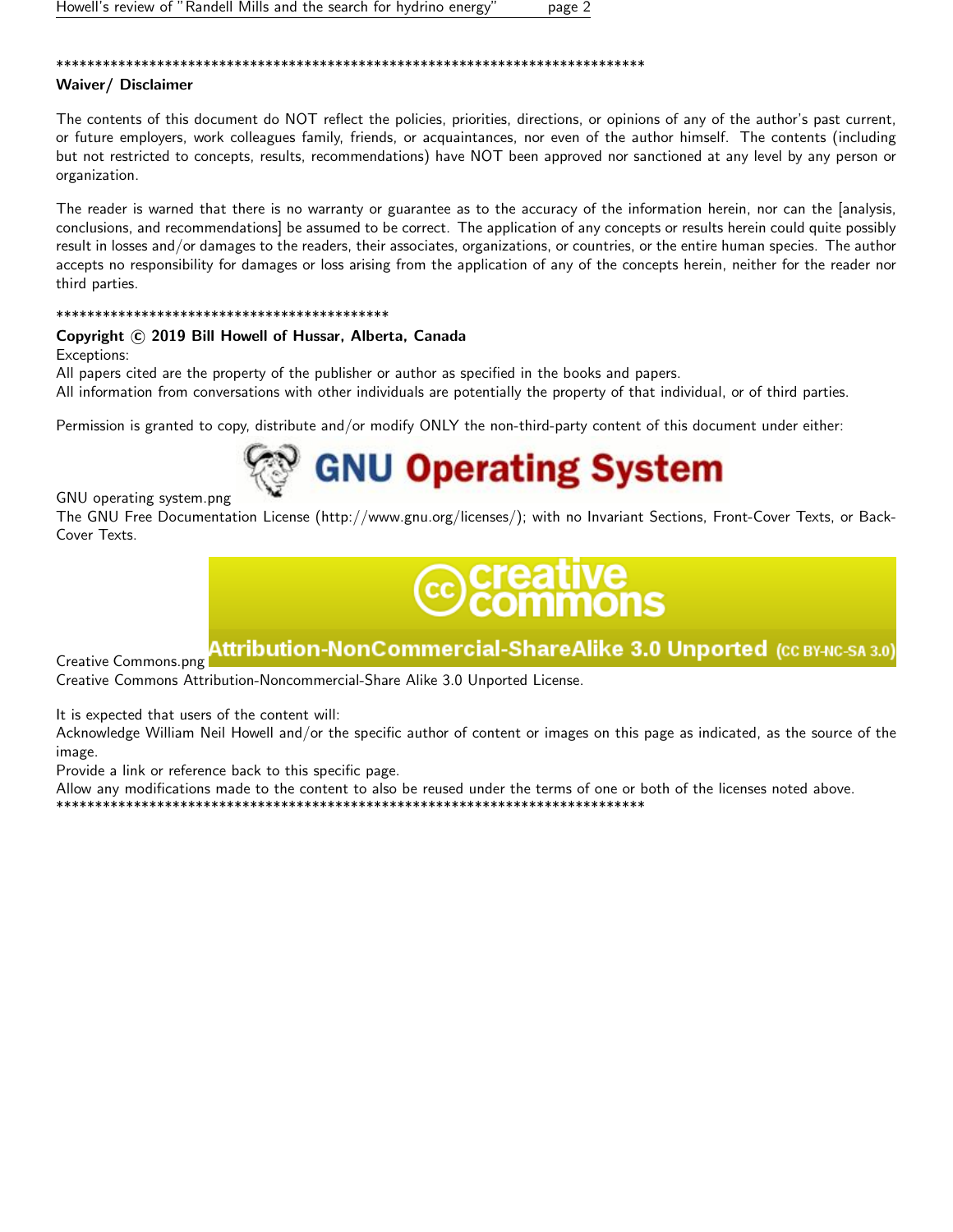#### \*\*\*\*\*\*\*\*\*\*\*\*\*\*\*\*\*\*\*\*\*\*\*\*\*\*\*\*\*\*\*\*\*\*\*\*\*\*\*\*\*\*\*\*\*\*\*\*\*\*\*\*\*\*\*\*\*\*\*\*\*\*\*\*\*\*\*\*\*\*\*\*\*\*\*\*

#### Waiver/ Disclaimer

The contents of this document do NOT reflect the policies, priorities, directions, or opinions of any of the author's past current, or future employers, work colleagues family, friends, or acquaintances, nor even of the author himself. The contents (including but not restricted to concepts, results, recommendations) have NOT been approved nor sanctioned at any level by any person or organization.

The reader is warned that there is no warranty or guarantee as to the accuracy of the information herein, nor can the [analysis, conclusions, and recommendations] be assumed to be correct. The application of any concepts or results herein could quite possibly result in losses and/or damages to the readers, their associates, organizations, or countries, or the entire human species. The author accepts no responsibility for damages or loss arising from the application of any of the concepts herein, neither for the reader nor third parties.

#### \*\*\*\*\*\*\*\*\*\*\*\*\*\*\*\*\*\*\*\*\*\*\*\*\*\*\*\*\*\*\*\*\*\*\*\*\*\*\*\*\*\*\*

#### Copyright (c) 2019 Bill Howell of Hussar, Alberta, Canada

Exceptions:

All papers cited are the property of the publisher or author as specified in the books and papers.

All information from conversations with other individuals are potentially the property of that individual, or of third parties.

Permission is granted to copy, distribute and/or modify ONLY the non-third-party content of this document under either:

## **GNU Operating System**

GNU operating system.png

The GNU Free Documentation License (http://www.gnu.org/licenses/); with no Invariant Sections, Front-Cover Texts, or Back-Cover Texts.

# :reauve<br>:ommons

## Attribution-NonCommercial-ShareAlike 3.0 Unported (cc вүнс-sa з.0)

Creative Commons.png

Creative Commons Attribution-Noncommercial-Share Alike 3.0 Unported License.

It is expected that users of the content will:

Acknowledge William Neil Howell and/or the specific author of content or images on this page as indicated, as the source of the image.

Provide a link or reference back to this specific page.

Allow any modifications made to the content to also be reused under the terms of one or both of the licenses noted above. \*\*\*\*\*\*\*\*\*\*\*\*\*\*\*\*\*\*\*\*\*\*\*\*\*\*\*\*\*\*\*\*\*\*\*\*\*\*\*\*\*\*\*\*\*\*\*\*\*\*\*\*\*\*\*\*\*\*\*\*\*\*\*\*\*\*\*\*\*\*\*\*\*\*\*\*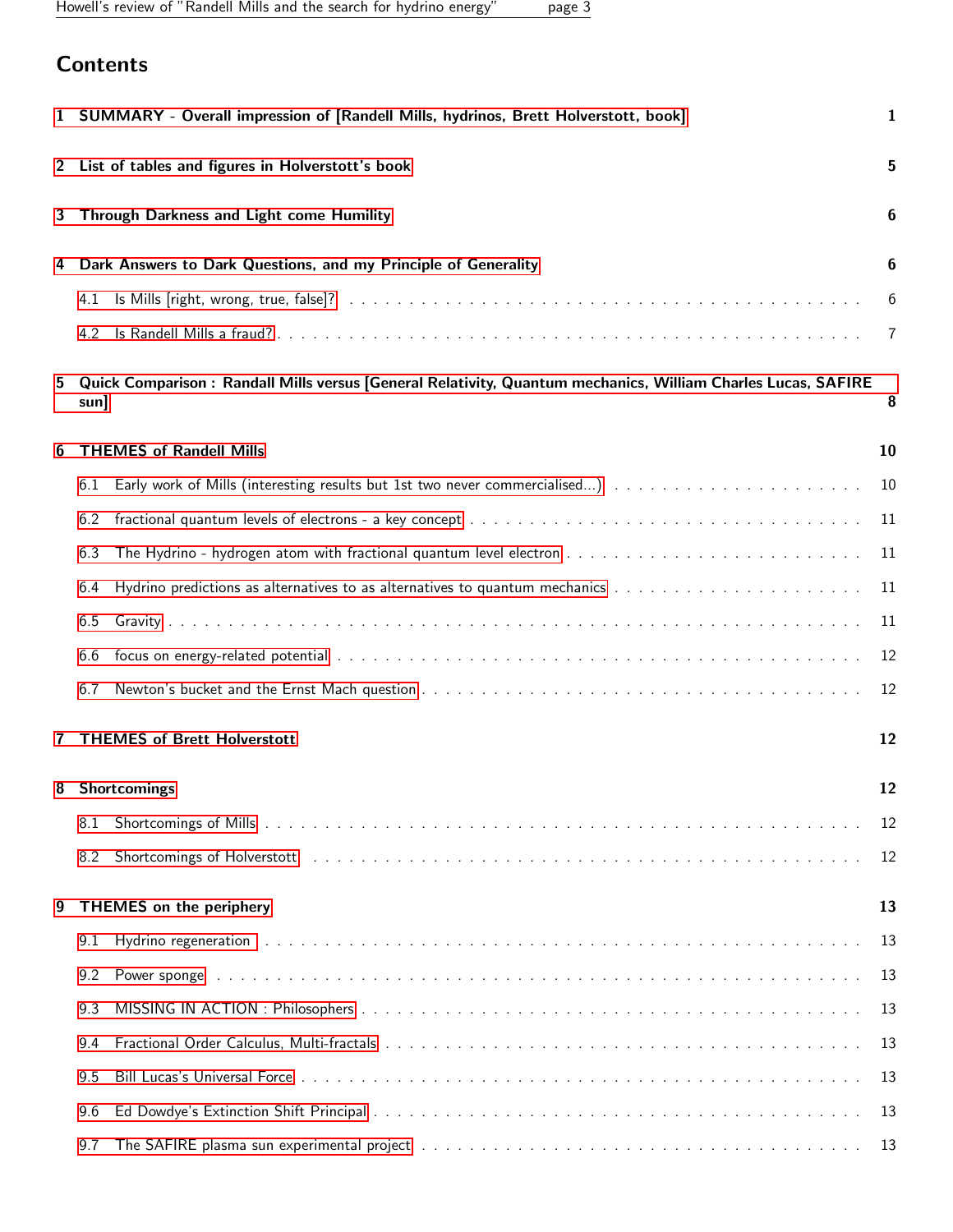Howell's review of "Randell Mills and the search for hydrino energy" page 3

## **Contents**

|   |      | 1 SUMMARY - Overall impression of [Randell Mills, hydrinos, Brett Holverstott, book]<br>$\mathbf{1}$              |    |  |  |  |  |  |
|---|------|-------------------------------------------------------------------------------------------------------------------|----|--|--|--|--|--|
| 2 |      | List of tables and figures in Holverstott's book                                                                  |    |  |  |  |  |  |
| 3 |      | Through Darkness and Light come Humility                                                                          |    |  |  |  |  |  |
| 4 |      | Dark Answers to Dark Questions, and my Principle of Generality                                                    | 6  |  |  |  |  |  |
|   | 4.1  |                                                                                                                   | 6  |  |  |  |  |  |
|   | 4.2  |                                                                                                                   | 7  |  |  |  |  |  |
| 5 | sun] | Quick Comparison: Randall Mills versus [General Relativity, Quantum mechanics, William Charles Lucas, SAFIRE<br>8 |    |  |  |  |  |  |
| 6 |      | <b>THEMES of Randell Mills</b><br>10                                                                              |    |  |  |  |  |  |
|   | 6.1  |                                                                                                                   | 10 |  |  |  |  |  |
|   | 6.2  |                                                                                                                   | 11 |  |  |  |  |  |
|   | 6.3  |                                                                                                                   | 11 |  |  |  |  |  |
|   | 6.4  |                                                                                                                   | 11 |  |  |  |  |  |
|   | 6.5  |                                                                                                                   | 11 |  |  |  |  |  |
|   | 6.6  |                                                                                                                   | 12 |  |  |  |  |  |
|   | 6.7  |                                                                                                                   | 12 |  |  |  |  |  |
|   |      | <b>THEMES of Brett Holverstott</b><br>12                                                                          |    |  |  |  |  |  |
|   |      | 12<br>8 Shortcomings                                                                                              |    |  |  |  |  |  |
|   | 8.1  |                                                                                                                   | 12 |  |  |  |  |  |
|   | 8.2  | Shortcomings of Holverstott (Alberta Alberta Alberta Alberta Alberta Alberta Alberta Alberta Alberta Alberta A    | 12 |  |  |  |  |  |
| 9 |      | <b>THEMES</b> on the periphery<br>13                                                                              |    |  |  |  |  |  |
|   | 9.1  |                                                                                                                   | 13 |  |  |  |  |  |
|   | 9.2  |                                                                                                                   | 13 |  |  |  |  |  |
|   | 9.3  |                                                                                                                   | 13 |  |  |  |  |  |
|   | 9.4  |                                                                                                                   | 13 |  |  |  |  |  |
|   | 9.5  |                                                                                                                   | 13 |  |  |  |  |  |
|   | 9.6  |                                                                                                                   | 13 |  |  |  |  |  |
|   | 9.7  |                                                                                                                   | 13 |  |  |  |  |  |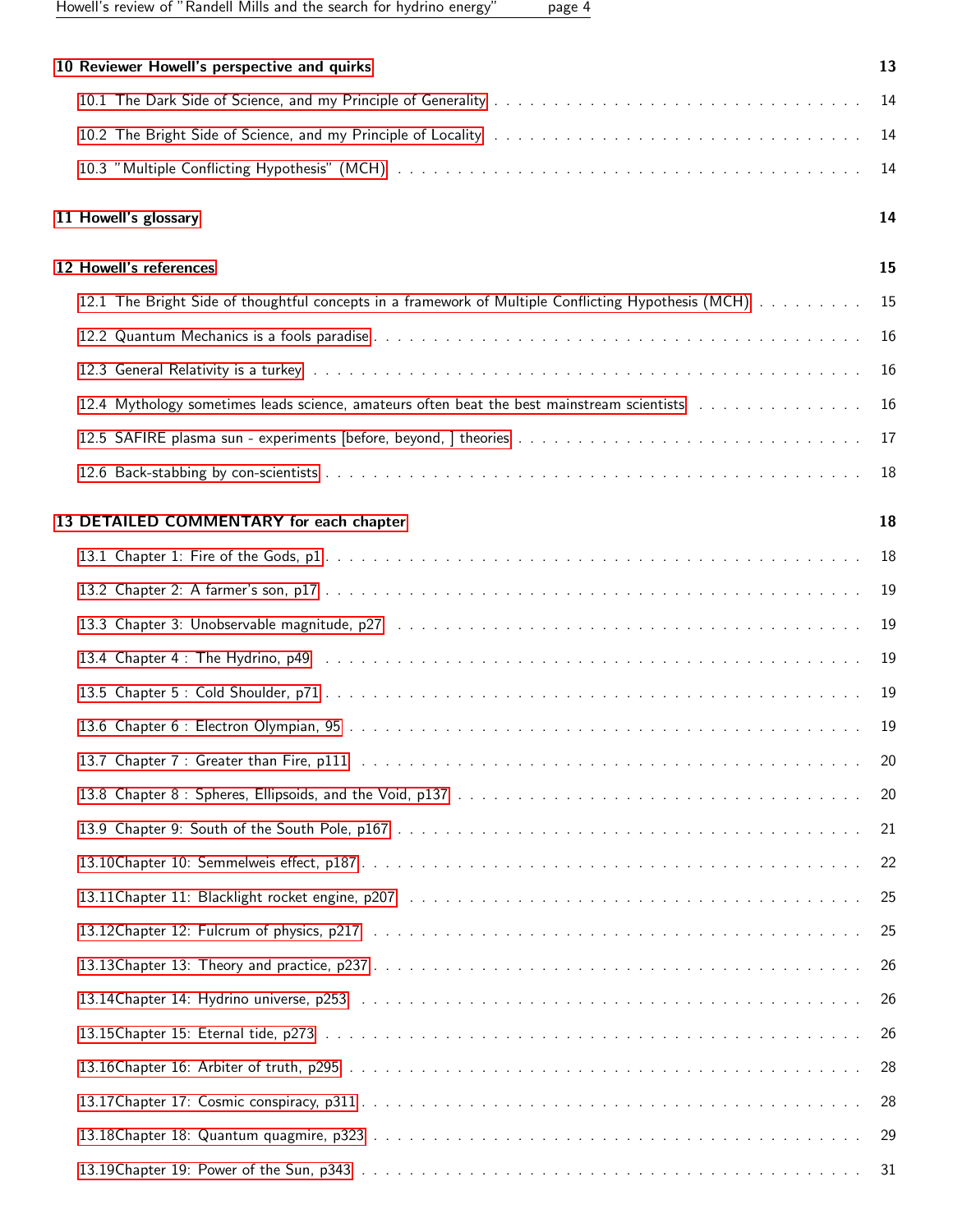Howell's review of "Randell Mills and the search for hydrino energy" page 4

| 10 Reviewer Howell's perspective and quirks                                                         | 13 |
|-----------------------------------------------------------------------------------------------------|----|
|                                                                                                     | 14 |
|                                                                                                     | 14 |
|                                                                                                     | 14 |
| 11 Howell's glossary                                                                                | 14 |
| 12 Howell's references                                                                              | 15 |
| 12.1 The Bright Side of thoughtful concepts in a framework of Multiple Conflicting Hypothesis (MCH) | 15 |
|                                                                                                     | 16 |
|                                                                                                     | 16 |
| 12.4 Mythology sometimes leads science, amateurs often beat the best mainstream scientists          | 16 |
|                                                                                                     | 17 |
|                                                                                                     | 18 |
| 13 DETAILED COMMENTARY for each chapter                                                             | 18 |
|                                                                                                     | 18 |
|                                                                                                     | 19 |
|                                                                                                     | 19 |
|                                                                                                     | 19 |
|                                                                                                     | 19 |
|                                                                                                     | 19 |
|                                                                                                     | 20 |
|                                                                                                     | 20 |
|                                                                                                     | 21 |
|                                                                                                     | 22 |
|                                                                                                     | 25 |
|                                                                                                     | 25 |
|                                                                                                     | 26 |
|                                                                                                     | 26 |
|                                                                                                     | 26 |
|                                                                                                     | 28 |
|                                                                                                     | 28 |
|                                                                                                     | 29 |
|                                                                                                     | 31 |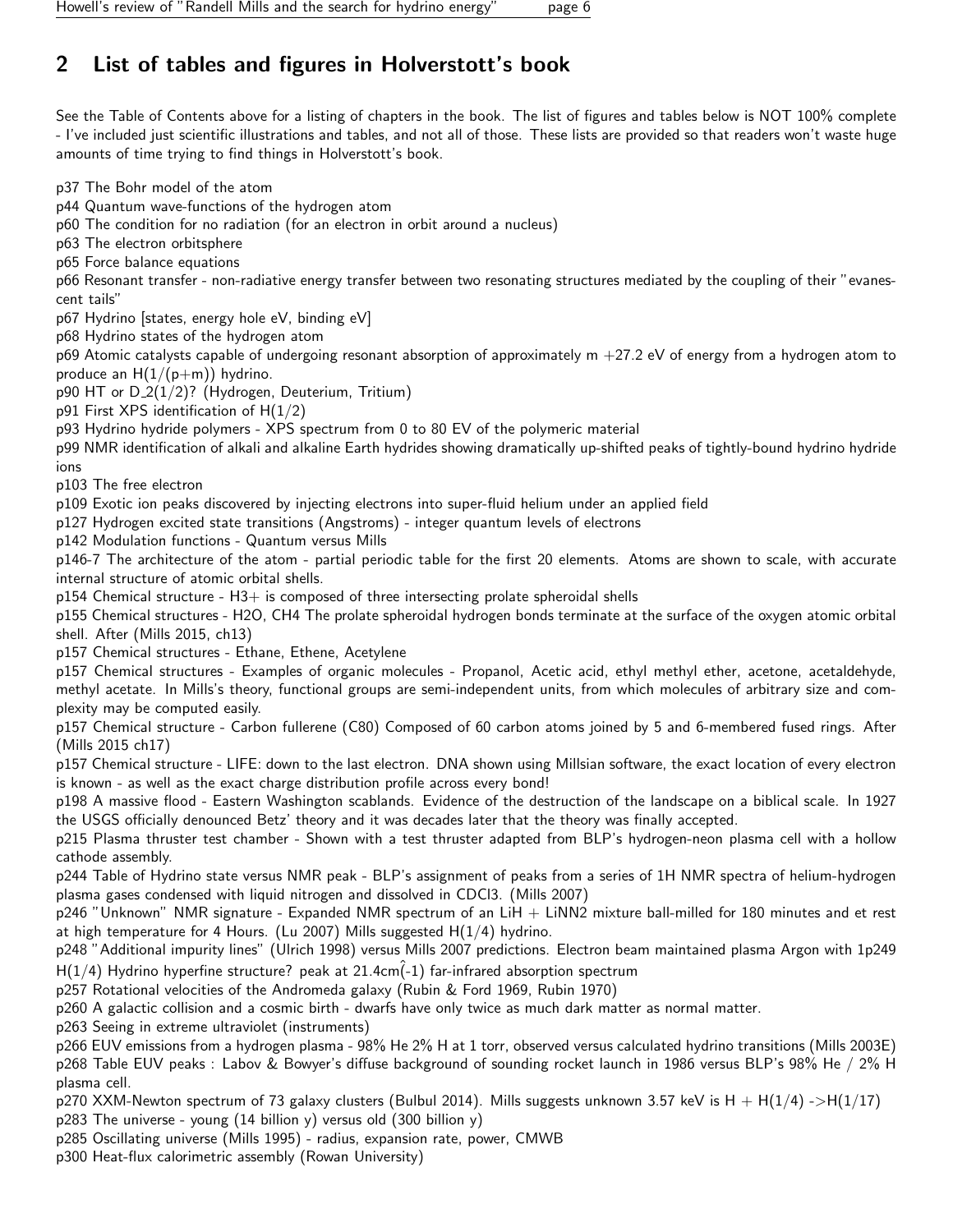## <span id="page-5-0"></span>2 List of tables and figures in Holverstott's book

See the Table of Contents above for a listing of chapters in the book. The list of figures and tables below is NOT 100% complete - I've included just scientific illustrations and tables, and not all of those. These lists are provided so that readers won't waste huge amounts of time trying to find things in Holverstott's book.

p37 The Bohr model of the atom

p44 Quantum wave-functions of the hydrogen atom

p60 The condition for no radiation (for an electron in orbit around a nucleus)

p63 The electron orbitsphere

p65 Force balance equations

p66 Resonant transfer - non-radiative energy transfer between two resonating structures mediated by the coupling of their "evanescent tails"

p67 Hydrino [states, energy hole eV, binding eV]

p68 Hydrino states of the hydrogen atom

p69 Atomic catalysts capable of undergoing resonant absorption of approximately  $m +27.2$  eV of energy from a hydrogen atom to produce an  $H(1/(p+m))$  hydrino.

p90 HT or  $D_2(1/2)$ ? (Hydrogen, Deuterium, Tritium)

p91 First XPS identification of  $H(1/2)$ 

p93 Hydrino hydride polymers - XPS spectrum from 0 to 80 EV of the polymeric material

p99 NMR identification of alkali and alkaline Earth hydrides showing dramatically up-shifted peaks of tightly-bound hydrino hydride ions

p103 The free electron

p109 Exotic ion peaks discovered by injecting electrons into super-fluid helium under an applied field

p127 Hydrogen excited state transitions (Angstroms) - integer quantum levels of electrons

p142 Modulation functions - Quantum versus Mills

p146-7 The architecture of the atom - partial periodic table for the first 20 elements. Atoms are shown to scale, with accurate internal structure of atomic orbital shells.

p154 Chemical structure - H3+ is composed of three intersecting prolate spheroidal shells

p155 Chemical structures - H2O, CH4 The prolate spheroidal hydrogen bonds terminate at the surface of the oxygen atomic orbital shell. After (Mills 2015, ch13)

p157 Chemical structures - Ethane, Ethene, Acetylene

p157 Chemical structures - Examples of organic molecules - Propanol, Acetic acid, ethyl methyl ether, acetone, acetaldehyde, methyl acetate. In Mills's theory, functional groups are semi-independent units, from which molecules of arbitrary size and complexity may be computed easily.

p157 Chemical structure - Carbon fullerene (C80) Composed of 60 carbon atoms joined by 5 and 6-membered fused rings. After (Mills 2015 ch17)

p157 Chemical structure - LIFE: down to the last electron. DNA shown using Millsian software, the exact location of every electron is known - as well as the exact charge distribution profile across every bond!

p198 A massive flood - Eastern Washington scablands. Evidence of the destruction of the landscape on a biblical scale. In 1927 the USGS officially denounced Betz' theory and it was decades later that the theory was finally accepted.

p215 Plasma thruster test chamber - Shown with a test thruster adapted from BLP's hydrogen-neon plasma cell with a hollow cathode assembly.

p244 Table of Hydrino state versus NMR peak - BLP's assignment of peaks from a series of 1H NMR spectra of helium-hydrogen plasma gases condensed with liquid nitrogen and dissolved in CDCl3. (Mills 2007)

 $p246$  "Unknown" NMR signature - Expanded NMR spectrum of an LiH  $+$  LiNN2 mixture ball-milled for 180 minutes and et rest at high temperature for 4 Hours. (Lu 2007) Mills suggested  $H(1/4)$  hydrino.

p248 "Additional impurity lines" (Ulrich 1998) versus Mills 2007 predictions. Electron beam maintained plasma Argon with 1p249  $H(1/4)$  Hydrino hyperfine structure? peak at 21.4cm $(-1)$  far-infrared absorption spectrum

p257 Rotational velocities of the Andromeda galaxy (Rubin & Ford 1969, Rubin 1970)

p260 A galactic collision and a cosmic birth - dwarfs have only twice as much dark matter as normal matter.

p263 Seeing in extreme ultraviolet (instruments)

p266 EUV emissions from a hydrogen plasma - 98% He 2% H at 1 torr, observed versus calculated hydrino transitions (Mills 2003E) p268 Table EUV peaks : Labov & Bowyer's diffuse background of sounding rocket launch in 1986 versus BLP's 98% He / 2% H plasma cell.

p270 XXM-Newton spectrum of 73 galaxy clusters (Bulbul 2014). Mills suggests unknown 3.57 keV is H + H(1/4) ->H(1/17) p283 The universe - young (14 billion y) versus old (300 billion y)

p285 Oscillating universe (Mills 1995) - radius, expansion rate, power, CMWB

p300 Heat-flux calorimetric assembly (Rowan University)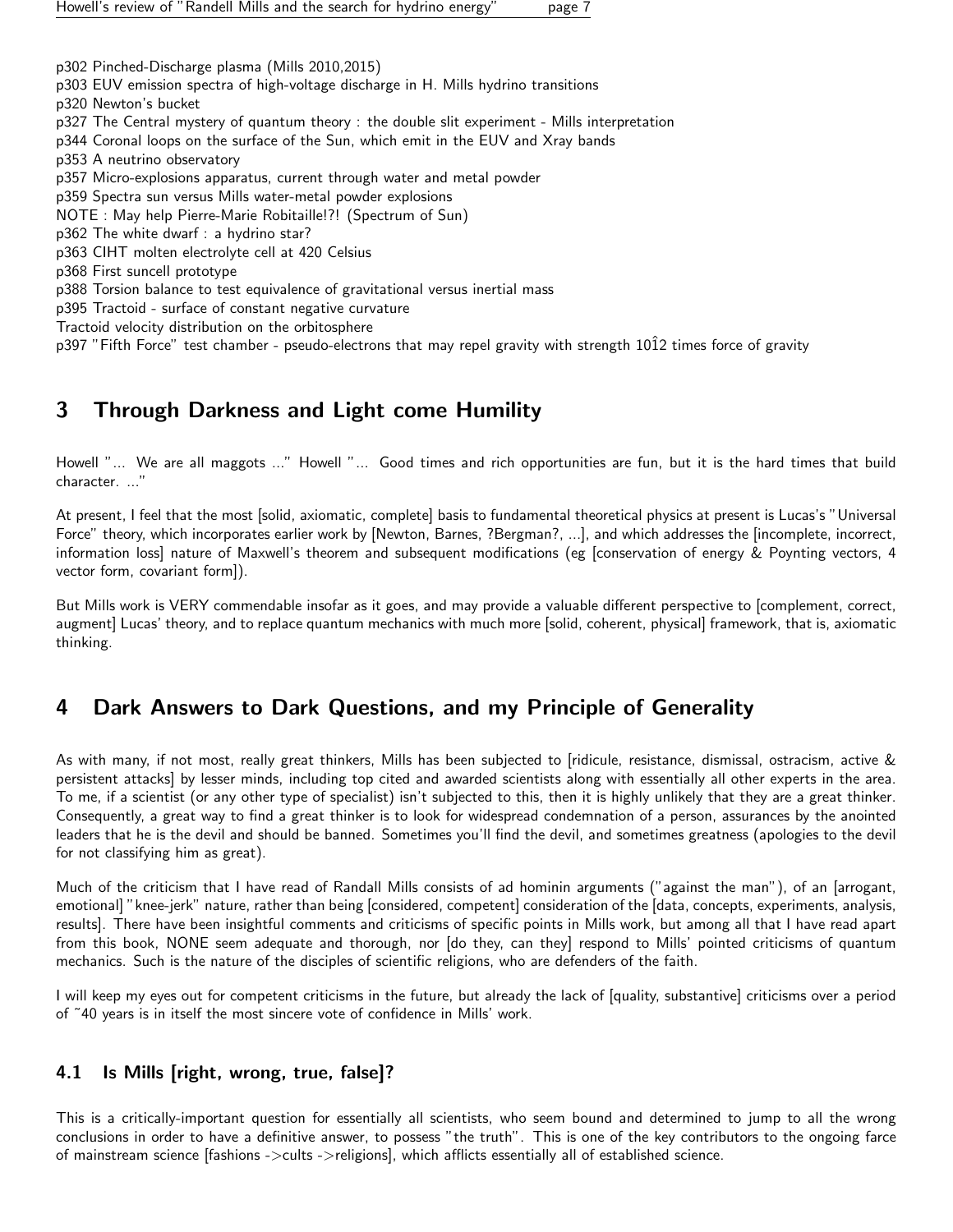p302 Pinched-Discharge plasma (Mills 2010,2015) p303 EUV emission spectra of high-voltage discharge in H. Mills hydrino transitions p320 Newton's bucket p327 The Central mystery of quantum theory : the double slit experiment - Mills interpretation p344 Coronal loops on the surface of the Sun, which emit in the EUV and Xray bands p353 A neutrino observatory p357 Micro-explosions apparatus, current through water and metal powder p359 Spectra sun versus Mills water-metal powder explosions NOTE : May help Pierre-Marie Robitaille!?! (Spectrum of Sun) p362 The white dwarf : a hydrino star? p363 CIHT molten electrolyte cell at 420 Celsius p368 First suncell prototype p388 Torsion balance to test equivalence of gravitational versus inertial mass p395 Tractoid - surface of constant negative curvature Tractoid velocity distribution on the orbitosphere

p397 "Fifth Force" test chamber - pseudo-electrons that may repel gravity with strength 1012 times force of gravity

## <span id="page-6-0"></span>3 Through Darkness and Light come Humility

Howell "... We are all maggots ..." Howell "... Good times and rich opportunities are fun, but it is the hard times that build character. ..."

At present, I feel that the most [solid, axiomatic, complete] basis to fundamental theoretical physics at present is Lucas's "Universal Force" theory, which incorporates earlier work by [Newton, Barnes, ?Bergman?, ...], and which addresses the [incomplete, incorrect, information loss] nature of Maxwell's theorem and subsequent modifications (eg [conservation of energy & Poynting vectors, 4 vector form, covariant form]).

But Mills work is VERY commendable insofar as it goes, and may provide a valuable different perspective to [complement, correct, augment] Lucas' theory, and to replace quantum mechanics with much more [solid, coherent, physical] framework, that is, axiomatic thinking.

## <span id="page-6-1"></span>4 Dark Answers to Dark Questions, and my Principle of Generality

As with many, if not most, really great thinkers, Mills has been subjected to [ridicule, resistance, dismissal, ostracism, active & persistent attacks] by lesser minds, including top cited and awarded scientists along with essentially all other experts in the area. To me, if a scientist (or any other type of specialist) isn't subjected to this, then it is highly unlikely that they are a great thinker. Consequently, a great way to find a great thinker is to look for widespread condemnation of a person, assurances by the anointed leaders that he is the devil and should be banned. Sometimes you'll find the devil, and sometimes greatness (apologies to the devil for not classifying him as great).

Much of the criticism that I have read of Randall Mills consists of ad hominin arguments ("against the man"), of an [arrogant, emotional] "knee-jerk" nature, rather than being [considered, competent] consideration of the [data, concepts, experiments, analysis, results]. There have been insightful comments and criticisms of specific points in Mills work, but among all that I have read apart from this book, NONE seem adequate and thorough, nor [do they, can they] respond to Mills' pointed criticisms of quantum mechanics. Such is the nature of the disciples of scientific religions, who are defenders of the faith.

I will keep my eyes out for competent criticisms in the future, but already the lack of [quality, substantive] criticisms over a period of ˜40 years is in itself the most sincere vote of confidence in Mills' work.

## <span id="page-6-2"></span>4.1 Is Mills [right, wrong, true, false]?

This is a critically-important question for essentially all scientists, who seem bound and determined to jump to all the wrong conclusions in order to have a definitive answer, to possess "the truth". This is one of the key contributors to the ongoing farce of mainstream science [fashions ->cults ->religions], which afflicts essentially all of established science.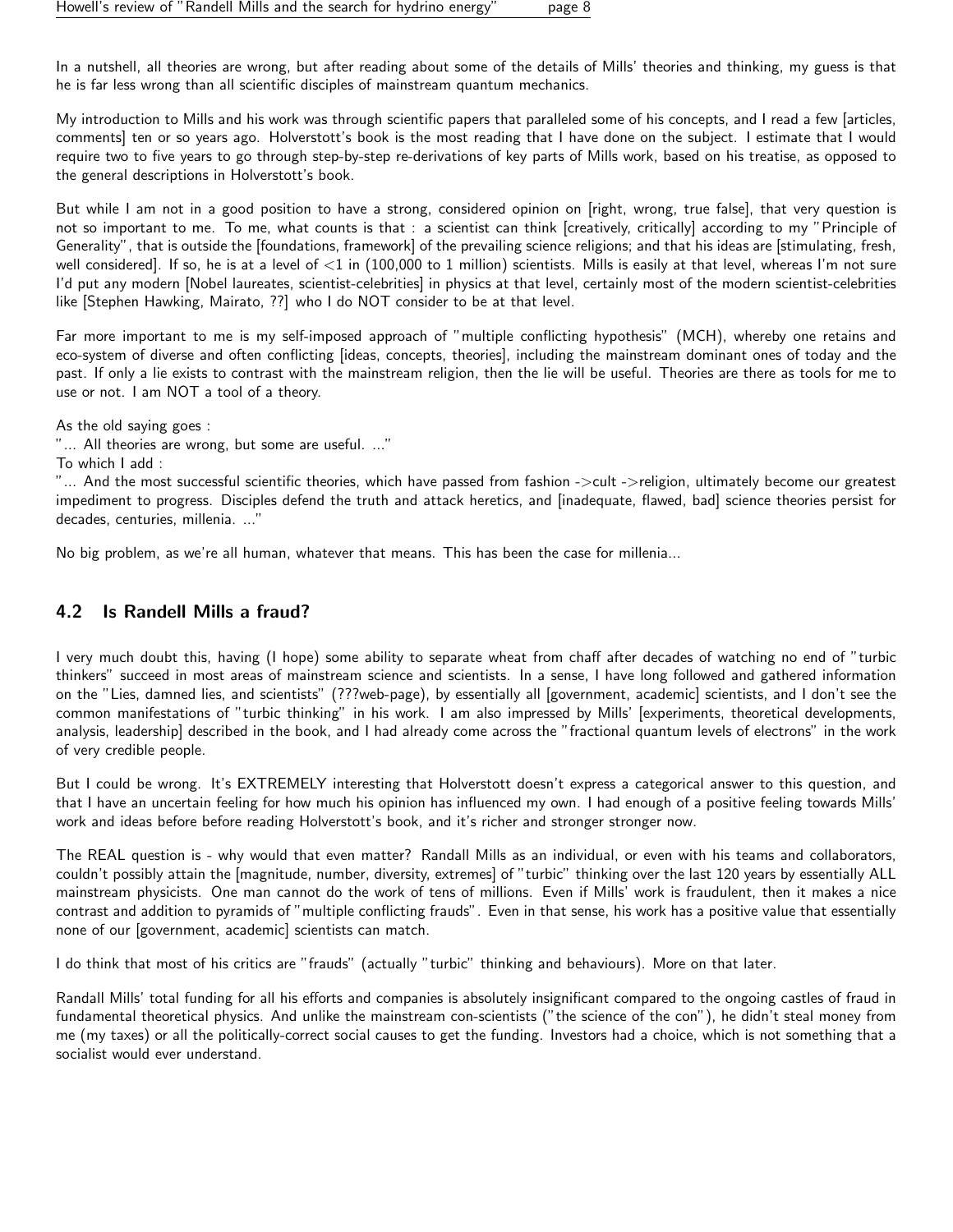In a nutshell, all theories are wrong, but after reading about some of the details of Mills' theories and thinking, my guess is that he is far less wrong than all scientific disciples of mainstream quantum mechanics.

My introduction to Mills and his work was through scientific papers that paralleled some of his concepts, and I read a few [articles, comments] ten or so years ago. Holverstott's book is the most reading that I have done on the subject. I estimate that I would require two to five years to go through step-by-step re-derivations of key parts of Mills work, based on his treatise, as opposed to the general descriptions in Holverstott's book.

But while I am not in a good position to have a strong, considered opinion on [right, wrong, true false], that very question is not so important to me. To me, what counts is that : a scientist can think [creatively, critically] according to my "Principle of Generality", that is outside the [foundations, framework] of the prevailing science religions; and that his ideas are [stimulating, fresh, well considered]. If so, he is at a level of  $\lt 1$  in (100,000 to 1 million) scientists. Mills is easily at that level, whereas I'm not sure I'd put any modern [Nobel laureates, scientist-celebrities] in physics at that level, certainly most of the modern scientist-celebrities like [Stephen Hawking, Mairato, ??] who I do NOT consider to be at that level.

Far more important to me is my self-imposed approach of "multiple conflicting hypothesis" (MCH), whereby one retains and eco-system of diverse and often conflicting [ideas, concepts, theories], including the mainstream dominant ones of today and the past. If only a lie exists to contrast with the mainstream religion, then the lie will be useful. Theories are there as tools for me to use or not. I am NOT a tool of a theory.

As the old saying goes :

"... All theories are wrong, but some are useful. ..."

To which I add :

"... And the most successful scientific theories, which have passed from fashion ->cult ->religion, ultimately become our greatest impediment to progress. Disciples defend the truth and attack heretics, and [inadequate, flawed, bad] science theories persist for decades, centuries, millenia. ..."

No big problem, as we're all human, whatever that means. This has been the case for millenia...

## <span id="page-7-0"></span>4.2 Is Randell Mills a fraud?

I very much doubt this, having (I hope) some ability to separate wheat from chaff after decades of watching no end of "turbic thinkers" succeed in most areas of mainstream science and scientists. In a sense, I have long followed and gathered information on the "Lies, damned lies, and scientists" (???web-page), by essentially all [government, academic] scientists, and I don't see the common manifestations of "turbic thinking" in his work. I am also impressed by Mills' [experiments, theoretical developments, analysis, leadership] described in the book, and I had already come across the "fractional quantum levels of electrons" in the work of very credible people.

But I could be wrong. It's EXTREMELY interesting that Holverstott doesn't express a categorical answer to this question, and that I have an uncertain feeling for how much his opinion has influenced my own. I had enough of a positive feeling towards Mills' work and ideas before before reading Holverstott's book, and it's richer and stronger stronger now.

The REAL question is - why would that even matter? Randall Mills as an individual, or even with his teams and collaborators, couldn't possibly attain the [magnitude, number, diversity, extremes] of "turbic" thinking over the last 120 years by essentially ALL mainstream physicists. One man cannot do the work of tens of millions. Even if Mills' work is fraudulent, then it makes a nice contrast and addition to pyramids of "multiple conflicting frauds". Even in that sense, his work has a positive value that essentially none of our [government, academic] scientists can match.

I do think that most of his critics are "frauds" (actually "turbic" thinking and behaviours). More on that later.

Randall Mills' total funding for all his efforts and companies is absolutely insignificant compared to the ongoing castles of fraud in fundamental theoretical physics. And unlike the mainstream con-scientists ("the science of the con"), he didn't steal money from me (my taxes) or all the politically-correct social causes to get the funding. Investors had a choice, which is not something that a socialist would ever understand.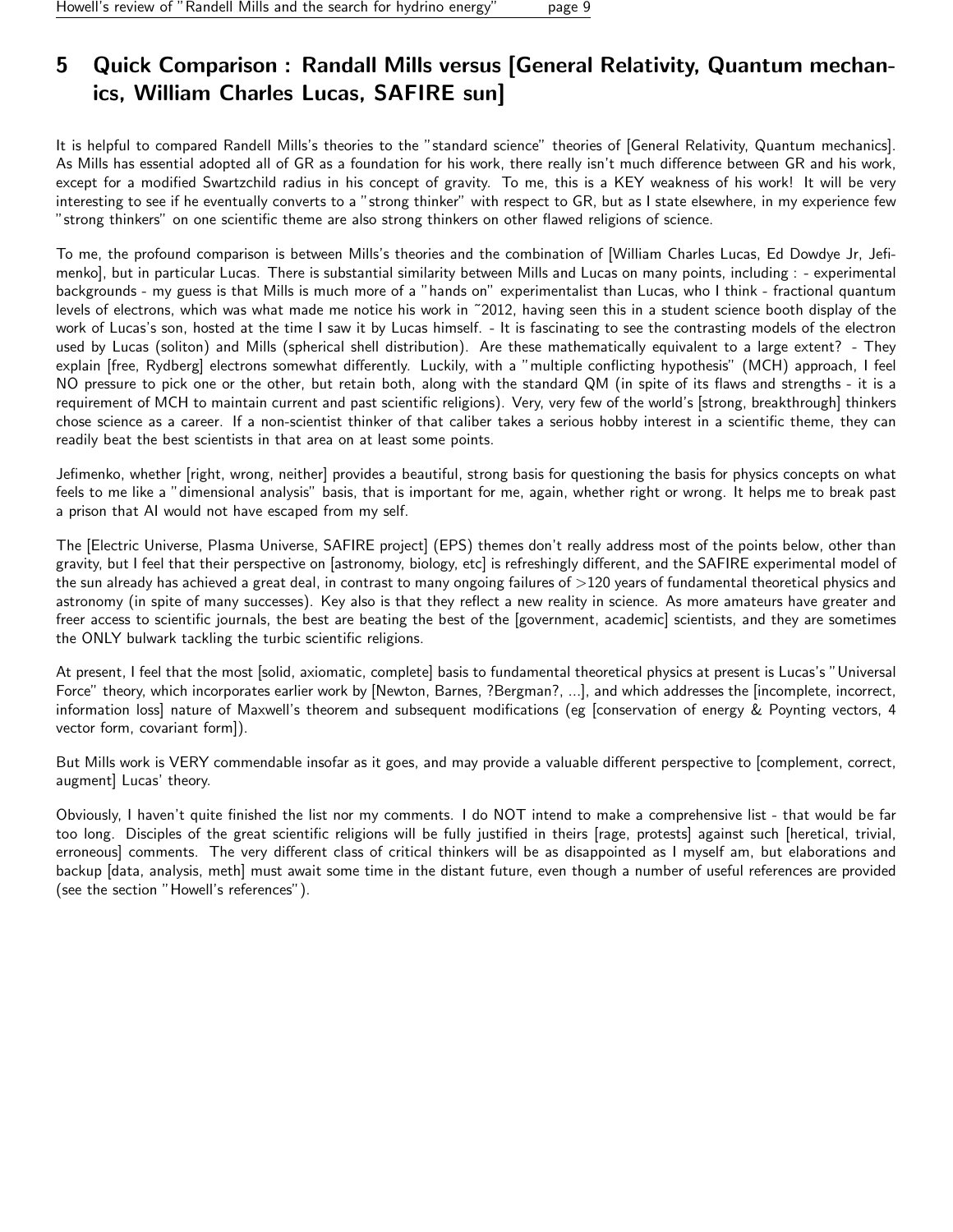## <span id="page-8-0"></span>5 Quick Comparison : Randall Mills versus [General Relativity, Quantum mechanics, William Charles Lucas, SAFIRE sun]

It is helpful to compared Randell Mills's theories to the "standard science" theories of [General Relativity, Quantum mechanics]. As Mills has essential adopted all of GR as a foundation for his work, there really isn't much difference between GR and his work, except for a modified Swartzchild radius in his concept of gravity. To me, this is a KEY weakness of his work! It will be very interesting to see if he eventually converts to a "strong thinker" with respect to GR, but as I state elsewhere, in my experience few "strong thinkers" on one scientific theme are also strong thinkers on other flawed religions of science.

To me, the profound comparison is between Mills's theories and the combination of [William Charles Lucas, Ed Dowdye Jr, Jefimenko], but in particular Lucas. There is substantial similarity between Mills and Lucas on many points, including : - experimental backgrounds - my guess is that Mills is much more of a "hands on" experimentalist than Lucas, who I think - fractional quantum levels of electrons, which was what made me notice his work in ˜2012, having seen this in a student science booth display of the work of Lucas's son, hosted at the time I saw it by Lucas himself. - It is fascinating to see the contrasting models of the electron used by Lucas (soliton) and Mills (spherical shell distribution). Are these mathematically equivalent to a large extent? - They explain [free, Rydberg] electrons somewhat differently. Luckily, with a "multiple conflicting hypothesis" (MCH) approach, I feel NO pressure to pick one or the other, but retain both, along with the standard QM (in spite of its flaws and strengths - it is a requirement of MCH to maintain current and past scientific religions). Very, very few of the world's [strong, breakthrough] thinkers chose science as a career. If a non-scientist thinker of that caliber takes a serious hobby interest in a scientific theme, they can readily beat the best scientists in that area on at least some points.

Jefimenko, whether [right, wrong, neither] provides a beautiful, strong basis for questioning the basis for physics concepts on what feels to me like a "dimensional analysis" basis, that is important for me, again, whether right or wrong. It helps me to break past a prison that AI would not have escaped from my self.

The [Electric Universe, Plasma Universe, SAFIRE project] (EPS) themes don't really address most of the points below, other than gravity, but I feel that their perspective on [astronomy, biology, etc] is refreshingly different, and the SAFIRE experimental model of the sun already has achieved a great deal, in contrast to many ongoing failures of  $>120$  years of fundamental theoretical physics and astronomy (in spite of many successes). Key also is that they reflect a new reality in science. As more amateurs have greater and freer access to scientific journals, the best are beating the best of the [government, academic] scientists, and they are sometimes the ONLY bulwark tackling the turbic scientific religions.

At present, I feel that the most [solid, axiomatic, complete] basis to fundamental theoretical physics at present is Lucas's "Universal Force" theory, which incorporates earlier work by [Newton, Barnes, ?Bergman?, ...], and which addresses the [incomplete, incorrect, information loss] nature of Maxwell's theorem and subsequent modifications (eg [conservation of energy & Poynting vectors, 4 vector form, covariant form]).

But Mills work is VERY commendable insofar as it goes, and may provide a valuable different perspective to [complement, correct, augment] Lucas' theory.

Obviously, I haven't quite finished the list nor my comments. I do NOT intend to make a comprehensive list - that would be far too long. Disciples of the great scientific religions will be fully justified in theirs [rage, protests] against such [heretical, trivial, erroneous] comments. The very different class of critical thinkers will be as disappointed as I myself am, but elaborations and backup [data, analysis, meth] must await some time in the distant future, even though a number of useful references are provided (see the section "Howell's references").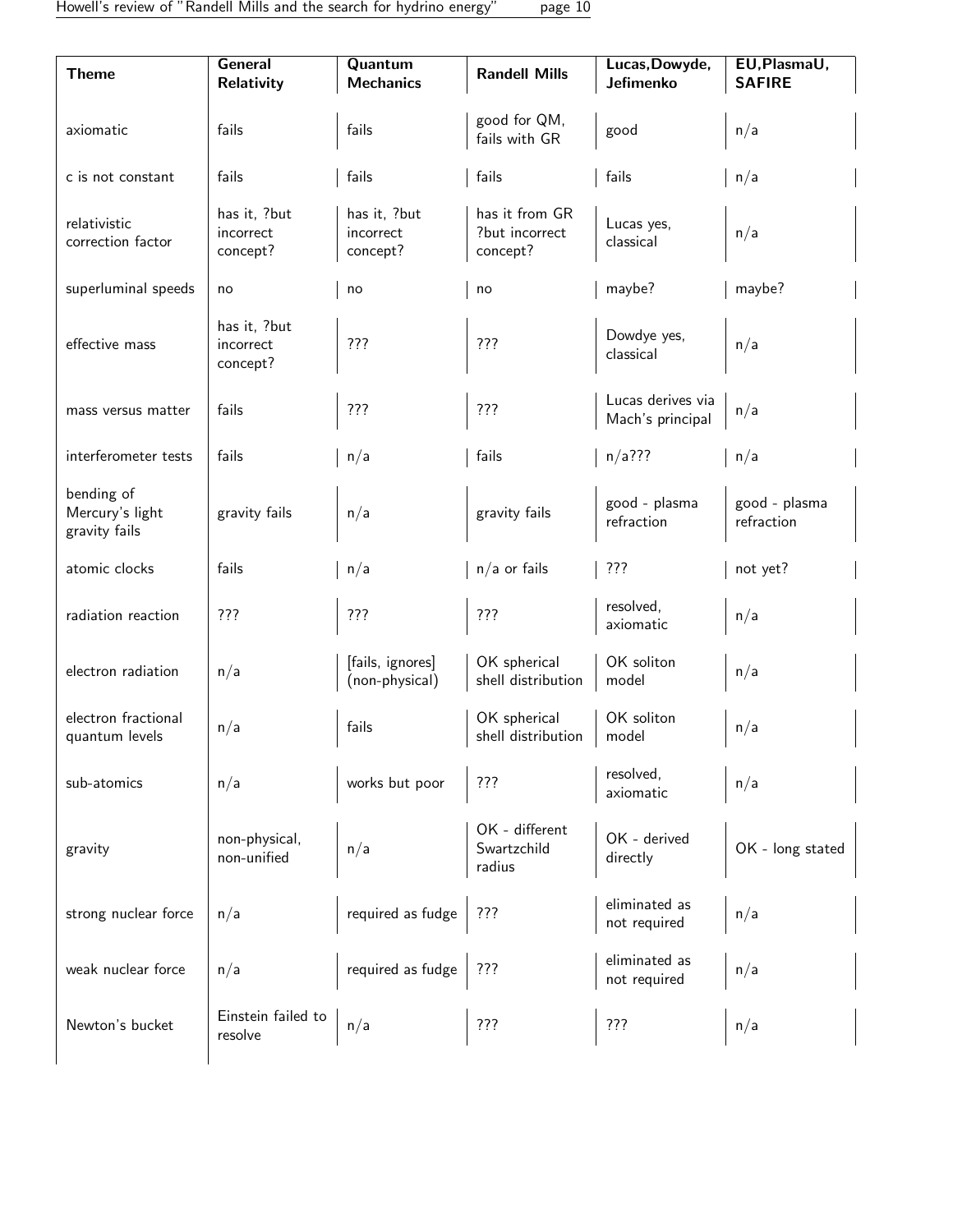| <b>Theme</b>                                   | <b>General</b><br><b>Relativity</b>   | Quantum<br><b>Mechanics</b>           | <b>Randell Mills</b>                         | Lucas, Dowyde,<br>Jefimenko           | EU, PlasmaU,<br><b>SAFIRE</b> |
|------------------------------------------------|---------------------------------------|---------------------------------------|----------------------------------------------|---------------------------------------|-------------------------------|
| axiomatic                                      | fails                                 | fails                                 | good for QM,<br>fails with GR                | good                                  | n/a                           |
| c is not constant                              | fails                                 | fails                                 | fails                                        | fails                                 | n/a                           |
| relativistic<br>correction factor              | has it, ?but<br>incorrect<br>concept? | has it, ?but<br>incorrect<br>concept? | has it from GR<br>?but incorrect<br>concept? | Lucas yes,<br>classical               | n/a                           |
| superluminal speeds                            | no                                    | no                                    | no                                           | maybe?                                | maybe?                        |
| effective mass                                 | has it, ?but<br>incorrect<br>concept? | ???                                   | ???                                          | Dowdye yes,<br>classical              | n/a                           |
| mass versus matter                             | fails                                 | ???                                   | ???                                          | Lucas derives via<br>Mach's principal | n/a                           |
| interferometer tests                           | fails                                 | n/a                                   | fails                                        | $n/a$ ???                             | n/a                           |
| bending of<br>Mercury's light<br>gravity fails | gravity fails                         | n/a                                   | gravity fails                                | good - plasma<br>refraction           | good - plasma<br>refraction   |
| atomic clocks                                  | fails                                 | n/a                                   | $n/a$ or fails                               | ???                                   | not yet?                      |
| radiation reaction                             | ???                                   | ???                                   | ???                                          | resolved,<br>axiomatic                | n/a                           |
| electron radiation                             | n/a                                   | [fails, ignores]<br>(non-physical)    | OK spherical<br>shell distribution           | OK soliton<br>model                   | n/a                           |
| electron fractional<br>quantum levels          | n/a                                   | fails                                 | OK spherical<br>shell distribution           | OK soliton<br>model                   | n/a                           |
| sub-atomics                                    | n/a                                   | works but poor                        | ???                                          | resolved,<br>axiomatic                | n/a                           |
| gravity                                        | non-physical,<br>non-unified          | n/a                                   | OK - different<br>Swartzchild<br>radius      | OK - derived<br>directly              | OK - long stated              |
| strong nuclear force                           | n/a                                   | required as fudge                     | ???                                          | eliminated as<br>not required         | n/a                           |
| weak nuclear force                             | n/a                                   | required as fudge                     | ???                                          | eliminated as<br>not required         | n/a                           |
| Newton's bucket                                | Einstein failed to<br>resolve         | n/a                                   | ???                                          | ???                                   | n/a                           |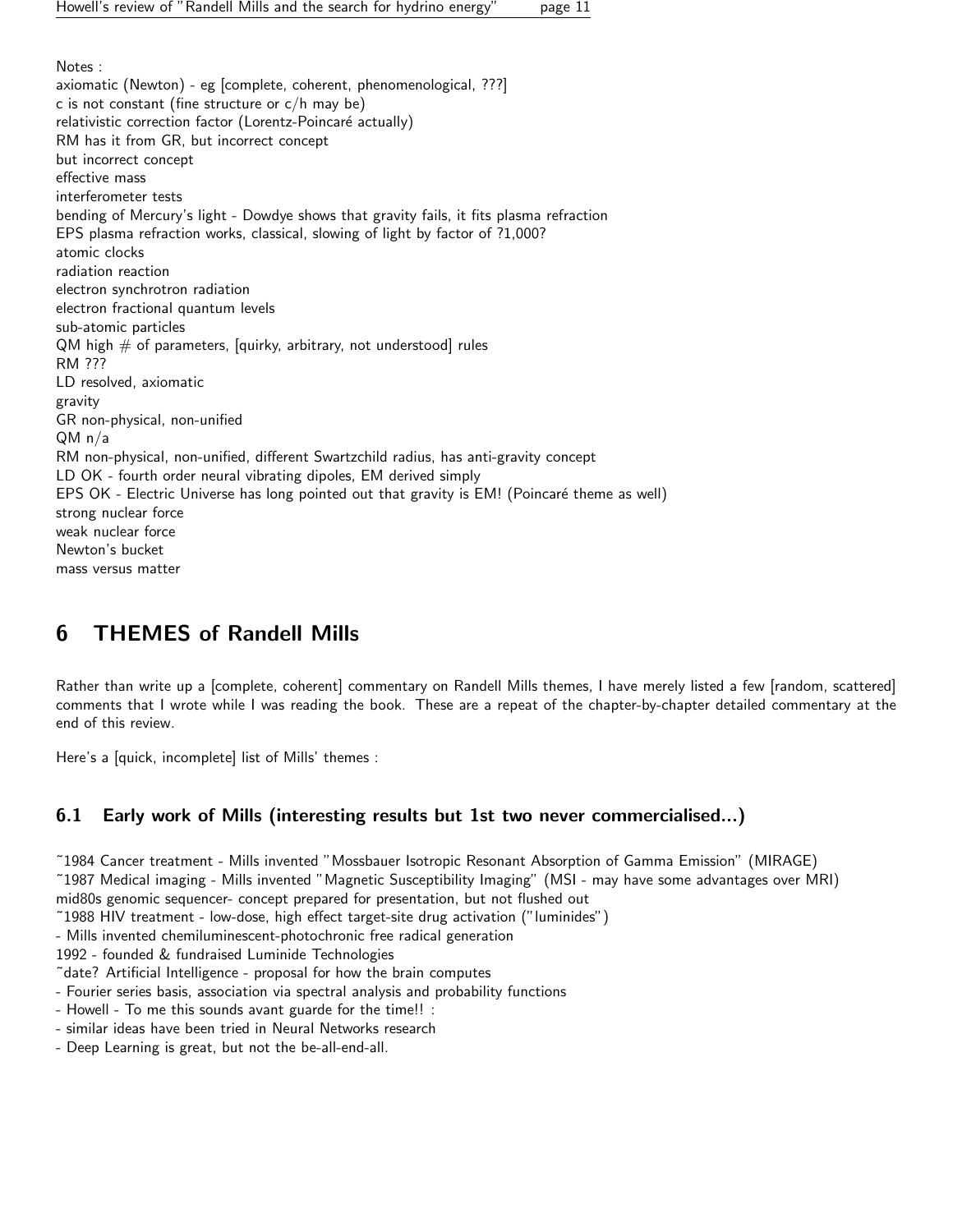Notes : axiomatic (Newton) - eg [complete, coherent, phenomenological, ???] c is not constant (fine structure or c/h may be) relativistic correction factor (Lorentz-Poincaré actually) RM has it from GR, but incorrect concept but incorrect concept effective mass interferometer tests bending of Mercury's light - Dowdye shows that gravity fails, it fits plasma refraction EPS plasma refraction works, classical, slowing of light by factor of ?1,000? atomic clocks radiation reaction electron synchrotron radiation electron fractional quantum levels sub-atomic particles  $QM$  high  $#$  of parameters, [quirky, arbitrary, not understood] rules RM ??? LD resolved, axiomatic gravity GR non-physical, non-unified QM n/a RM non-physical, non-unified, different Swartzchild radius, has anti-gravity concept LD OK - fourth order neural vibrating dipoles, EM derived simply EPS OK - Electric Universe has long pointed out that gravity is EM! (Poincaré theme as well) strong nuclear force weak nuclear force Newton's bucket mass versus matter

## <span id="page-10-0"></span>6 THEMES of Randell Mills

Rather than write up a [complete, coherent] commentary on Randell Mills themes, I have merely listed a few [random, scattered] comments that I wrote while I was reading the book. These are a repeat of the chapter-by-chapter detailed commentary at the end of this review.

Here's a [quick, incomplete] list of Mills' themes :

## <span id="page-10-1"></span>6.1 Early work of Mills (interesting results but 1st two never commercialised...)

˜1984 Cancer treatment - Mills invented "Mossbauer Isotropic Resonant Absorption of Gamma Emission" (MIRAGE)

˜1987 Medical imaging - Mills invented "Magnetic Susceptibility Imaging" (MSI - may have some advantages over MRI)

mid80s genomic sequencer- concept prepared for presentation, but not flushed out

˜1988 HIV treatment - low-dose, high effect target-site drug activation ("luminides")

- Mills invented chemiluminescent-photochronic free radical generation

1992 - founded & fundraised Luminide Technologies

˜date? Artificial Intelligence - proposal for how the brain computes

- Fourier series basis, association via spectral analysis and probability functions

- Howell - To me this sounds avant guarde for the time!! :

- similar ideas have been tried in Neural Networks research

- Deep Learning is great, but not the be-all-end-all.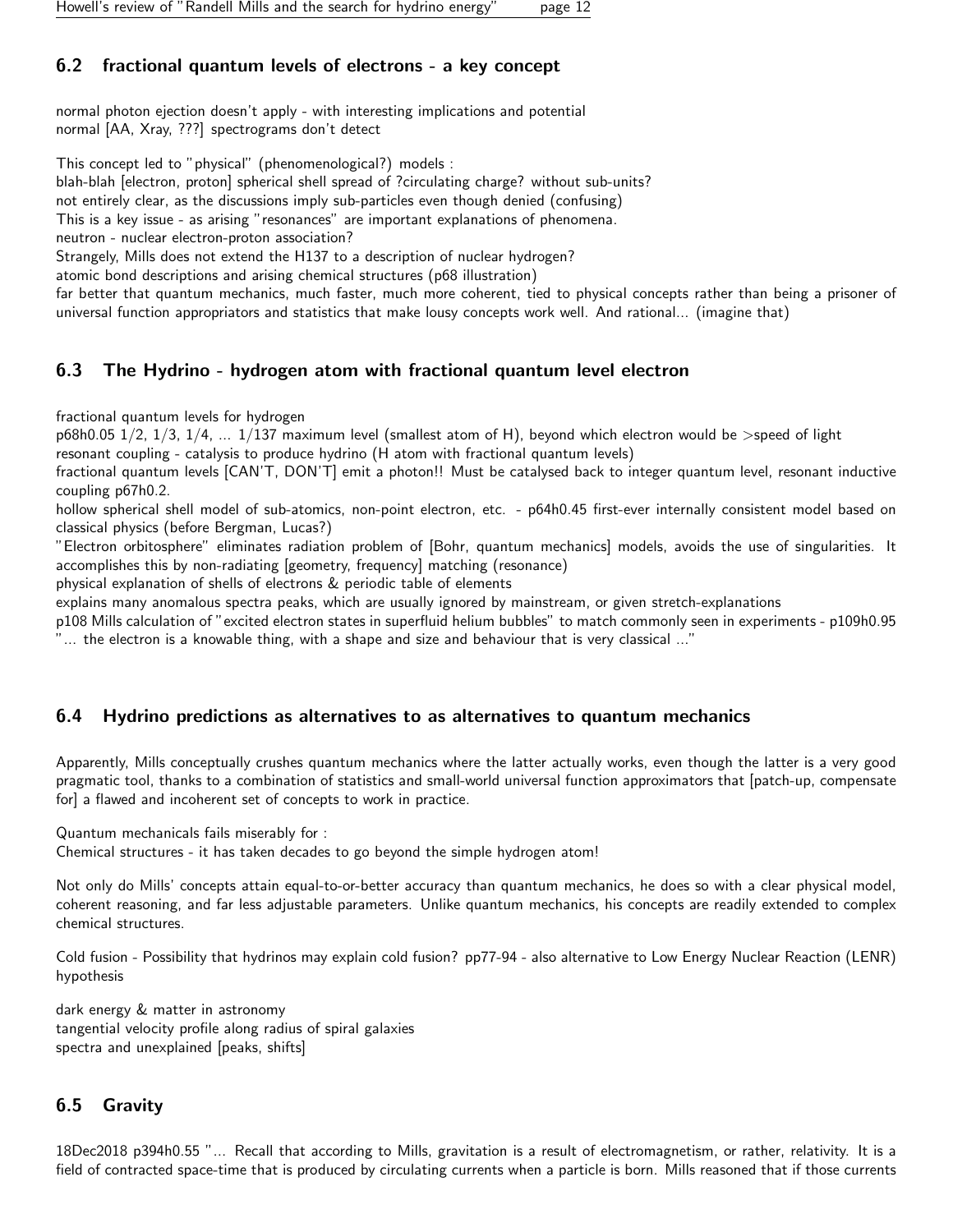## <span id="page-11-0"></span>6.2 fractional quantum levels of electrons - a key concept

normal photon ejection doesn't apply - with interesting implications and potential normal [AA, Xray, ???] spectrograms don't detect

This concept led to "physical" (phenomenological?) models :

blah-blah [electron, proton] spherical shell spread of ?circulating charge? without sub-units?

not entirely clear, as the discussions imply sub-particles even though denied (confusing)

This is a key issue - as arising "resonances" are important explanations of phenomena.

neutron - nuclear electron-proton association?

Strangely, Mills does not extend the H137 to a description of nuclear hydrogen?

atomic bond descriptions and arising chemical structures (p68 illustration)

far better that quantum mechanics, much faster, much more coherent, tied to physical concepts rather than being a prisoner of universal function appropriators and statistics that make lousy concepts work well. And rational... (imagine that)

## <span id="page-11-1"></span>6.3 The Hydrino - hydrogen atom with fractional quantum level electron

fractional quantum levels for hydrogen

 $p68h0.05$   $1/2$ ,  $1/3$ ,  $1/4$ ,  $\dots$   $1/137$  maximum level (smallest atom of H), beyond which electron would be  $>$ speed of light resonant coupling - catalysis to produce hydrino (H atom with fractional quantum levels)

fractional quantum levels [CAN'T, DON'T] emit a photon!! Must be catalysed back to integer quantum level, resonant inductive coupling p67h0.2.

hollow spherical shell model of sub-atomics, non-point electron, etc. - p64h0.45 first-ever internally consistent model based on classical physics (before Bergman, Lucas?)

"Electron orbitosphere" eliminates radiation problem of [Bohr, quantum mechanics] models, avoids the use of singularities. It accomplishes this by non-radiating [geometry, frequency] matching (resonance)

physical explanation of shells of electrons & periodic table of elements

explains many anomalous spectra peaks, which are usually ignored by mainstream, or given stretch-explanations

p108 Mills calculation of "excited electron states in superfluid helium bubbles" to match commonly seen in experiments - p109h0.95 ... the electron is a knowable thing, with a shape and size and behaviour that is very classical ...'

## <span id="page-11-2"></span>6.4 Hydrino predictions as alternatives to as alternatives to quantum mechanics

Apparently, Mills conceptually crushes quantum mechanics where the latter actually works, even though the latter is a very good pragmatic tool, thanks to a combination of statistics and small-world universal function approximators that [patch-up, compensate for] a flawed and incoherent set of concepts to work in practice.

Quantum mechanicals fails miserably for :

Chemical structures - it has taken decades to go beyond the simple hydrogen atom!

Not only do Mills' concepts attain equal-to-or-better accuracy than quantum mechanics, he does so with a clear physical model, coherent reasoning, and far less adjustable parameters. Unlike quantum mechanics, his concepts are readily extended to complex chemical structures.

Cold fusion - Possibility that hydrinos may explain cold fusion? pp77-94 - also alternative to Low Energy Nuclear Reaction (LENR) hypothesis

dark energy & matter in astronomy tangential velocity profile along radius of spiral galaxies spectra and unexplained [peaks, shifts]

## <span id="page-11-3"></span>6.5 Gravity

18Dec2018 p394h0.55 "... Recall that according to Mills, gravitation is a result of electromagnetism, or rather, relativity. It is a field of contracted space-time that is produced by circulating currents when a particle is born. Mills reasoned that if those currents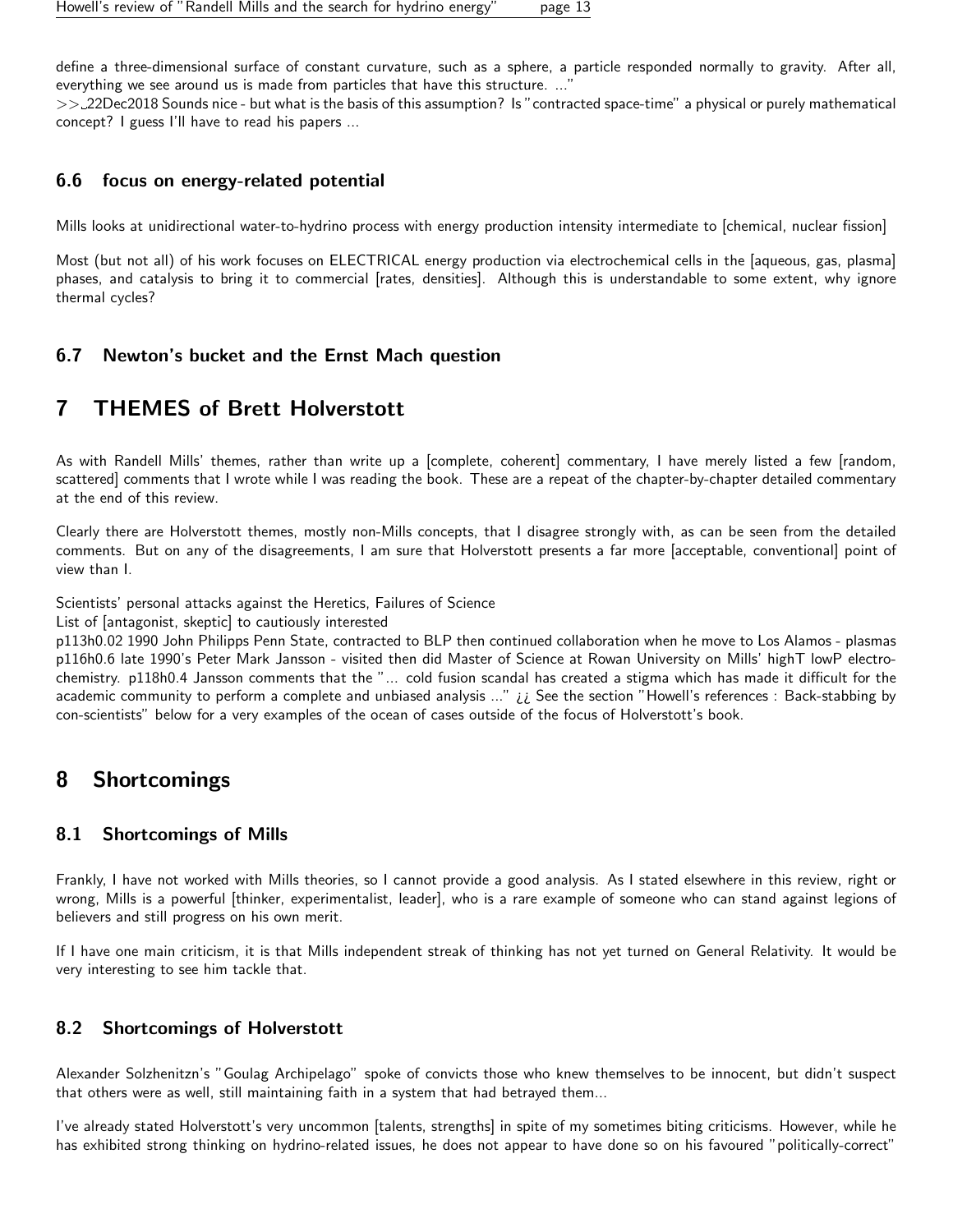define a three-dimensional surface of constant curvature, such as a sphere, a particle responded normally to gravity. After all, everything we see around us is made from particles that have this structure. ...'

>> 22Dec2018 Sounds nice - but what is the basis of this assumption? Is "contracted space-time" a physical or purely mathematical concept? I guess I'll have to read his papers ...

## <span id="page-12-0"></span>6.6 focus on energy-related potential

Mills looks at unidirectional water-to-hydrino process with energy production intensity intermediate to [chemical, nuclear fission]

Most (but not all) of his work focuses on ELECTRICAL energy production via electrochemical cells in the [aqueous, gas, plasma] phases, and catalysis to bring it to commercial [rates, densities]. Although this is understandable to some extent, why ignore thermal cycles?

## <span id="page-12-1"></span>6.7 Newton's bucket and the Ernst Mach question

## <span id="page-12-2"></span>7 THEMES of Brett Holverstott

As with Randell Mills' themes, rather than write up a [complete, coherent] commentary, I have merely listed a few [random, scattered] comments that I wrote while I was reading the book. These are a repeat of the chapter-by-chapter detailed commentary at the end of this review.

Clearly there are Holverstott themes, mostly non-Mills concepts, that I disagree strongly with, as can be seen from the detailed comments. But on any of the disagreements, I am sure that Holverstott presents a far more [acceptable, conventional] point of view than I.

Scientists' personal attacks against the Heretics, Failures of Science

List of [antagonist, skeptic] to cautiously interested

p113h0.02 1990 John Philipps Penn State, contracted to BLP then continued collaboration when he move to Los Alamos - plasmas p116h0.6 late 1990's Peter Mark Jansson - visited then did Master of Science at Rowan University on Mills' highT lowP electrochemistry. p118h0.4 Jansson comments that the "... cold fusion scandal has created a stigma which has made it difficult for the academic community to perform a complete and unbiased analysis ..." ii See the section "Howell's references : Back-stabbing by con-scientists" below for a very examples of the ocean of cases outside of the focus of Holverstott's book.

## <span id="page-12-3"></span>8 Shortcomings

## <span id="page-12-4"></span>8.1 Shortcomings of Mills

Frankly, I have not worked with Mills theories, so I cannot provide a good analysis. As I stated elsewhere in this review, right or wrong, Mills is a powerful [thinker, experimentalist, leader], who is a rare example of someone who can stand against legions of believers and still progress on his own merit.

If I have one main criticism, it is that Mills independent streak of thinking has not yet turned on General Relativity. It would be very interesting to see him tackle that.

## <span id="page-12-5"></span>8.2 Shortcomings of Holverstott

Alexander Solzhenitzn's "Goulag Archipelago" spoke of convicts those who knew themselves to be innocent, but didn't suspect that others were as well, still maintaining faith in a system that had betrayed them...

I've already stated Holverstott's very uncommon [talents, strengths] in spite of my sometimes biting criticisms. However, while he has exhibited strong thinking on hydrino-related issues, he does not appear to have done so on his favoured "politically-correct"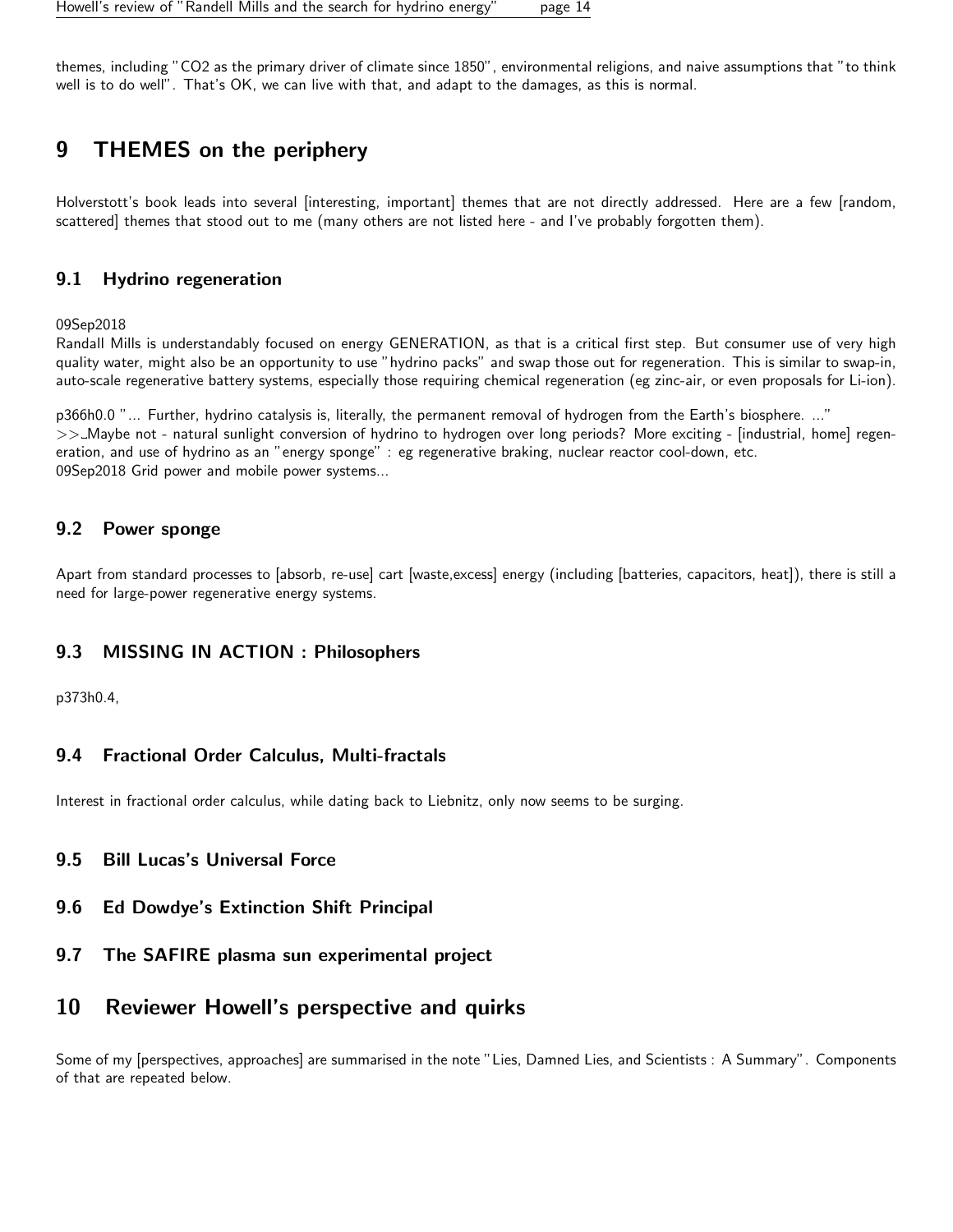themes, including "CO2 as the primary driver of climate since 1850", environmental religions, and naive assumptions that "to think well is to do well". That's OK, we can live with that, and adapt to the damages, as this is normal.

## <span id="page-13-0"></span>9 THEMES on the periphery

Holverstott's book leads into several [interesting, important] themes that are not directly addressed. Here are a few [random, scattered] themes that stood out to me (many others are not listed here - and I've probably forgotten them).

## <span id="page-13-1"></span>9.1 Hydrino regeneration

09Sep2018

Randall Mills is understandably focused on energy GENERATION, as that is a critical first step. But consumer use of very high quality water, might also be an opportunity to use "hydrino packs" and swap those out for regeneration. This is similar to swap-in, auto-scale regenerative battery systems, especially those requiring chemical regeneration (eg zinc-air, or even proposals for Li-ion).

p366h0.0 "... Further, hydrino catalysis is, literally, the permanent removal of hydrogen from the Earth's biosphere. ..." >> Maybe not - natural sunlight conversion of hydrino to hydrogen over long periods? More exciting - [industrial, home] regeneration, and use of hydrino as an "energy sponge" : eg regenerative braking, nuclear reactor cool-down, etc. 09Sep2018 Grid power and mobile power systems...

## <span id="page-13-2"></span>9.2 Power sponge

Apart from standard processes to [absorb, re-use] cart [waste,excess] energy (including [batteries, capacitors, heat]), there is still a need for large-power regenerative energy systems.

## <span id="page-13-3"></span>9.3 MISSING IN ACTION : Philosophers

p373h0.4,

## <span id="page-13-4"></span>9.4 Fractional Order Calculus, Multi-fractals

Interest in fractional order calculus, while dating back to Liebnitz, only now seems to be surging.

## <span id="page-13-5"></span>9.5 Bill Lucas's Universal Force

- <span id="page-13-6"></span>9.6 Ed Dowdye's Extinction Shift Principal
- <span id="page-13-7"></span>9.7 The SAFIRE plasma sun experimental project

## <span id="page-13-8"></span>10 Reviewer Howell's perspective and quirks

Some of my [perspectives, approaches] are summarised in the note "Lies, Damned Lies, and Scientists : A Summary". Components of that are repeated below.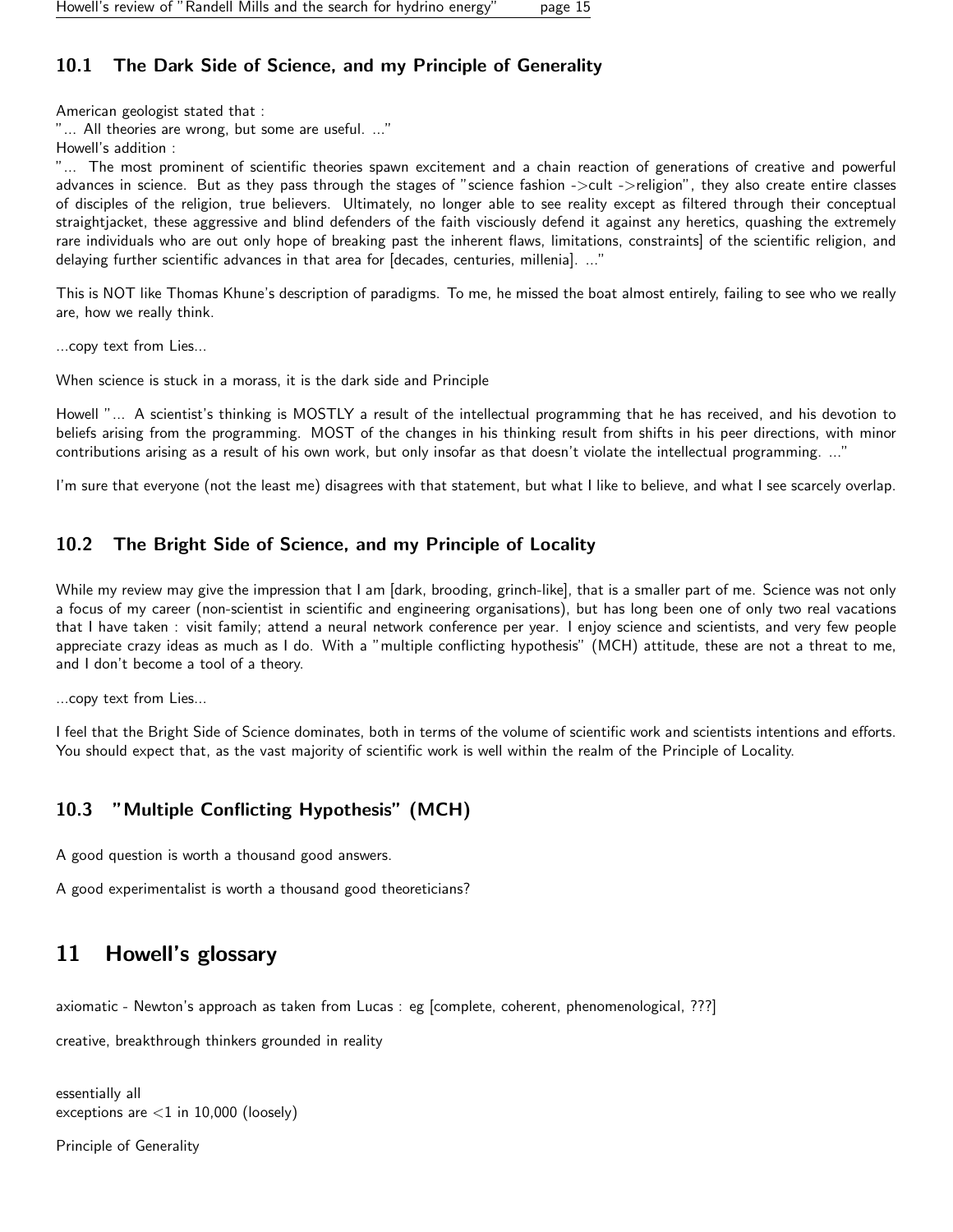## <span id="page-14-0"></span>10.1 The Dark Side of Science, and my Principle of Generality

American geologist stated that :

"... All theories are wrong, but some are useful. ..."

Howell's addition :

"... The most prominent of scientific theories spawn excitement and a chain reaction of generations of creative and powerful advances in science. But as they pass through the stages of "science fashion ->cult ->religion", they also create entire classes of disciples of the religion, true believers. Ultimately, no longer able to see reality except as filtered through their conceptual straightjacket, these aggressive and blind defenders of the faith visciously defend it against any heretics, quashing the extremely rare individuals who are out only hope of breaking past the inherent flaws, limitations, constraints] of the scientific religion, and delaying further scientific advances in that area for [decades, centuries, millenia]. ..."

This is NOT like Thomas Khune's description of paradigms. To me, he missed the boat almost entirely, failing to see who we really are, how we really think.

...copy text from Lies...

When science is stuck in a morass, it is the dark side and Principle

Howell "... A scientist's thinking is MOSTLY a result of the intellectual programming that he has received, and his devotion to beliefs arising from the programming. MOST of the changes in his thinking result from shifts in his peer directions, with minor contributions arising as a result of his own work, but only insofar as that doesn't violate the intellectual programming. ..."

I'm sure that everyone (not the least me) disagrees with that statement, but what I like to believe, and what I see scarcely overlap.

## <span id="page-14-1"></span>10.2 The Bright Side of Science, and my Principle of Locality

While my review may give the impression that I am [dark, brooding, grinch-like], that is a smaller part of me. Science was not only a focus of my career (non-scientist in scientific and engineering organisations), but has long been one of only two real vacations that I have taken : visit family; attend a neural network conference per year. I enjoy science and scientists, and very few people appreciate crazy ideas as much as I do. With a "multiple conflicting hypothesis" (MCH) attitude, these are not a threat to me, and I don't become a tool of a theory.

...copy text from Lies...

I feel that the Bright Side of Science dominates, both in terms of the volume of scientific work and scientists intentions and efforts. You should expect that, as the vast majority of scientific work is well within the realm of the Principle of Locality.

## <span id="page-14-2"></span>10.3 "Multiple Conflicting Hypothesis" (MCH)

A good question is worth a thousand good answers.

A good experimentalist is worth a thousand good theoreticians?

## <span id="page-14-3"></span>11 Howell's glossary

axiomatic - Newton's approach as taken from Lucas : eg [complete, coherent, phenomenological, ???]

creative, breakthrough thinkers grounded in reality

```
essentially all
exceptions are <1 in 10,000 (loosely)
```
Principle of Generality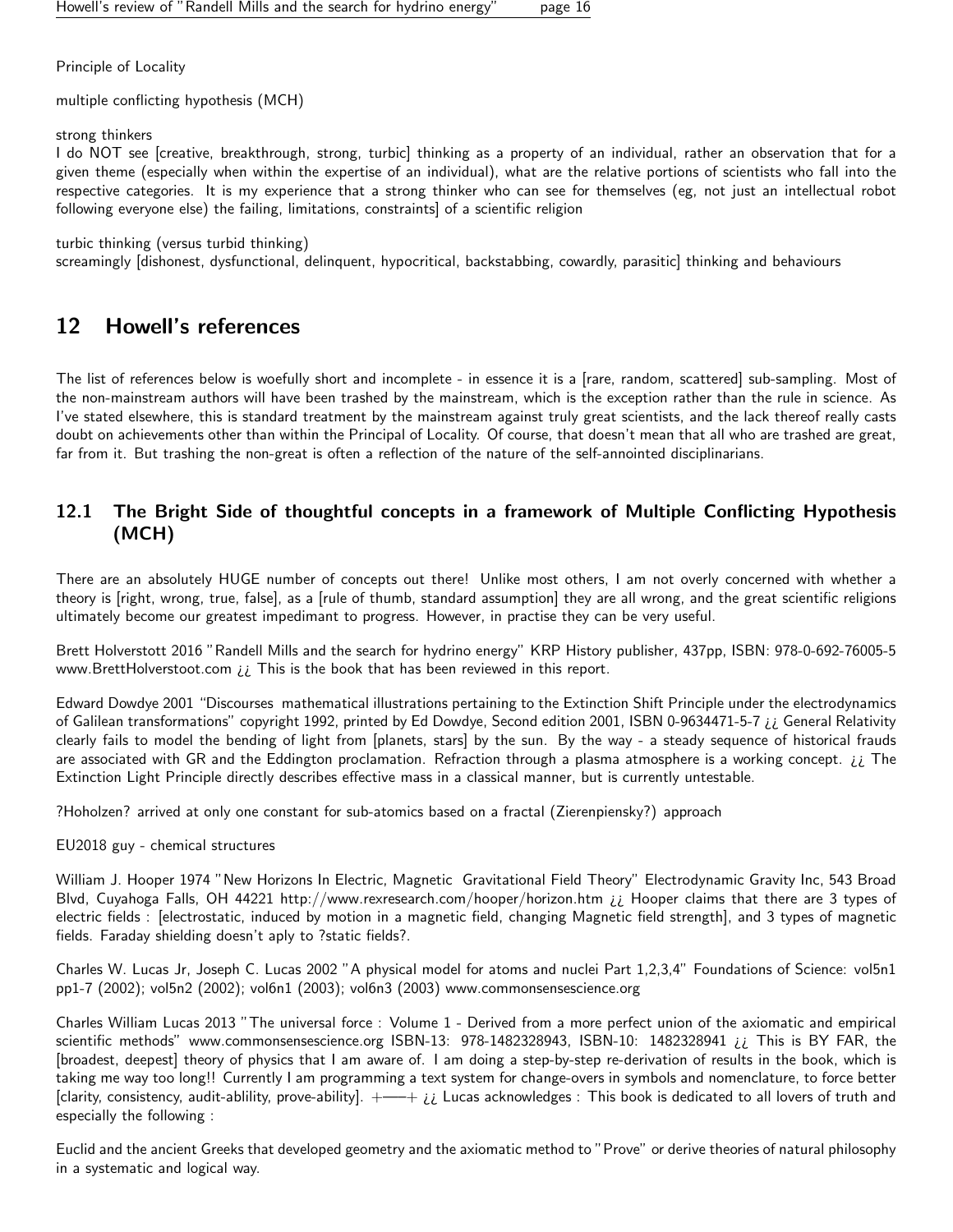Principle of Locality

multiple conflicting hypothesis (MCH)

strong thinkers

I do NOT see [creative, breakthrough, strong, turbic] thinking as a property of an individual, rather an observation that for a given theme (especially when within the expertise of an individual), what are the relative portions of scientists who fall into the respective categories. It is my experience that a strong thinker who can see for themselves (eg, not just an intellectual robot following everyone else) the failing, limitations, constraints] of a scientific religion

turbic thinking (versus turbid thinking)

screamingly [dishonest, dysfunctional, delinquent, hypocritical, backstabbing, cowardly, parasitic] thinking and behaviours

## <span id="page-15-0"></span>12 Howell's references

The list of references below is woefully short and incomplete - in essence it is a [rare, random, scattered] sub-sampling. Most of the non-mainstream authors will have been trashed by the mainstream, which is the exception rather than the rule in science. As I've stated elsewhere, this is standard treatment by the mainstream against truly great scientists, and the lack thereof really casts doubt on achievements other than within the Principal of Locality. Of course, that doesn't mean that all who are trashed are great, far from it. But trashing the non-great is often a reflection of the nature of the self-annointed disciplinarians.

## <span id="page-15-1"></span>12.1 The Bright Side of thoughtful concepts in a framework of Multiple Conflicting Hypothesis (MCH)

There are an absolutely HUGE number of concepts out there! Unlike most others, I am not overly concerned with whether a theory is [right, wrong, true, false], as a [rule of thumb, standard assumption] they are all wrong, and the great scientific religions ultimately become our greatest impedimant to progress. However, in practise they can be very useful.

Brett Holverstott 2016 "Randell Mills and the search for hydrino energy" KRP History publisher, 437pp, ISBN: 978-0-692-76005-5 www.BrettHolverstoot.com ¿¿ This is the book that has been reviewed in this report.

Edward Dowdye 2001 "Discourses mathematical illustrations pertaining to the Extinction Shift Principle under the electrodynamics of Galilean transformations" copyright 1992, printed by Ed Dowdye, Second edition 2001, ISBN 0-9634471-5-7 ¿¿ General Relativity clearly fails to model the bending of light from [planets, stars] by the sun. By the way - a steady sequence of historical frauds are associated with GR and the Eddington proclamation. Refraction through a plasma atmosphere is a working concept.  $i\ell$  The Extinction Light Principle directly describes effective mass in a classical manner, but is currently untestable.

?Hoholzen? arrived at only one constant for sub-atomics based on a fractal (Zierenpiensky?) approach

EU2018 guy - chemical structures

William J. Hooper 1974 "New Horizons In Electric, Magnetic Gravitational Field Theory" Electrodynamic Gravity Inc, 543 Broad Blvd, Cuyahoga Falls, OH 44221 http://www.rexresearch.com/hooper/horizon.htm ¿¿ Hooper claims that there are 3 types of electric fields : [electrostatic, induced by motion in a magnetic field, changing Magnetic field strength], and 3 types of magnetic fields. Faraday shielding doesn't aply to ?static fields?.

Charles W. Lucas Jr, Joseph C. Lucas 2002 "A physical model for atoms and nuclei Part 1,2,3,4" Foundations of Science: vol5n1 pp1-7 (2002); vol5n2 (2002); vol6n1 (2003); vol6n3 (2003) www.commonsensescience.org

Charles William Lucas 2013 "The universal force : Volume 1 - Derived from a more perfect union of the axiomatic and empirical scientific methods" www.commonsensescience.org ISBN-13: 978-1482328943, ISBN-10: 1482328941 ¿¿ This is BY FAR, the [broadest, deepest] theory of physics that I am aware of. I am doing a step-by-step re-derivation of results in the book, which is taking me way too long!! Currently I am programming a text system for change-overs in symbols and nomenclature, to force better [clarity, consistency, audit-ablility, prove-ability].  $+--+$   $i$  Lucas acknowledges : This book is dedicated to all lovers of truth and especially the following :

Euclid and the ancient Greeks that developed geometry and the axiomatic method to "Prove" or derive theories of natural philosophy in a systematic and logical way.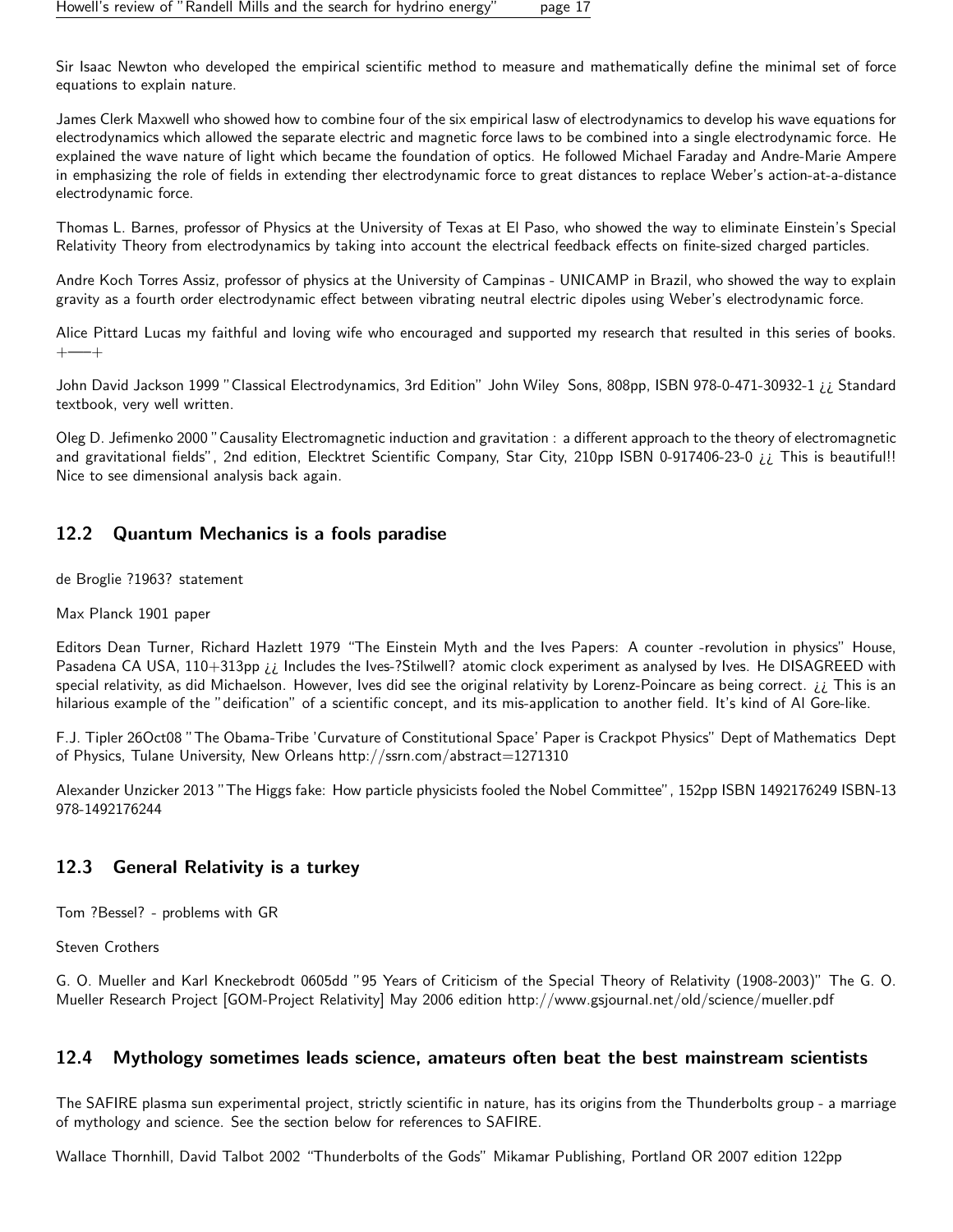Sir Isaac Newton who developed the empirical scientific method to measure and mathematically define the minimal set of force equations to explain nature.

James Clerk Maxwell who showed how to combine four of the six empirical lasw of electrodynamics to develop his wave equations for electrodynamics which allowed the separate electric and magnetic force laws to be combined into a single electrodynamic force. He explained the wave nature of light which became the foundation of optics. He followed Michael Faraday and Andre-Marie Ampere in emphasizing the role of fields in extending ther electrodynamic force to great distances to replace Weber's action-at-a-distance electrodynamic force.

Thomas L. Barnes, professor of Physics at the University of Texas at El Paso, who showed the way to eliminate Einstein's Special Relativity Theory from electrodynamics by taking into account the electrical feedback effects on finite-sized charged particles.

Andre Koch Torres Assiz, professor of physics at the University of Campinas - UNICAMP in Brazil, who showed the way to explain gravity as a fourth order electrodynamic effect between vibrating neutral electric dipoles using Weber's electrodynamic force.

Alice Pittard Lucas my faithful and loving wife who encouraged and supported my research that resulted in this series of books. +—–+

John David Jackson 1999 "Classical Electrodynamics, 3rd Edition" John Wiley Sons, 808pp, ISBN 978-0-471-30932-1 ¿¿ Standard textbook, very well written.

Oleg D. Jefimenko 2000 "Causality Electromagnetic induction and gravitation : a different approach to the theory of electromagnetic and gravitational fields", 2nd edition, Elecktret Scientific Company, Star City, 210pp ISBN 0-917406-23-0 *i* This is beautiful!! Nice to see dimensional analysis back again.

## <span id="page-16-0"></span>12.2 Quantum Mechanics is a fools paradise

de Broglie ?1963? statement

Max Planck 1901 paper

Editors Dean Turner, Richard Hazlett 1979 "The Einstein Myth and the Ives Papers: A counter -revolution in physics" House, Pasadena CA USA, 110+313pp *ii* Includes the Ives-?Stilwell? atomic clock experiment as analysed by Ives. He DISAGREED with special relativity, as did Michaelson. However, Ives did see the original relativity by Lorenz-Poincare as being correct.  $i$  This is an hilarious example of the "deification" of a scientific concept, and its mis-application to another field. It's kind of Al Gore-like.

F.J. Tipler 26Oct08 "The Obama-Tribe 'Curvature of Constitutional Space' Paper is Crackpot Physics" Dept of Mathematics Dept of Physics, Tulane University, New Orleans http://ssrn.com/abstract=1271310

Alexander Unzicker 2013 "The Higgs fake: How particle physicists fooled the Nobel Committee", 152pp ISBN 1492176249 ISBN-13 978-1492176244

## <span id="page-16-1"></span>12.3 General Relativity is a turkey

Tom ?Bessel? - problems with GR

Steven Crothers

G. O. Mueller and Karl Kneckebrodt 0605dd "95 Years of Criticism of the Special Theory of Relativity (1908-2003)" The G. O. Mueller Research Project [GOM-Project Relativity] May 2006 edition http://www.gsjournal.net/old/science/mueller.pdf

## <span id="page-16-2"></span>12.4 Mythology sometimes leads science, amateurs often beat the best mainstream scientists

The SAFIRE plasma sun experimental project, strictly scientific in nature, has its origins from the Thunderbolts group - a marriage of mythology and science. See the section below for references to SAFIRE.

Wallace Thornhill, David Talbot 2002 "Thunderbolts of the Gods" Mikamar Publishing, Portland OR 2007 edition 122pp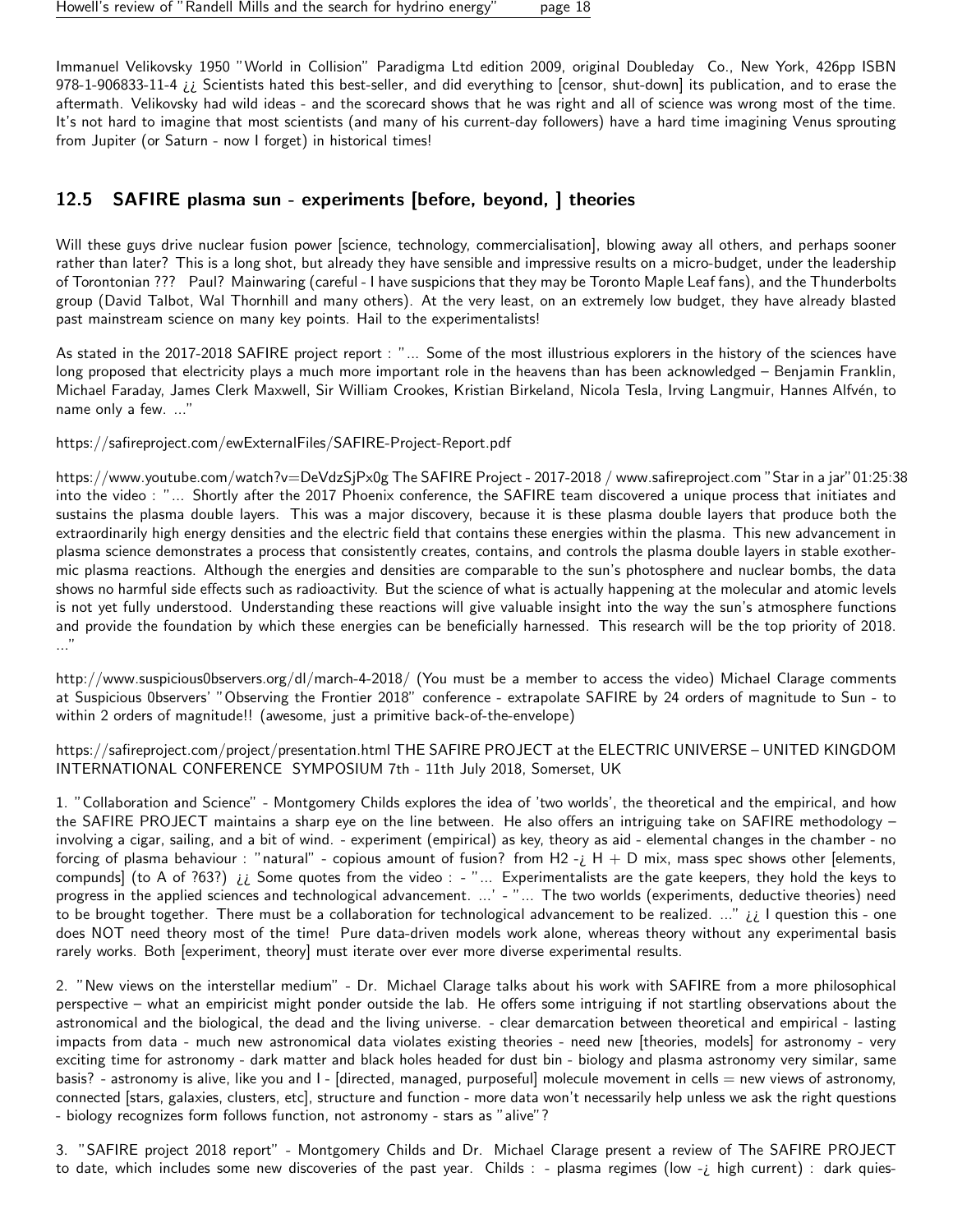Immanuel Velikovsky 1950 "World in Collision" Paradigma Ltd edition 2009, original Doubleday Co., New York, 426pp ISBN 978-1-906833-11-4  $i \ i$  Scientists hated this best-seller, and did everything to [censor, shut-down] its publication, and to erase the aftermath. Velikovsky had wild ideas - and the scorecard shows that he was right and all of science was wrong most of the time. It's not hard to imagine that most scientists (and many of his current-day followers) have a hard time imagining Venus sprouting from Jupiter (or Saturn - now I forget) in historical times!

## <span id="page-17-0"></span>12.5 SAFIRE plasma sun - experiments [before, beyond, ] theories

Will these guys drive nuclear fusion power [science, technology, commercialisation], blowing away all others, and perhaps sooner rather than later? This is a long shot, but already they have sensible and impressive results on a micro-budget, under the leadership of Torontonian ??? Paul? Mainwaring (careful - I have suspicions that they may be Toronto Maple Leaf fans), and the Thunderbolts group (David Talbot, Wal Thornhill and many others). At the very least, on an extremely low budget, they have already blasted past mainstream science on many key points. Hail to the experimentalists!

As stated in the 2017-2018 SAFIRE project report : "... Some of the most illustrious explorers in the history of the sciences have long proposed that electricity plays a much more important role in the heavens than has been acknowledged – Benjamin Franklin, Michael Faraday, James Clerk Maxwell, Sir William Crookes, Kristian Birkeland, Nicola Tesla, Irving Langmuir, Hannes Alfvén, to name only a few. ..."

https://safireproject.com/ewExternalFiles/SAFIRE-Project-Report.pdf

https://www.youtube.com/watch?v=DeVdzSjPx0g The SAFIRE Project - 2017-2018 / www.safireproject.com "Star in a jar"01:25:38 into the video : "... Shortly after the 2017 Phoenix conference, the SAFIRE team discovered a unique process that initiates and sustains the plasma double layers. This was a major discovery, because it is these plasma double layers that produce both the extraordinarily high energy densities and the electric field that contains these energies within the plasma. This new advancement in plasma science demonstrates a process that consistently creates, contains, and controls the plasma double layers in stable exothermic plasma reactions. Although the energies and densities are comparable to the sun's photosphere and nuclear bombs, the data shows no harmful side effects such as radioactivity. But the science of what is actually happening at the molecular and atomic levels is not yet fully understood. Understanding these reactions will give valuable insight into the way the sun's atmosphere functions and provide the foundation by which these energies can be beneficially harnessed. This research will be the top priority of 2018. ..."

http://www.suspicious0bservers.org/dl/march-4-2018/ (You must be a member to access the video) Michael Clarage comments at Suspicious 0bservers' "Observing the Frontier 2018" conference - extrapolate SAFIRE by 24 orders of magnitude to Sun - to within 2 orders of magnitude!! (awesome, just a primitive back-of-the-envelope)

https://safireproject.com/project/presentation.html THE SAFIRE PROJECT at the ELECTRIC UNIVERSE – UNITED KINGDOM INTERNATIONAL CONFERENCE SYMPOSIUM 7th - 11th July 2018, Somerset, UK

1. "Collaboration and Science" - Montgomery Childs explores the idea of 'two worlds', the theoretical and the empirical, and how the SAFIRE PROJECT maintains a sharp eye on the line between. He also offers an intriguing take on SAFIRE methodology – involving a cigar, sailing, and a bit of wind. - experiment (empirical) as key, theory as aid - elemental changes in the chamber - no forcing of plasma behaviour : "natural" - copious amount of fusion? from H2 -  $\mu$  + D mix, mass spec shows other [elements, compunds] (to A of ?63?)  $i\ell$  Some quotes from the video : - "... Experimentalists are the gate keepers, they hold the keys to progress in the applied sciences and technological advancement. ...' - "... The two worlds (experiments, deductive theories) need to be brought together. There must be a collaboration for technological advancement to be realized. ..."  $i \in I$  question this - one does NOT need theory most of the time! Pure data-driven models work alone, whereas theory without any experimental basis rarely works. Both [experiment, theory] must iterate over ever more diverse experimental results.

2. "New views on the interstellar medium" - Dr. Michael Clarage talks about his work with SAFIRE from a more philosophical perspective – what an empiricist might ponder outside the lab. He offers some intriguing if not startling observations about the astronomical and the biological, the dead and the living universe. - clear demarcation between theoretical and empirical - lasting impacts from data - much new astronomical data violates existing theories - need new [theories, models] for astronomy - very exciting time for astronomy - dark matter and black holes headed for dust bin - biology and plasma astronomy very similar, same basis? - astronomy is alive, like you and  $I$  - [directed, managed, purposeful] molecule movement in cells  $=$  new views of astronomy, connected [stars, galaxies, clusters, etc], structure and function - more data won't necessarily help unless we ask the right questions - biology recognizes form follows function, not astronomy - stars as "alive"?

3. "SAFIRE project 2018 report" - Montgomery Childs and Dr. Michael Clarage present a review of The SAFIRE PROJECT to date, which includes some new discoveries of the past year. Childs : - plasma regimes (low - i high current) : dark quies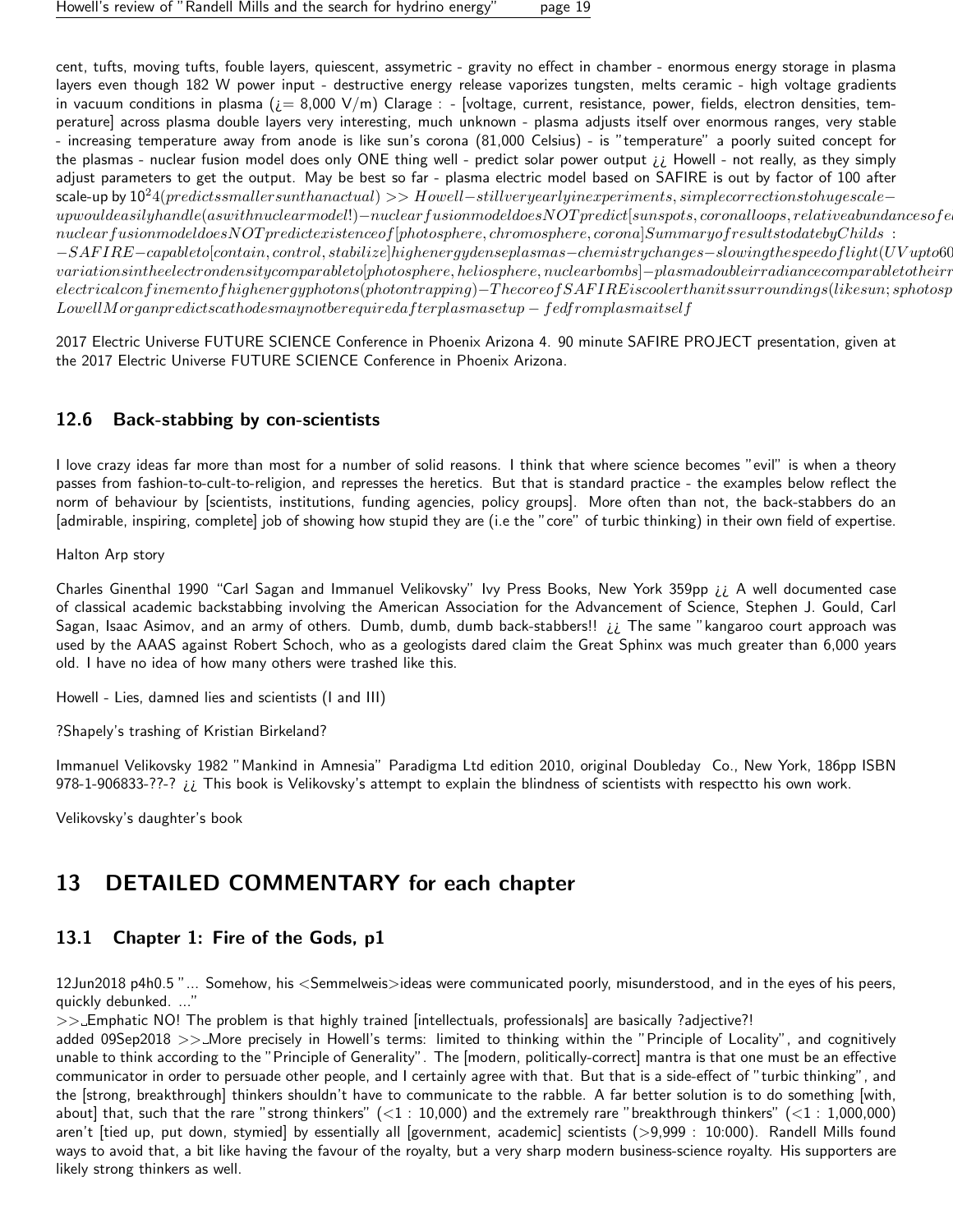cent, tufts, moving tufts, fouble layers, quiescent, assymetric - gravity no effect in chamber - enormous energy storage in plasma layers even though 182 W power input - destructive energy release vaporizes tungsten, melts ceramic - high voltage gradients in vacuum conditions in plasma  $(i= 8,000 \text{ V/m})$  Clarage : - [voltage, current, resistance, power, fields, electron densities, temperature] across plasma double layers very interesting, much unknown - plasma adjusts itself over enormous ranges, very stable - increasing temperature away from anode is like sun's corona (81,000 Celsius) - is "temperature" a poorly suited concept for the plasmas - nuclear fusion model does only ONE thing well - predict solar power output ¿¿ Howell - not really, as they simply adjust parameters to get the output. May be best so far - plasma electric model based on SAFIRE is out by factor of 100 after scale-up by  $10^{2}4(predicts smaller sunthan actual) >> Howell-still very early in experiments, simple correction stohugescale$  $up would easily handle (as with nuclear model!) - nuclear fusion model does NOT predict [sunspots, coronal loops, relative abundances of e.g. 10014, 11124, 11244, 11244, 11244, 11244, 11244, 11244, 11244, 11244, 11244, 11244, 11244, 11244, 11244, 11244, 11244, 11244, 11244, 11244, 11244, 11244, 11244, 11244, 11244, 11244, 11244$  $nuclear fusion model does NOT predict existence of [photosphere, chromosphere, corona] Summary of results to develop the two different models.$  $-SAFIRE-capable to [contain, control, stabilize] higher ergedense plasmas–chemistry changes−s lowing the speed of light (UV up to 60, 0014)$  $variation in the electron density comparable to [photosphere, heliosphere, nuclear bombs]−plasmadoubleirradiance comparable to their redi.$  $electrical confinement of higher erg photons (photon trapping)−The core of SAFIRE is cooler than its surroundings (like sun; sphotosper)$  $LowellMorgan predicts cathodes may not be required after plasma setup - fed from plasma itself$ 

2017 Electric Universe FUTURE SCIENCE Conference in Phoenix Arizona 4. 90 minute SAFIRE PROJECT presentation, given at the 2017 Electric Universe FUTURE SCIENCE Conference in Phoenix Arizona.

## <span id="page-18-0"></span>12.6 Back-stabbing by con-scientists

I love crazy ideas far more than most for a number of solid reasons. I think that where science becomes "evil" is when a theory passes from fashion-to-cult-to-religion, and represses the heretics. But that is standard practice - the examples below reflect the norm of behaviour by [scientists, institutions, funding agencies, policy groups]. More often than not, the back-stabbers do an [admirable, inspiring, complete] job of showing how stupid they are (i.e the "core" of turbic thinking) in their own field of expertise.

Halton Arp story

Charles Ginenthal 1990 "Carl Sagan and Immanuel Velikovsky" Ivy Press Books, New York 359pp ¿¿ A well documented case of classical academic backstabbing involving the American Association for the Advancement of Science, Stephen J. Gould, Carl Sagan, Isaac Asimov, and an army of others. Dumb, dumb, dumb back-stabbers!! ¿¿ The same "kangaroo court approach was used by the AAAS against Robert Schoch, who as a geologists dared claim the Great Sphinx was much greater than 6,000 years old. I have no idea of how many others were trashed like this.

Howell - Lies, damned lies and scientists (I and III)

?Shapely's trashing of Kristian Birkeland?

Immanuel Velikovsky 1982 "Mankind in Amnesia" Paradigma Ltd edition 2010, original Doubleday Co., New York, 186pp ISBN 978-1-906833-??-?  $i \in I$  This book is Velikovsky's attempt to explain the blindness of scientists with respectto his own work.

Velikovsky's daughter's book

## <span id="page-18-1"></span>13 DETAILED COMMENTARY for each chapter

## <span id="page-18-2"></span>13.1 Chapter 1: Fire of the Gods, p1

12Jun2018 p4h0.5 "... Somehow, his <Semmelweis>ideas were communicated poorly, misunderstood, and in the eyes of his peers, quickly debunked. ...'

>> Emphatic NO! The problem is that highly trained [intellectuals, professionals] are basically ?adjective?!

added 09Sep2018  $>>$  More precisely in Howell's terms: limited to thinking within the "Principle of Locality", and cognitively unable to think according to the "Principle of Generality". The [modern, politically-correct] mantra is that one must be an effective communicator in order to persuade other people, and I certainly agree with that. But that is a side-effect of "turbic thinking", and the [strong, breakthrough] thinkers shouldn't have to communicate to the rabble. A far better solution is to do something [with, about] that, such that the rare "strong thinkers"  $(<1:10,000)$  and the extremely rare "breakthrough thinkers"  $(<1:1,000,000)$ aren't [tied up, put down, stymied] by essentially all [government, academic] scientists (>9,999 : 10:000). Randell Mills found ways to avoid that, a bit like having the favour of the royalty, but a very sharp modern business-science royalty. His supporters are likely strong thinkers as well.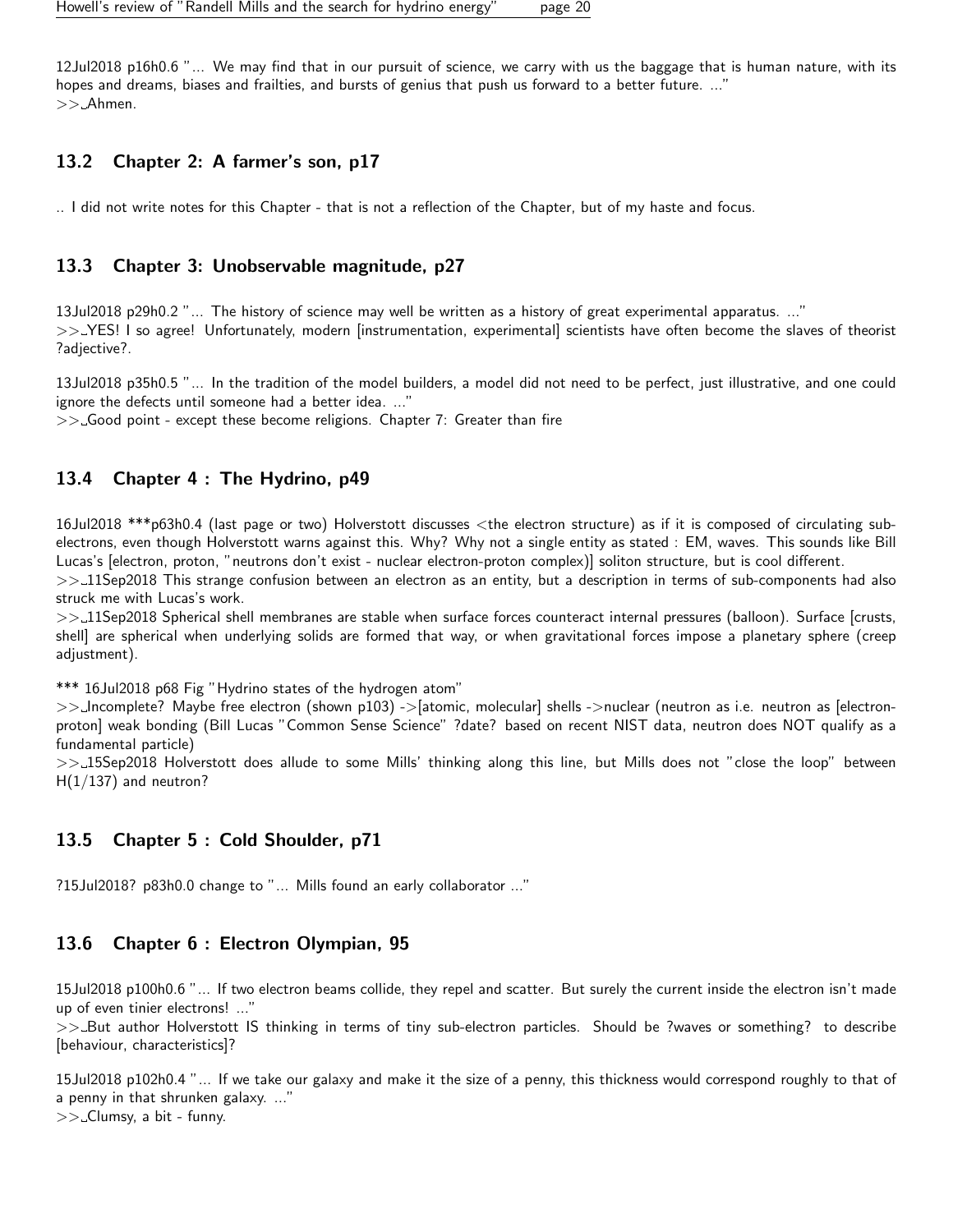12Jul2018 p16h0.6 "... We may find that in our pursuit of science, we carry with us the baggage that is human nature, with its hopes and dreams, biases and frailties, and bursts of genius that push us forward to a better future. ..." >> Ahmen.

#### <span id="page-19-0"></span>13.2 Chapter 2: A farmer's son, p17

.. I did not write notes for this Chapter - that is not a reflection of the Chapter, but of my haste and focus.

#### <span id="page-19-1"></span>13.3 Chapter 3: Unobservable magnitude, p27

13Jul2018 p29h0.2 "... The history of science may well be written as a history of great experimental apparatus. ..." >> YES! I so agree! Unfortunately, modern [instrumentation, experimental] scientists have often become the slaves of theorist ?adjective?.

13Jul2018 p35h0.5 "... In the tradition of the model builders, a model did not need to be perfect, just illustrative, and one could ignore the defects until someone had a better idea. ..."

 $\gg$  Good point - except these become religions. Chapter 7: Greater than fire

#### <span id="page-19-2"></span>13.4 Chapter 4 : The Hydrino, p49

16Jul2018 \*\*\*p63h0.4 (last page or two) Holverstott discusses <the electron structure) as if it is composed of circulating subelectrons, even though Holverstott warns against this. Why? Why not a single entity as stated : EM, waves. This sounds like Bill Lucas's [electron, proton, "neutrons don't exist - nuclear electron-proton complex)] soliton structure, but is cool different.

>>\_11Sep2018 This strange confusion between an electron as an entity, but a description in terms of sub-components had also struck me with Lucas's work.

>> 11Sep2018 Spherical shell membranes are stable when surface forces counteract internal pressures (balloon). Surface [crusts, shell] are spherical when underlying solids are formed that way, or when gravitational forces impose a planetary sphere (creep adjustment).

\*\*\* 16Jul2018 p68 Fig "Hydrino states of the hydrogen atom"

>> Incomplete? Maybe free electron (shown p103) -> [atomic, molecular] shells ->nuclear (neutron as i.e. neutron as [electronproton] weak bonding (Bill Lucas "Common Sense Science" ?date? based on recent NIST data, neutron does NOT qualify as a fundamental particle)

>>\_15Sep2018 Holverstott does allude to some Mills' thinking along this line, but Mills does not "close the loop" between  $H(1/137)$  and neutron?

#### <span id="page-19-3"></span>13.5 Chapter 5 : Cold Shoulder, p71

?15Jul2018? p83h0.0 change to "... Mills found an early collaborator ..."

#### <span id="page-19-4"></span>13.6 Chapter 6 : Electron Olympian, 95

15Jul2018 p100h0.6 "... If two electron beams collide, they repel and scatter. But surely the current inside the electron isn't made up of even tinier electrons! ..."

>> But author Holverstott IS thinking in terms of tiny sub-electron particles. Should be ?waves or something? to describe [behaviour, characteristics]?

15Jul2018 p102h0.4 "... If we take our galaxy and make it the size of a penny, this thickness would correspond roughly to that of a penny in that shrunken galaxy. ..."  $>>$  Clumsy, a bit - funny.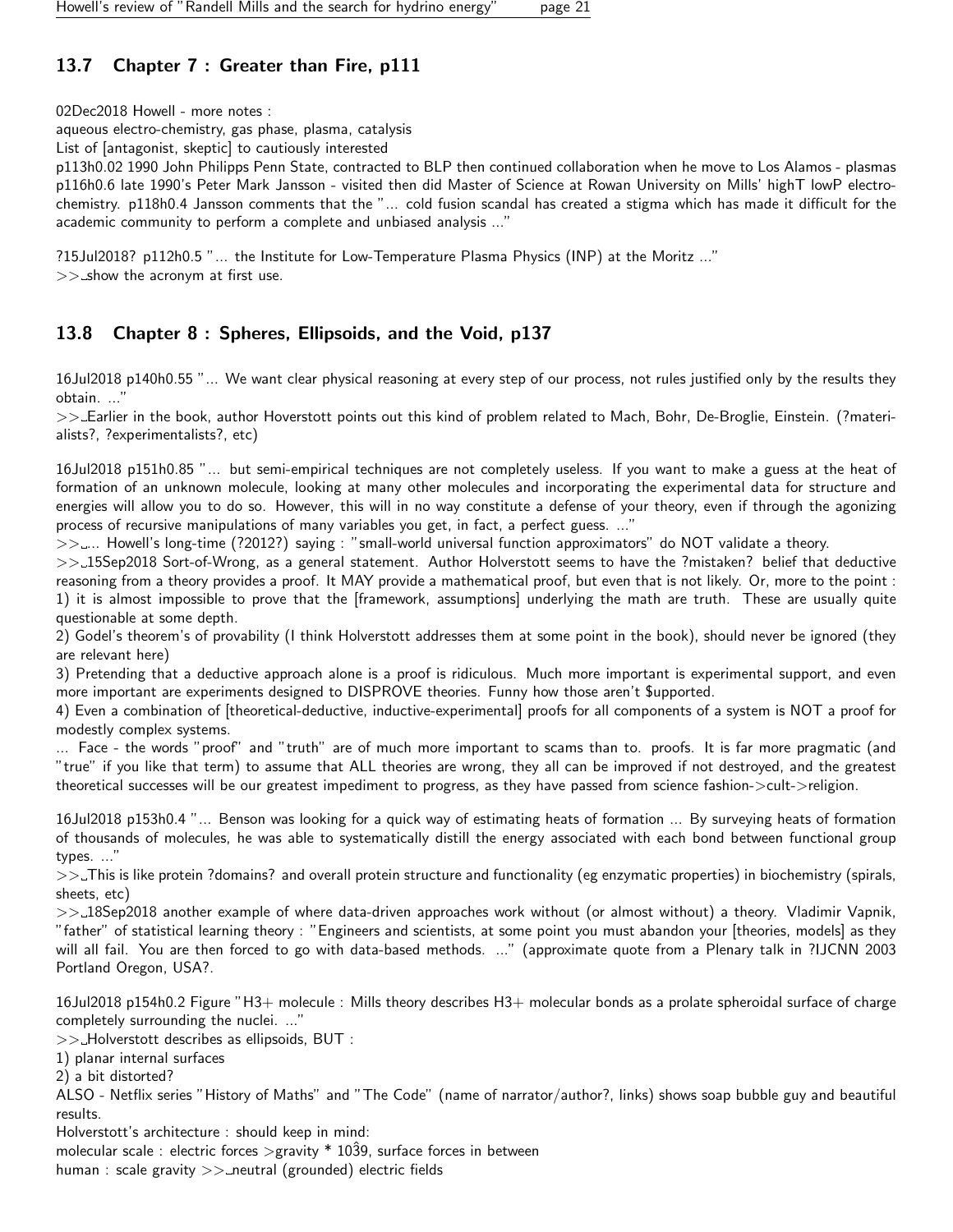## <span id="page-20-0"></span>13.7 Chapter 7 : Greater than Fire, p111

02Dec2018 Howell - more notes :

aqueous electro-chemistry, gas phase, plasma, catalysis

List of [antagonist, skeptic] to cautiously interested

p113h0.02 1990 John Philipps Penn State, contracted to BLP then continued collaboration when he move to Los Alamos - plasmas p116h0.6 late 1990's Peter Mark Jansson - visited then did Master of Science at Rowan University on Mills' highT lowP electrochemistry. p118h0.4 Jansson comments that the "... cold fusion scandal has created a stigma which has made it difficult for the academic community to perform a complete and unbiased analysis ..."

?15Jul2018? p112h0.5 "... the Institute for Low-Temperature Plasma Physics (INP) at the Moritz ..."  $>>$  show the acronym at first use.

## <span id="page-20-1"></span>13.8 Chapter 8 : Spheres, Ellipsoids, and the Void, p137

16Jul2018 p140h0.55 "... We want clear physical reasoning at every step of our process, not rules justified only by the results they obtain. ..."

>> Earlier in the book, author Hoverstott points out this kind of problem related to Mach, Bohr, De-Broglie, Einstein. (?materialists?, ?experimentalists?, etc)

16Jul2018 p151h0.85 "... but semi-empirical techniques are not completely useless. If you want to make a guess at the heat of formation of an unknown molecule, looking at many other molecules and incorporating the experimental data for structure and energies will allow you to do so. However, this will in no way constitute a defense of your theory, even if through the agonizing process of recursive manipulations of many variables you get, in fact, a perfect guess. ..."

>>.... Howell's long-time (?2012?) saying : "small-world universal function approximators" do NOT validate a theory.

>> 15Sep2018 Sort-of-Wrong, as a general statement. Author Holverstott seems to have the ?mistaken? belief that deductive reasoning from a theory provides a proof. It MAY provide a mathematical proof, but even that is not likely. Or, more to the point : 1) it is almost impossible to prove that the [framework, assumptions] underlying the math are truth. These are usually quite questionable at some depth.

2) Godel's theorem's of provability (I think Holverstott addresses them at some point in the book), should never be ignored (they are relevant here)

3) Pretending that a deductive approach alone is a proof is ridiculous. Much more important is experimental support, and even more important are experiments designed to DISPROVE theories. Funny how those aren't \$upported.

4) Even a combination of [theoretical-deductive, inductive-experimental] proofs for all components of a system is NOT a proof for modestly complex systems.

... Face - the words "proof" and "truth" are of much more important to scams than to. proofs. It is far more pragmatic (and "true" if you like that term) to assume that ALL theories are wrong, they all can be improved if not destroyed, and the greatest theoretical successes will be our greatest impediment to progress, as they have passed from science fashion->cult->religion.

16Jul2018 p153h0.4 "... Benson was looking for a quick way of estimating heats of formation ... By surveying heats of formation of thousands of molecules, he was able to systematically distill the energy associated with each bond between functional group types. ..."

>> This is like protein ?domains? and overall protein structure and functionality (eg enzymatic properties) in biochemistry (spirals, sheets, etc)

>> 18Sep2018 another example of where data-driven approaches work without (or almost without) a theory. Vladimir Vapnik, "father" of statistical learning theory : "Engineers and scientists, at some point you must abandon your [theories, models] as they will all fail. You are then forced to go with data-based methods. ..." (approximate quote from a Plenary talk in ?IJCNN 2003 Portland Oregon, USA?.

16Jul2018 p154h0.2 Figure "H3+ molecule : Mills theory describes H3+ molecular bonds as a prolate spheroidal surface of charge completely surrounding the nuclei. ..."

>> Holverstott describes as ellipsoids, BUT :

1) planar internal surfaces

2) a bit distorted?

ALSO - Netflix series "History of Maths" and "The Code" (name of narrator/author?, links) shows soap bubble guy and beautiful results.

Holverstott's architecture : should keep in mind:

molecular scale : electric forces >gravity  $*$  1039, surface forces in between human : scale gravity  $\gg$  neutral (grounded) electric fields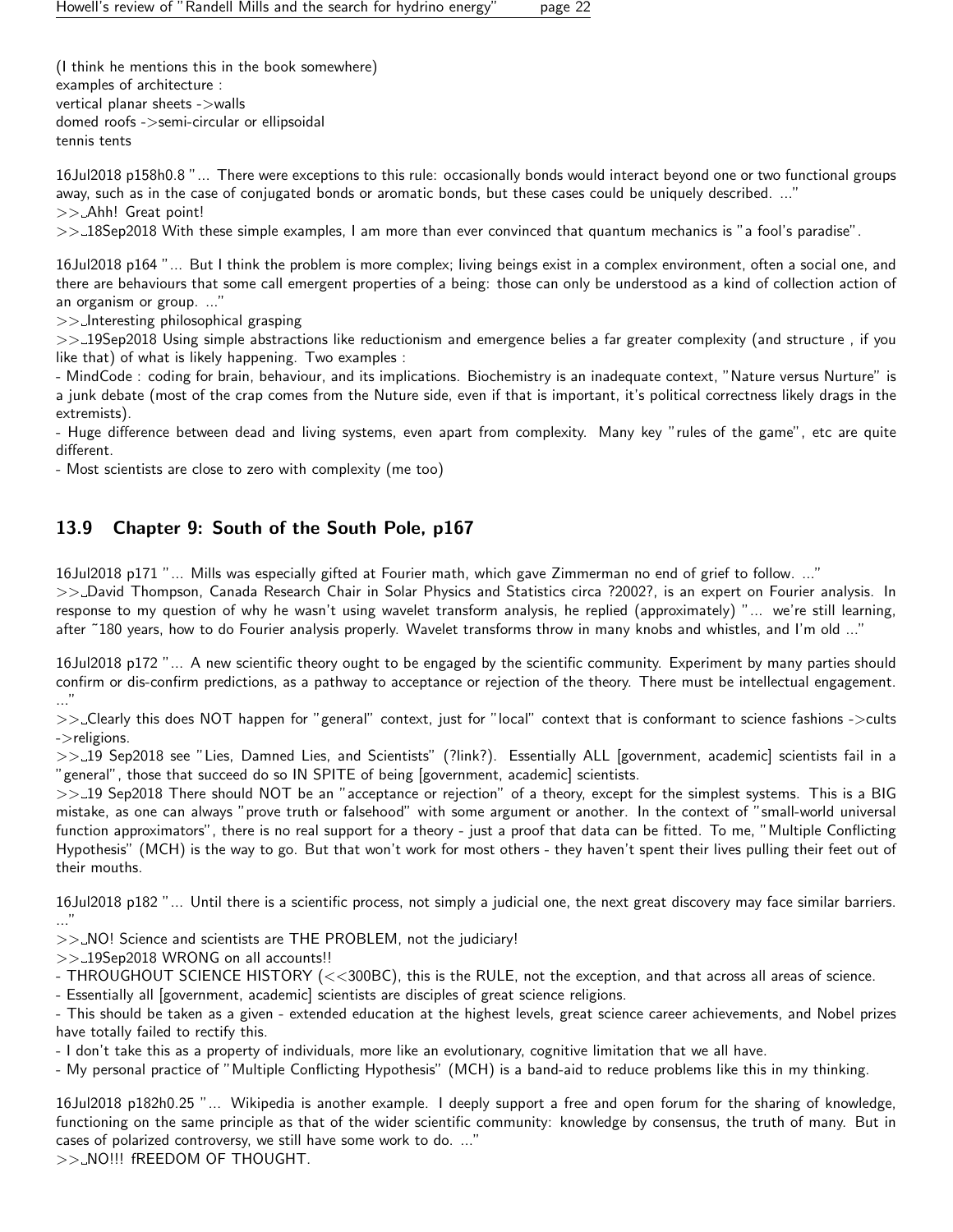(I think he mentions this in the book somewhere) examples of architecture : vertical planar sheets ->walls domed roofs ->semi-circular or ellipsoidal tennis tents

16Jul2018 p158h0.8 "... There were exceptions to this rule: occasionally bonds would interact beyond one or two functional groups away, such as in the case of conjugated bonds or aromatic bonds, but these cases could be uniquely described. ..." >> Ahh! Great point!

>> 18Sep2018 With these simple examples, I am more than ever convinced that quantum mechanics is "a fool's paradise".

16Jul2018 p164 "... But I think the problem is more complex; living beings exist in a complex environment, often a social one, and there are behaviours that some call emergent properties of a being: those can only be understood as a kind of collection action of an organism or group. ..."

 $>>$  Interesting philosophical grasping

>> 19Sep2018 Using simple abstractions like reductionism and emergence belies a far greater complexity (and structure, if you like that) of what is likely happening. Two examples :

- MindCode : coding for brain, behaviour, and its implications. Biochemistry is an inadequate context, "Nature versus Nurture" is a junk debate (most of the crap comes from the Nuture side, even if that is important, it's political correctness likely drags in the extremists).

- Huge difference between dead and living systems, even apart from complexity. Many key "rules of the game", etc are quite different.

- Most scientists are close to zero with complexity (me too)

## <span id="page-21-0"></span>13.9 Chapter 9: South of the South Pole, p167

16Jul2018 p171 "... Mills was especially gifted at Fourier math, which gave Zimmerman no end of grief to follow. ..."

>> David Thompson, Canada Research Chair in Solar Physics and Statistics circa ?2002?, is an expert on Fourier analysis. In response to my question of why he wasn't using wavelet transform analysis, he replied (approximately) "... we're still learning, after ˜180 years, how to do Fourier analysis properly. Wavelet transforms throw in many knobs and whistles, and I'm old ..."

16Jul2018 p172 "... A new scientific theory ought to be engaged by the scientific community. Experiment by many parties should confirm or dis-confirm predictions, as a pathway to acceptance or rejection of the theory. There must be intellectual engagement. ..."

>> Clearly this does NOT happen for "general" context, just for "local" context that is conformant to science fashions ->cults ->religions.

>>\_19 Sep2018 see "Lies, Damned Lies, and Scientists" (?link?). Essentially ALL [government, academic] scientists fail in a "general", those that succeed do so IN SPITE of being [government, academic] scientists.

>>-19 Sep2018 There should NOT be an "acceptance or rejection" of a theory, except for the simplest systems. This is a BIG mistake, as one can always "prove truth or falsehood" with some argument or another. In the context of "small-world universal function approximators", there is no real support for a theory - just a proof that data can be fitted. To me, "Multiple Conflicting Hypothesis" (MCH) is the way to go. But that won't work for most others - they haven't spent their lives pulling their feet out of their mouths.

16Jul2018 p182 "... Until there is a scientific process, not simply a judicial one, the next great discovery may face similar barriers. ..."

>> NO! Science and scientists are THE PROBLEM, not the judiciary!

>> 19Sep2018 WRONG on all accounts!!

- THROUGHOUT SCIENCE HISTORY (<<300BC), this is the RULE, not the exception, and that across all areas of science.

- Essentially all [government, academic] scientists are disciples of great science religions.

- This should be taken as a given - extended education at the highest levels, great science career achievements, and Nobel prizes have totally failed to rectify this.

- I don't take this as a property of individuals, more like an evolutionary, cognitive limitation that we all have.

- My personal practice of "Multiple Conflicting Hypothesis" (MCH) is a band-aid to reduce problems like this in my thinking.

16Jul2018 p182h0.25 "... Wikipedia is another example. I deeply support a free and open forum for the sharing of knowledge, functioning on the same principle as that of the wider scientific community: knowledge by consensus, the truth of many. But in cases of polarized controversy, we still have some work to do. ..."

>> NO!!! fREEDOM OF THOUGHT.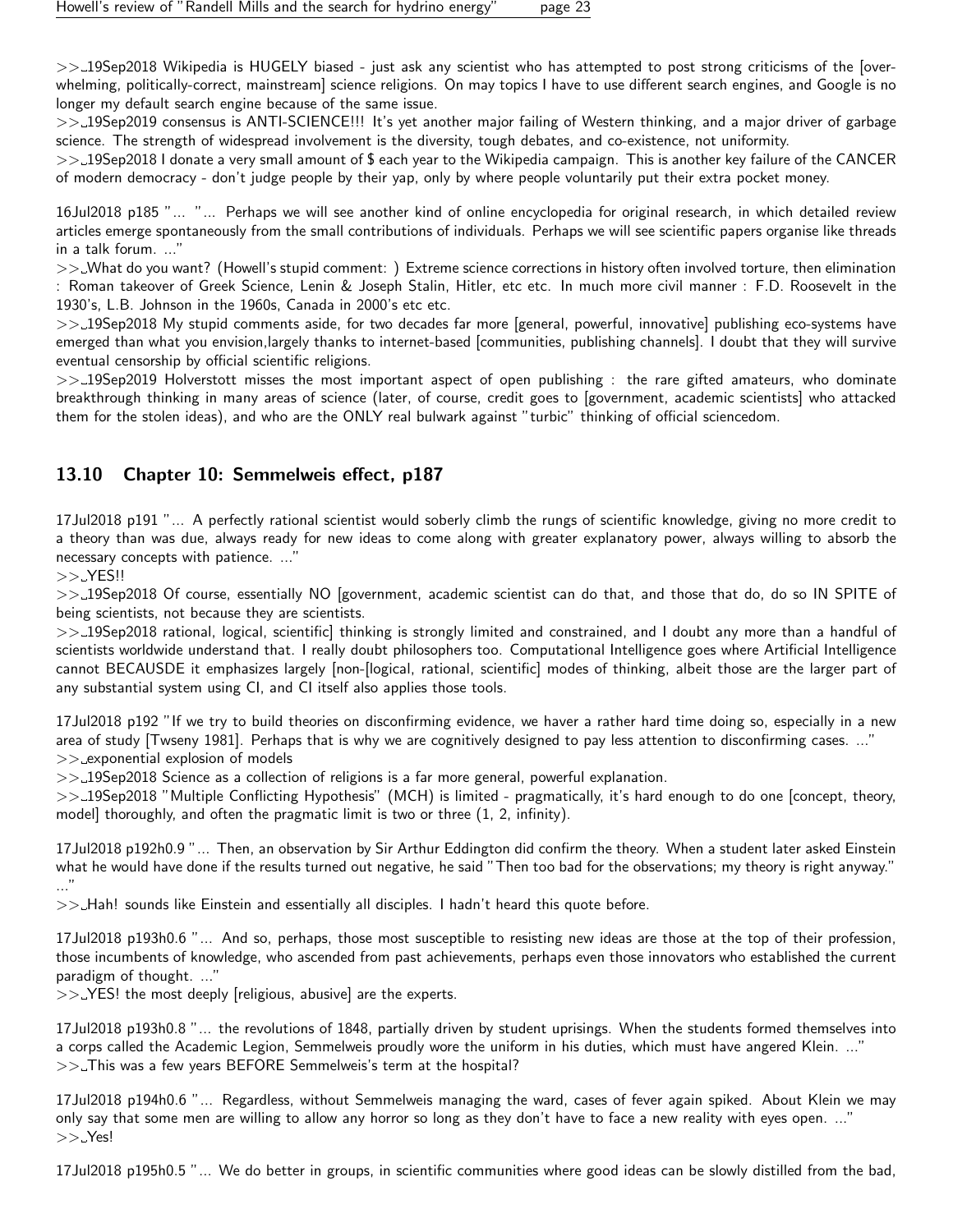$>>$  19Sep2018 Wikipedia is HUGELY biased - just ask any scientist who has attempted to post strong criticisms of the [overwhelming, politically-correct, mainstream] science religions. On may topics I have to use different search engines, and Google is no longer my default search engine because of the same issue.

>> 19Sep2019 consensus is ANTI-SCIENCE!!! It's yet another major failing of Western thinking, and a major driver of garbage science. The strength of widespread involvement is the diversity, tough debates, and co-existence, not uniformity.

>> 19Sep2018 I donate a very small amount of \$ each year to the Wikipedia campaign. This is another key failure of the CANCER of modern democracy - don't judge people by their yap, only by where people voluntarily put their extra pocket money.

16Jul2018 p185 "... "... Perhaps we will see another kind of online encyclopedia for original research, in which detailed review articles emerge spontaneously from the small contributions of individuals. Perhaps we will see scientific papers organise like threads in a talk forum. ..."

>> What do you want? (Howell's stupid comment: ) Extreme science corrections in history often involved torture, then elimination : Roman takeover of Greek Science, Lenin & Joseph Stalin, Hitler, etc etc. In much more civil manner : F.D. Roosevelt in the 1930's, L.B. Johnson in the 1960s, Canada in 2000's etc etc.

>>\_19Sep2018 My stupid comments aside, for two decades far more [general, powerful, innovative] publishing eco-systems have emerged than what you envision,largely thanks to internet-based [communities, publishing channels]. I doubt that they will survive eventual censorship by official scientific religions.

>> 19Sep2019 Holverstott misses the most important aspect of open publishing : the rare gifted amateurs, who dominate breakthrough thinking in many areas of science (later, of course, credit goes to [government, academic scientists] who attacked them for the stolen ideas), and who are the ONLY real bulwark against "turbic" thinking of official sciencedom.

## <span id="page-22-0"></span>13.10 Chapter 10: Semmelweis effect, p187

17Jul2018 p191 "... A perfectly rational scientist would soberly climb the rungs of scientific knowledge, giving no more credit to a theory than was due, always ready for new ideas to come along with greater explanatory power, always willing to absorb the necessary concepts with patience. ..."

 $>> YES!!$ 

>> 19Sep2018 Of course, essentially NO [government, academic scientist can do that, and those that do, do so IN SPITE of being scientists, not because they are scientists.

>> 19Sep2018 rational, logical, scientific] thinking is strongly limited and constrained, and I doubt any more than a handful of scientists worldwide understand that. I really doubt philosophers too. Computational Intelligence goes where Artificial Intelligence cannot BECAUSDE it emphasizes largely [non-[logical, rational, scientific] modes of thinking, albeit those are the larger part of any substantial system using CI, and CI itself also applies those tools.

17Jul2018 p192 "If we try to build theories on disconfirming evidence, we haver a rather hard time doing so, especially in a new area of study [Twseny 1981]. Perhaps that is why we are cognitively designed to pay less attention to disconfirming cases. ..."  $>>$  exponential explosion of models

>> 19Sep2018 Science as a collection of religions is a far more general, powerful explanation.

>> 19Sep2018 "Multiple Conflicting Hypothesis" (MCH) is limited - pragmatically, it's hard enough to do one [concept, theory, model] thoroughly, and often the pragmatic limit is two or three (1, 2, infinity).

17Jul2018 p192h0.9 "... Then, an observation by Sir Arthur Eddington did confirm the theory. When a student later asked Einstein what he would have done if the results turned out negative, he said "Then too bad for the observations; my theory is right anyway." ..."

>> Hah! sounds like Einstein and essentially all disciples. I hadn't heard this quote before.

17Jul2018 p193h0.6 "... And so, perhaps, those most susceptible to resisting new ideas are those at the top of their profession, those incumbents of knowledge, who ascended from past achievements, perhaps even those innovators who established the current paradigm of thought. ..."

 $>>$  YES! the most deeply [religious, abusive] are the experts.

17Jul2018 p193h0.8 "... the revolutions of 1848, partially driven by student uprisings. When the students formed themselves into a corps called the Academic Legion, Semmelweis proudly wore the uniform in his duties, which must have angered Klein. ..."  $\gg$  This was a few years BEFORE Semmelweis's term at the hospital?

17Jul2018 p194h0.6 "... Regardless, without Semmelweis managing the ward, cases of fever again spiked. About Klein we may only say that some men are willing to allow any horror so long as they don't have to face a new reality with eyes open. ..."  $>>$  Yes!

17Jul2018 p195h0.5 "... We do better in groups, in scientific communities where good ideas can be slowly distilled from the bad,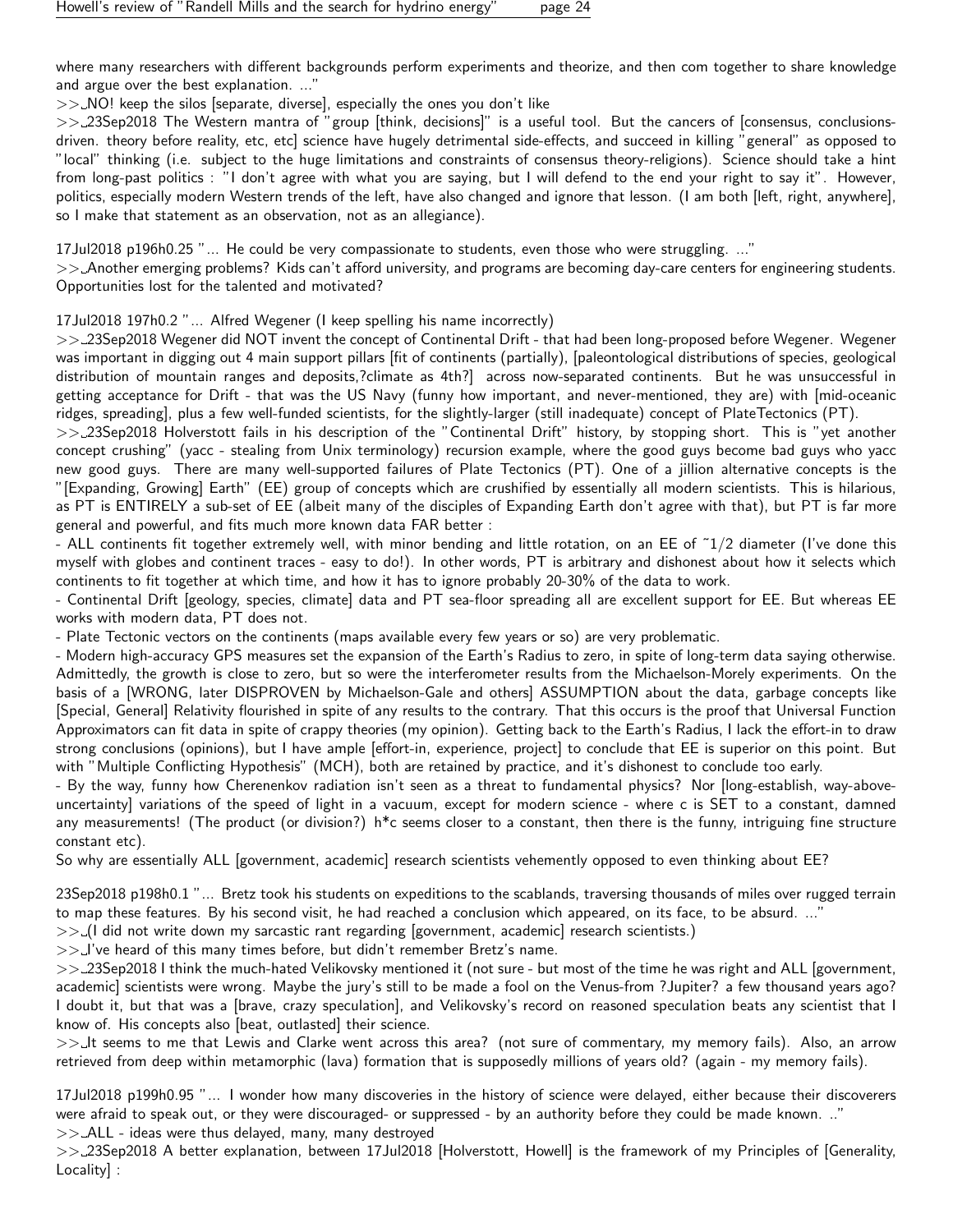where many researchers with different backgrounds perform experiments and theorize, and then com together to share knowledge and argue over the best explanation. ..."

>> NO! keep the silos [separate, diverse], especially the ones you don't like

>> 23Sep2018 The Western mantra of "group [think, decisions]" is a useful tool. But the cancers of [consensus, conclusionsdriven. theory before reality, etc, etc] science have hugely detrimental side-effects, and succeed in killing "general" as opposed to "local" thinking (i.e. subject to the huge limitations and constraints of consensus theory-religions). Science should take a hint from long-past politics : "I don't agree with what you are saying, but I will defend to the end your right to say it". However, politics, especially modern Western trends of the left, have also changed and ignore that lesson. (I am both [left, right, anywhere], so I make that statement as an observation, not as an allegiance).

17Jul2018 p196h0.25 "... He could be very compassionate to students, even those who were struggling. ..."

>> Another emerging problems? Kids can't afford university, and programs are becoming day-care centers for engineering students. Opportunities lost for the talented and motivated?

17Jul2018 197h0.2 "... Alfred Wegener (I keep spelling his name incorrectly)

>> 23Sep2018 Wegener did NOT invent the concept of Continental Drift - that had been long-proposed before Wegener. Wegener was important in digging out 4 main support pillars [fit of continents (partially), [paleontological distributions of species, geological distribution of mountain ranges and deposits,?climate as 4th?] across now-separated continents. But he was unsuccessful in getting acceptance for Drift - that was the US Navy (funny how important, and never-mentioned, they are) with [mid-oceanic ridges, spreading], plus a few well-funded scientists, for the slightly-larger (still inadequate) concept of PlateTectonics (PT).

>> 23Sep2018 Holverstott fails in his description of the "Continental Drift" history, by stopping short. This is "yet another concept crushing" (yacc - stealing from Unix terminology) recursion example, where the good guys become bad guys who yacc new good guys. There are many well-supported failures of Plate Tectonics (PT). One of a jillion alternative concepts is the "[Expanding, Growing] Earth" (EE) group of concepts which are crushified by essentially all modern scientists. This is hilarious, as PT is ENTIRELY a sub-set of EE (albeit many of the disciples of Expanding Earth don't agree with that), but PT is far more general and powerful, and fits much more known data FAR better :

- ALL continents fit together extremely well, with minor bending and little rotation, on an EE of ˜1/2 diameter (I've done this myself with globes and continent traces - easy to do!). In other words, PT is arbitrary and dishonest about how it selects which continents to fit together at which time, and how it has to ignore probably 20-30% of the data to work.

- Continental Drift [geology, species, climate] data and PT sea-floor spreading all are excellent support for EE. But whereas EE works with modern data, PT does not.

- Plate Tectonic vectors on the continents (maps available every few years or so) are very problematic.

- Modern high-accuracy GPS measures set the expansion of the Earth's Radius to zero, in spite of long-term data saying otherwise. Admittedly, the growth is close to zero, but so were the interferometer results from the Michaelson-Morely experiments. On the basis of a [WRONG, later DISPROVEN by Michaelson-Gale and others] ASSUMPTION about the data, garbage concepts like [Special, General] Relativity flourished in spite of any results to the contrary. That this occurs is the proof that Universal Function Approximators can fit data in spite of crappy theories (my opinion). Getting back to the Earth's Radius, I lack the effort-in to draw strong conclusions (opinions), but I have ample [effort-in, experience, project] to conclude that EE is superior on this point. But with "Multiple Conflicting Hypothesis" (MCH), both are retained by practice, and it's dishonest to conclude too early.

- By the way, funny how Cherenenkov radiation isn't seen as a threat to fundamental physics? Nor [long-establish, way-aboveuncertainty] variations of the speed of light in a vacuum, except for modern science - where c is SET to a constant, damned any measurements! (The product (or division?)  $h^*c$  seems closer to a constant, then there is the funny, intriguing fine structure constant etc).

So why are essentially ALL [government, academic] research scientists vehemently opposed to even thinking about EE?

23Sep2018 p198h0.1 "... Bretz took his students on expeditions to the scablands, traversing thousands of miles over rugged terrain to map these features. By his second visit, he had reached a conclusion which appeared, on its face, to be absurd. ..."

 $>>$  (I did not write down my sarcastic rant regarding [government, academic] research scientists.)

>> I've heard of this many times before, but didn't remember Bretz's name.

>> 23Sep2018 I think the much-hated Velikovsky mentioned it (not sure - but most of the time he was right and ALL [government, academic] scientists were wrong. Maybe the jury's still to be made a fool on the Venus-from ?Jupiter? a few thousand years ago? I doubt it, but that was a [brave, crazy speculation], and Velikovsky's record on reasoned speculation beats any scientist that I know of. His concepts also [beat, outlasted] their science.

>>\_It seems to me that Lewis and Clarke went across this area? (not sure of commentary, my memory fails). Also, an arrow retrieved from deep within metamorphic (lava) formation that is supposedly millions of years old? (again - my memory fails).

17Jul2018 p199h0.95 "... I wonder how many discoveries in the history of science were delayed, either because their discoverers were afraid to speak out, or they were discouraged- or suppressed - by an authority before they could be made known. .."

 $>>$  ALL - ideas were thus delayed, many, many destroyed

>> 23Sep2018 A better explanation, between 17Jul2018 [Holverstott, Howell] is the framework of my Principles of [Generality, Locality] :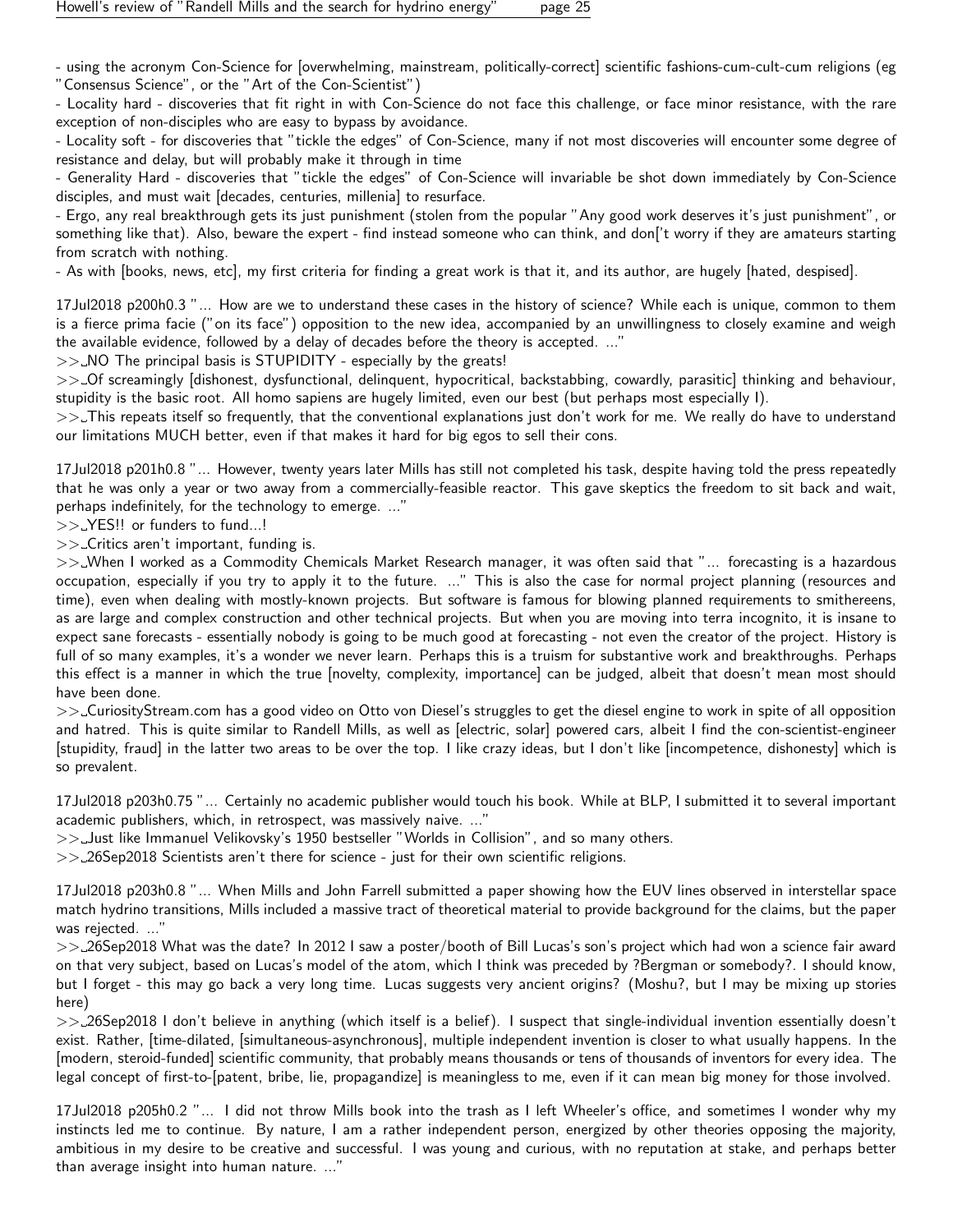- using the acronym Con-Science for [overwhelming, mainstream, politically-correct] scientific fashions-cum-cult-cum religions (eg "Consensus Science", or the "Art of the Con-Scientist")

- Locality hard - discoveries that fit right in with Con-Science do not face this challenge, or face minor resistance, with the rare exception of non-disciples who are easy to bypass by avoidance.

- Locality soft - for discoveries that "tickle the edges" of Con-Science, many if not most discoveries will encounter some degree of resistance and delay, but will probably make it through in time

- Generality Hard - discoveries that "tickle the edges" of Con-Science will invariable be shot down immediately by Con-Science disciples, and must wait [decades, centuries, millenia] to resurface.

- Ergo, any real breakthrough gets its just punishment (stolen from the popular "Any good work deserves it's just punishment", or something like that). Also, beware the expert - find instead someone who can think, and don['t worry if they are amateurs starting from scratch with nothing.

- As with [books, news, etc], my first criteria for finding a great work is that it, and its author, are hugely [hated, despised].

17Jul2018 p200h0.3 "... How are we to understand these cases in the history of science? While each is unique, common to them is a fierce prima facie ("on its face") opposition to the new idea, accompanied by an unwillingness to closely examine and weigh the available evidence, followed by a delay of decades before the theory is accepted. ..."

 $\gg$  NO The principal basis is STUPIDITY - especially by the greats!

>> Of screamingly [dishonest, dysfunctional, delinquent, hypocritical, backstabbing, cowardly, parasitic] thinking and behaviour, stupidity is the basic root. All homo sapiens are hugely limited, even our best (but perhaps most especially I).

>>\_This repeats itself so frequently, that the conventional explanations just don't work for me. We really do have to understand our limitations MUCH better, even if that makes it hard for big egos to sell their cons.

17Jul2018 p201h0.8 "... However, twenty years later Mills has still not completed his task, despite having told the press repeatedly that he was only a year or two away from a commercially-feasible reactor. This gave skeptics the freedom to sit back and wait, perhaps indefinitely, for the technology to emerge. ..."

>> YES!! or funders to fund...!

 $\gg$  Critics aren't important, funding is.

>> When I worked as a Commodity Chemicals Market Research manager, it was often said that "... forecasting is a hazardous occupation, especially if you try to apply it to the future. ..." This is also the case for normal project planning (resources and time), even when dealing with mostly-known projects. But software is famous for blowing planned requirements to smithereens, as are large and complex construction and other technical projects. But when you are moving into terra incognito, it is insane to expect sane forecasts - essentially nobody is going to be much good at forecasting - not even the creator of the project. History is full of so many examples, it's a wonder we never learn. Perhaps this is a truism for substantive work and breakthroughs. Perhaps this effect is a manner in which the true [novelty, complexity, importance] can be judged, albeit that doesn't mean most should have been done.

>> CuriosityStream.com has a good video on Otto von Diesel's struggles to get the diesel engine to work in spite of all opposition and hatred. This is quite similar to Randell Mills, as well as [electric, solar] powered cars, albeit I find the con-scientist-engineer [stupidity, fraud] in the latter two areas to be over the top. I like crazy ideas, but I don't like [incompetence, dishonesty] which is so prevalent.

17Jul2018 p203h0.75 "... Certainly no academic publisher would touch his book. While at BLP, I submitted it to several important academic publishers, which, in retrospect, was massively naive. ..."

>> Just like Immanuel Velikovsky's 1950 bestseller "Worlds in Collision", and so many others.

>> 26Sep2018 Scientists aren't there for science - just for their own scientific religions.

17Jul2018 p203h0.8 "... When Mills and John Farrell submitted a paper showing how the EUV lines observed in interstellar space match hydrino transitions, Mills included a massive tract of theoretical material to provide background for the claims, but the paper was rejected. ..."

>> 26Sep2018 What was the date? In 2012 I saw a poster/booth of Bill Lucas's son's project which had won a science fair award on that very subject, based on Lucas's model of the atom, which I think was preceded by ?Bergman or somebody?. I should know, but I forget - this may go back a very long time. Lucas suggests very ancient origins? (Moshu?, but I may be mixing up stories here)

>> 26Sep2018 I don't believe in anything (which itself is a belief). I suspect that single-individual invention essentially doesn't exist. Rather, [time-dilated, [simultaneous-asynchronous], multiple independent invention is closer to what usually happens. In the [modern, steroid-funded] scientific community, that probably means thousands or tens of thousands of inventors for every idea. The legal concept of first-to-[patent, bribe, lie, propagandize] is meaningless to me, even if it can mean big money for those involved.

17Jul2018 p205h0.2 "... I did not throw Mills book into the trash as I left Wheeler's office, and sometimes I wonder why my instincts led me to continue. By nature, I am a rather independent person, energized by other theories opposing the majority, ambitious in my desire to be creative and successful. I was young and curious, with no reputation at stake, and perhaps better than average insight into human nature. ..."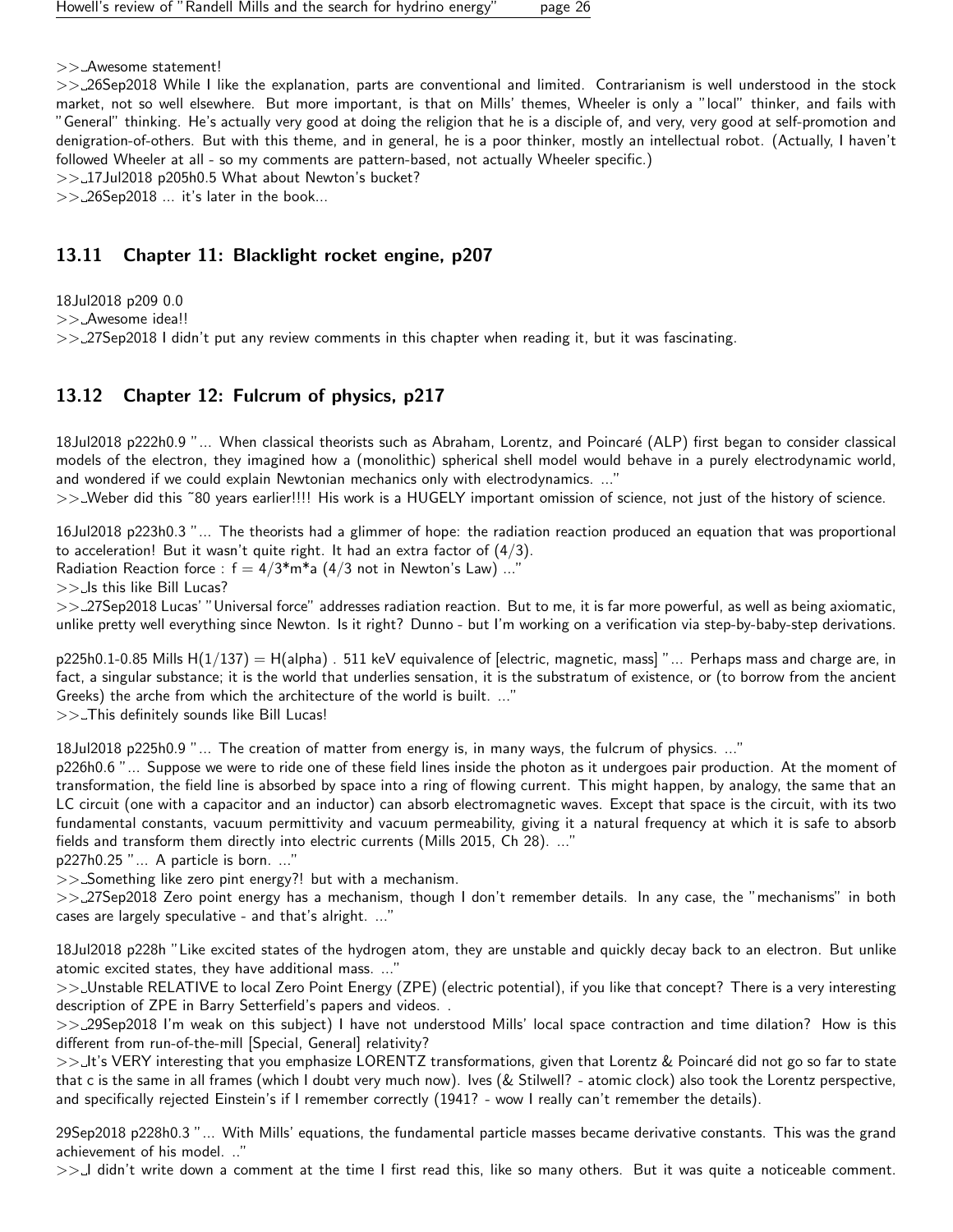>> Awesome statement!

>> 26Sep2018 While I like the explanation, parts are conventional and limited. Contrarianism is well understood in the stock market, not so well elsewhere. But more important, is that on Mills' themes, Wheeler is only a "local" thinker, and fails with "General" thinking. He's actually very good at doing the religion that he is a disciple of, and very, very good at self-promotion and denigration-of-others. But with this theme, and in general, he is a poor thinker, mostly an intellectual robot. (Actually, I haven't followed Wheeler at all - so my comments are pattern-based, not actually Wheeler specific.)

>> 17Jul2018 p205h0.5 What about Newton's bucket?

 $>> 26$ Sep2018  $...$  it's later in the book...

## <span id="page-25-0"></span>13.11 Chapter 11: Blacklight rocket engine, p207

18Jul2018 p209 0.0

>> Awesome idea!!

 $\gg$  27Sep2018 I didn't put any review comments in this chapter when reading it, but it was fascinating.

## <span id="page-25-1"></span>13.12 Chapter 12: Fulcrum of physics, p217

18Jul2018 p222h0.9 "... When classical theorists such as Abraham, Lorentz, and Poincaré (ALP) first began to consider classical models of the electron, they imagined how a (monolithic) spherical shell model would behave in a purely electrodynamic world, and wondered if we could explain Newtonian mechanics only with electrodynamics. ..."

>> Weber did this ˜80 years earlier!!!! His work is a HUGELY important omission of science, not just of the history of science.

16Jul2018 p223h0.3 "... The theorists had a glimmer of hope: the radiation reaction produced an equation that was proportional to acceleration! But it wasn't quite right. It had an extra factor of (4/3).

Radiation Reaction force :  $f = 4/3$ <sup>\*</sup>m<sup>\*</sup>a (4/3 not in Newton's Law) ...

 $>>$  Is this like Bill Lucas?

>> 27Sep2018 Lucas' "Universal force" addresses radiation reaction. But to me, it is far more powerful, as well as being axiomatic, unlike pretty well everything since Newton. Is it right? Dunno - but I'm working on a verification via step-by-baby-step derivations.

 $p225h0.1-0.85$  Mills H( $1/137$ ) = H(alpha) . 511 keV equivalence of [electric, magnetic, mass] "... Perhaps mass and charge are, in fact, a singular substance; it is the world that underlies sensation, it is the substratum of existence, or (to borrow from the ancient Greeks) the arche from which the architecture of the world is built. ..."

>> This definitely sounds like Bill Lucas!

18Jul2018 p225h0.9 "... The creation of matter from energy is, in many ways, the fulcrum of physics. ..."

p226h0.6 "... Suppose we were to ride one of these field lines inside the photon as it undergoes pair production. At the moment of transformation, the field line is absorbed by space into a ring of flowing current. This might happen, by analogy, the same that an LC circuit (one with a capacitor and an inductor) can absorb electromagnetic waves. Except that space is the circuit, with its two fundamental constants, vacuum permittivity and vacuum permeability, giving it a natural frequency at which it is safe to absorb fields and transform them directly into electric currents (Mills 2015, Ch 28). ..."

p227h0.25 "... A particle is born. ..."

>> Something like zero pint energy?! but with a mechanism.

>> 27Sep2018 Zero point energy has a mechanism, though I don't remember details. In any case, the "mechanisms" in both cases are largely speculative - and that's alright. ..."

18Jul2018 p228h "Like excited states of the hydrogen atom, they are unstable and quickly decay back to an electron. But unlike atomic excited states, they have additional mass. ...'

>> Unstable RELATIVE to local Zero Point Energy (ZPE) (electric potential), if you like that concept? There is a very interesting description of ZPE in Barry Setterfield's papers and videos. .

>> 29Sep2018 I'm weak on this subject) I have not understood Mills' local space contraction and time dilation? How is this different from run-of-the-mill [Special, General] relativity?

>>\_It's VERY interesting that you emphasize LORENTZ transformations, given that Lorentz & Poincaré did not go so far to state that c is the same in all frames (which I doubt very much now). Ives (& Stilwell? - atomic clock) also took the Lorentz perspective, and specifically rejected Einstein's if I remember correctly (1941? - wow I really can't remember the details).

29Sep2018 p228h0.3 "... With Mills' equations, the fundamental particle masses became derivative constants. This was the grand achievement of his model. .."

>>\_I didn't write down a comment at the time I first read this, like so many others. But it was quite a noticeable comment.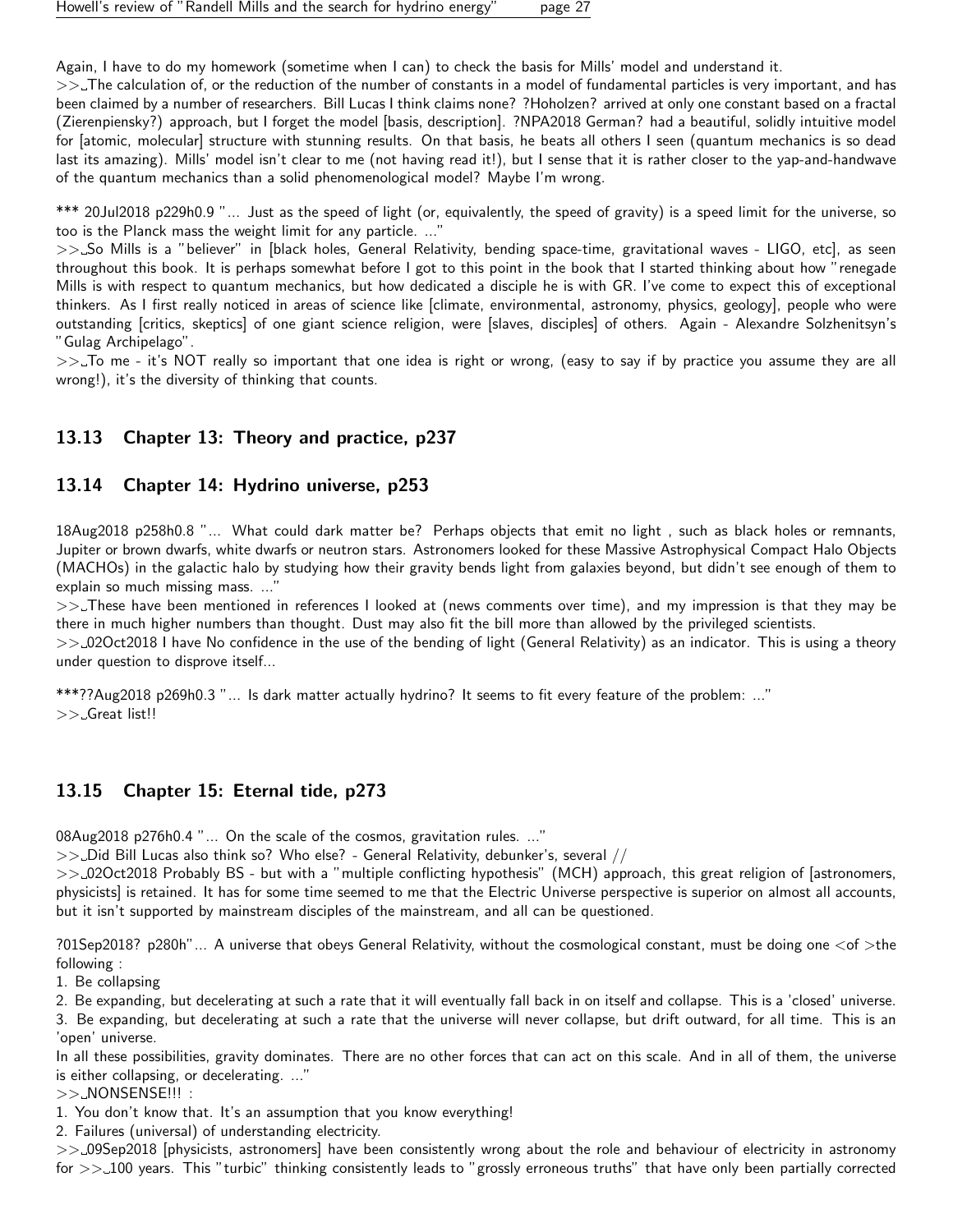Again, I have to do my homework (sometime when I can) to check the basis for Mills' model and understand it.

>>\_The calculation of, or the reduction of the number of constants in a model of fundamental particles is very important, and has been claimed by a number of researchers. Bill Lucas I think claims none? ?Hoholzen? arrived at only one constant based on a fractal (Zierenpiensky?) approach, but I forget the model [basis, description]. ?NPA2018 German? had a beautiful, solidly intuitive model for [atomic, molecular] structure with stunning results. On that basis, he beats all others I seen (quantum mechanics is so dead last its amazing). Mills' model isn't clear to me (not having read it!), but I sense that it is rather closer to the yap-and-handwave of the quantum mechanics than a solid phenomenological model? Maybe I'm wrong.

\*\*\* 20Jul2018 p229h0.9 "... Just as the speed of light (or, equivalently, the speed of gravity) is a speed limit for the universe, so too is the Planck mass the weight limit for any particle. ...'

>>\_So Mills is a "believer" in [black holes, General Relativity, bending space-time, gravitational waves - LIGO, etc], as seen throughout this book. It is perhaps somewhat before I got to this point in the book that I started thinking about how "renegade Mills is with respect to quantum mechanics, but how dedicated a disciple he is with GR. I've come to expect this of exceptional thinkers. As I first really noticed in areas of science like [climate, environmental, astronomy, physics, geology], people who were outstanding [critics, skeptics] of one giant science religion, were [slaves, disciples] of others. Again - Alexandre Solzhenitsyn's "Gulag Archipelago".

>>. To me - it's NOT really so important that one idea is right or wrong, (easy to say if by practice you assume they are all wrong!), it's the diversity of thinking that counts.

#### <span id="page-26-0"></span>13.13 Chapter 13: Theory and practice, p237

#### <span id="page-26-1"></span>13.14 Chapter 14: Hydrino universe, p253

18Aug2018 p258h0.8 "... What could dark matter be? Perhaps objects that emit no light , such as black holes or remnants, Jupiter or brown dwarfs, white dwarfs or neutron stars. Astronomers looked for these Massive Astrophysical Compact Halo Objects (MACHOs) in the galactic halo by studying how their gravity bends light from galaxies beyond, but didn't see enough of them to explain so much missing mass. ...'

>> These have been mentioned in references I looked at (news comments over time), and my impression is that they may be there in much higher numbers than thought. Dust may also fit the bill more than allowed by the privileged scientists.

>> 02Oct2018 I have No confidence in the use of the bending of light (General Relativity) as an indicator. This is using a theory under question to disprove itself...

\*\*\*??Aug2018 p269h0.3 "... Is dark matter actually hydrino? It seems to fit every feature of the problem: ..." >> Great list!!

#### <span id="page-26-2"></span>13.15 Chapter 15: Eternal tide, p273

08Aug2018 p276h0.4 "... On the scale of the cosmos, gravitation rules. ..."

 $>>$  Did Bill Lucas also think so? Who else? - General Relativity, debunker's, several //

>> 02Oct2018 Probably BS - but with a "multiple conflicting hypothesis" (MCH) approach, this great religion of [astronomers, physicists] is retained. It has for some time seemed to me that the Electric Universe perspective is superior on almost all accounts, but it isn't supported by mainstream disciples of the mainstream, and all can be questioned.

?01Sep2018? p280h"... A universe that obeys General Relativity, without the cosmological constant, must be doing one <of >the following :

1. Be collapsing

2. Be expanding, but decelerating at such a rate that it will eventually fall back in on itself and collapse. This is a 'closed' universe.

3. Be expanding, but decelerating at such a rate that the universe will never collapse, but drift outward, for all time. This is an 'open' universe.

In all these possibilities, gravity dominates. There are no other forces that can act on this scale. And in all of them, the universe is either collapsing, or decelerating. ..."

>> NONSENSE!!! :

1. You don't know that. It's an assumption that you know everything!

2. Failures (universal) of understanding electricity.

>> 09Sep2018 [physicists, astronomers] have been consistently wrong about the role and behaviour of electricity in astronomy for >> 100 years. This "turbic" thinking consistently leads to "grossly erroneous truths" that have only been partially corrected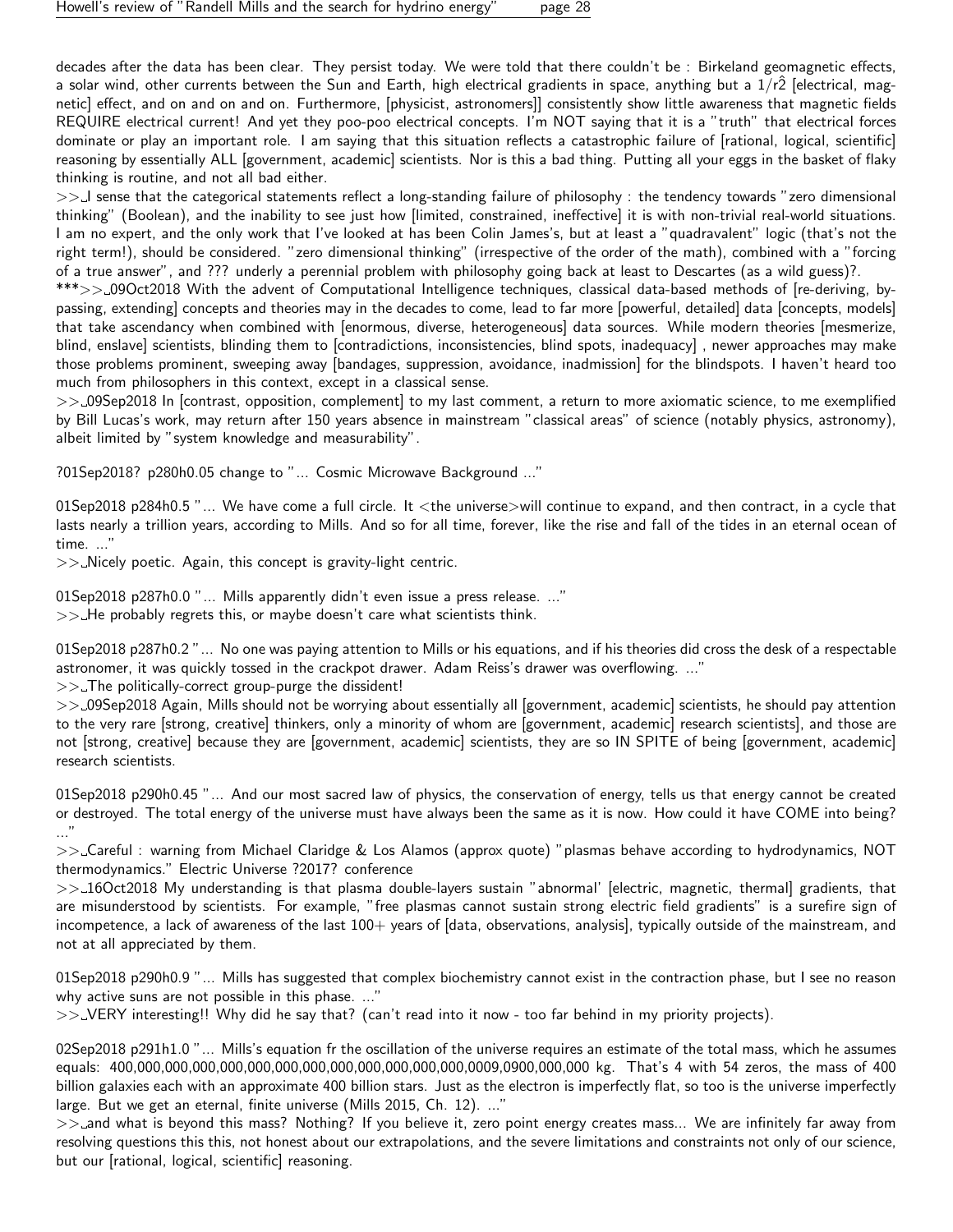decades after the data has been clear. They persist today. We were told that there couldn't be : Birkeland geomagnetic effects, a solar wind, other currents between the Sun and Earth, high electrical gradients in space, anything but a  $1/r\hat{2}$  [electrical, magnetic] effect, and on and on and on. Furthermore, [physicist, astronomers]] consistently show little awareness that magnetic fields REQUIRE electrical current! And yet they poo-poo electrical concepts. I'm NOT saying that it is a "truth" that electrical forces dominate or play an important role. I am saying that this situation reflects a catastrophic failure of [rational, logical, scientific] reasoning by essentially ALL [government, academic] scientists. Nor is this a bad thing. Putting all your eggs in the basket of flaky thinking is routine, and not all bad either.

>> I sense that the categorical statements reflect a long-standing failure of philosophy : the tendency towards "zero dimensional thinking" (Boolean), and the inability to see just how [limited, constrained, ineffective] it is with non-trivial real-world situations. I am no expert, and the only work that I've looked at has been Colin James's, but at least a "quadravalent" logic (that's not the right term!), should be considered. "zero dimensional thinking" (irrespective of the order of the math), combined with a "forcing of a true answer", and ??? underly a perennial problem with philosophy going back at least to Descartes (as a wild guess)?.

\*\*\*>> 09Oct2018 With the advent of Computational Intelligence techniques, classical data-based methods of [re-deriving, bypassing, extending] concepts and theories may in the decades to come, lead to far more [powerful, detailed] data [concepts, models] that take ascendancy when combined with [enormous, diverse, heterogeneous] data sources. While modern theories [mesmerize, blind, enslave] scientists, blinding them to [contradictions, inconsistencies, blind spots, inadequacy] , newer approaches may make those problems prominent, sweeping away [bandages, suppression, avoidance, inadmission] for the blindspots. I haven't heard too much from philosophers in this context, except in a classical sense.

>> 09Sep2018 In [contrast, opposition, complement] to my last comment, a return to more axiomatic science, to me exemplified by Bill Lucas's work, may return after 150 years absence in mainstream "classical areas" of science (notably physics, astronomy), albeit limited by "system knowledge and measurability".

?01Sep2018? p280h0.05 change to "... Cosmic Microwave Background ..."

01Sep2018 p284h0.5 "... We have come a full circle. It <the universe>will continue to expand, and then contract, in a cycle that lasts nearly a trillion years, according to Mills. And so for all time, forever, like the rise and fall of the tides in an eternal ocean of time. ..."

 $\gg$  Nicely poetic. Again, this concept is gravity-light centric.

01Sep2018 p287h0.0 "... Mills apparently didn't even issue a press release. ..."  $>>$  He probably regrets this, or maybe doesn't care what scientists think.

01Sep2018 p287h0.2 "... No one was paying attention to Mills or his equations, and if his theories did cross the desk of a respectable astronomer, it was quickly tossed in the crackpot drawer. Adam Reiss's drawer was overflowing. ..."

 $\gg$ . The politically-correct group-purge the dissident!

>> 09Sep2018 Again, Mills should not be worrying about essentially all [government, academic] scientists, he should pay attention to the very rare [strong, creative] thinkers, only a minority of whom are [government, academic] research scientists], and those are not [strong, creative] because they are [government, academic] scientists, they are so IN SPITE of being [government, academic] research scientists.

01Sep2018 p290h0.45 "... And our most sacred law of physics, the conservation of energy, tells us that energy cannot be created or destroyed. The total energy of the universe must have always been the same as it is now. How could it have COME into being? ..."

>> Careful : warning from Michael Claridge & Los Alamos (approx quote) "plasmas behave according to hydrodynamics, NOT thermodynamics." Electric Universe ?2017? conference

>> 16Oct2018 My understanding is that plasma double-layers sustain "abnormal' [electric, magnetic, thermal] gradients, that are misunderstood by scientists. For example, "free plasmas cannot sustain strong electric field gradients" is a surefire sign of incompetence, a lack of awareness of the last 100+ years of [data, observations, analysis], typically outside of the mainstream, and not at all appreciated by them.

01Sep2018 p290h0.9 "... Mills has suggested that complex biochemistry cannot exist in the contraction phase, but I see no reason why active suns are not possible in this phase. ..."

 $>>$  VERY interesting!! Why did he say that? (can't read into it now - too far behind in my priority projects).

02Sep2018 p291h1.0 "... Mills's equation fr the oscillation of the universe requires an estimate of the total mass, which he assumes equals: 400,000,000,000,000,000,000,000,000,000,000,000,000,0009,0900,000,000 kg. That's 4 with 54 zeros, the mass of 400 billion galaxies each with an approximate 400 billion stars. Just as the electron is imperfectly flat, so too is the universe imperfectly large. But we get an eternal, finite universe (Mills 2015, Ch. 12). ..."

>> and what is beyond this mass? Nothing? If you believe it, zero point energy creates mass... We are infinitely far away from resolving questions this this, not honest about our extrapolations, and the severe limitations and constraints not only of our science, but our [rational, logical, scientific] reasoning.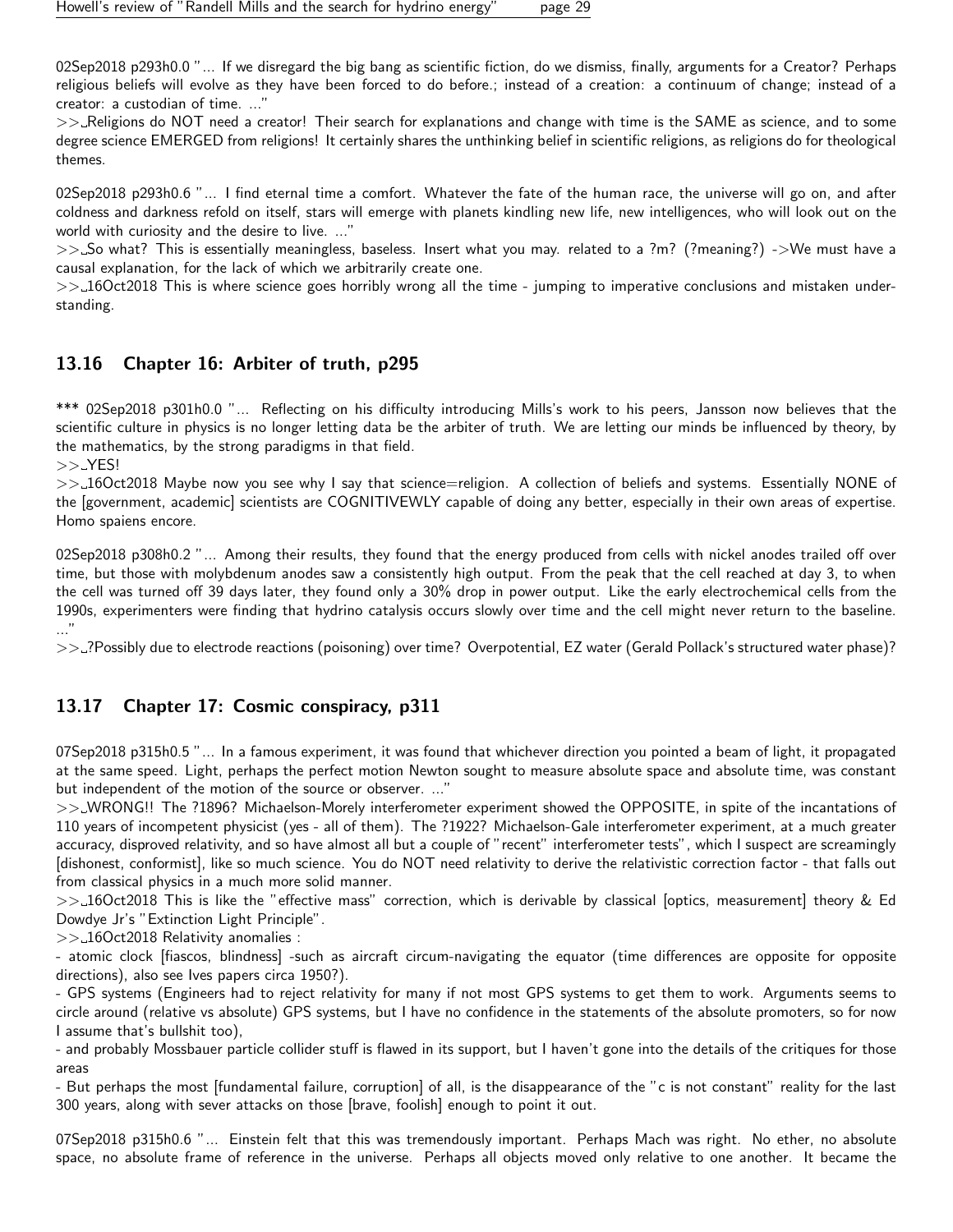02Sep2018 p293h0.0 "... If we disregard the big bang as scientific fiction, do we dismiss, finally, arguments for a Creator? Perhaps religious beliefs will evolve as they have been forced to do before.; instead of a creation: a continuum of change; instead of a creator: a custodian of time. ..."

>> Religions do NOT need a creator! Their search for explanations and change with time is the SAME as science, and to some degree science EMERGED from religions! It certainly shares the unthinking belief in scientific religions, as religions do for theological themes.

02Sep2018 p293h0.6 "... I find eternal time a comfort. Whatever the fate of the human race, the universe will go on, and after coldness and darkness refold on itself, stars will emerge with planets kindling new life, new intelligences, who will look out on the world with curiosity and the desire to live. ..."

>> So what? This is essentially meaningless, baseless. Insert what you may. related to a ?m? (?meaning?) ->We must have a causal explanation, for the lack of which we arbitrarily create one.

 $>>16Oct2018$  This is where science goes horribly wrong all the time - jumping to imperative conclusions and mistaken understanding.

## <span id="page-28-0"></span>13.16 Chapter 16: Arbiter of truth, p295

\*\*\* 02Sep2018 p301h0.0 "... Reflecting on his difficulty introducing Mills's work to his peers, Jansson now believes that the scientific culture in physics is no longer letting data be the arbiter of truth. We are letting our minds be influenced by theory, by the mathematics, by the strong paradigms in that field.

 $>> YES!$ 

>> 16Oct2018 Maybe now you see why I say that science=religion. A collection of beliefs and systems. Essentially NONE of the [government, academic] scientists are COGNITIVEWLY capable of doing any better, especially in their own areas of expertise. Homo spaiens encore.

02Sep2018 p308h0.2 "... Among their results, they found that the energy produced from cells with nickel anodes trailed off over time, but those with molybdenum anodes saw a consistently high output. From the peak that the cell reached at day 3, to when the cell was turned off 39 days later, they found only a 30% drop in power output. Like the early electrochemical cells from the 1990s, experimenters were finding that hydrino catalysis occurs slowly over time and the cell might never return to the baseline. ..."

>> ?Possibly due to electrode reactions (poisoning) over time? Overpotential, EZ water (Gerald Pollack's structured water phase)?

## <span id="page-28-1"></span>13.17 Chapter 17: Cosmic conspiracy, p311

07Sep2018 p315h0.5 "... In a famous experiment, it was found that whichever direction you pointed a beam of light, it propagated at the same speed. Light, perhaps the perfect motion Newton sought to measure absolute space and absolute time, was constant but independent of the motion of the source or observer. ..."

>> WRONG!! The ?1896? Michaelson-Morely interferometer experiment showed the OPPOSITE, in spite of the incantations of 110 years of incompetent physicist (yes - all of them). The ?1922? Michaelson-Gale interferometer experiment, at a much greater accuracy, disproved relativity, and so have almost all but a couple of "recent" interferometer tests", which I suspect are screamingly [dishonest, conformist], like so much science. You do NOT need relativity to derive the relativistic correction factor - that falls out from classical physics in a much more solid manner.

>> 16Oct2018 This is like the "effective mass" correction, which is derivable by classical [optics, measurement] theory & Ed Dowdye Jr's "Extinction Light Principle".

>> 16Oct2018 Relativity anomalies :

- atomic clock [fiascos, blindness] -such as aircraft circum-navigating the equator (time differences are opposite for opposite directions), also see Ives papers circa 1950?).

- GPS systems (Engineers had to reject relativity for many if not most GPS systems to get them to work. Arguments seems to circle around (relative vs absolute) GPS systems, but I have no confidence in the statements of the absolute promoters, so for now I assume that's bullshit too),

- and probably Mossbauer particle collider stuff is flawed in its support, but I haven't gone into the details of the critiques for those areas

- But perhaps the most [fundamental failure, corruption] of all, is the disappearance of the "c is not constant" reality for the last 300 years, along with sever attacks on those [brave, foolish] enough to point it out.

07Sep2018 p315h0.6 "... Einstein felt that this was tremendously important. Perhaps Mach was right. No ether, no absolute space, no absolute frame of reference in the universe. Perhaps all objects moved only relative to one another. It became the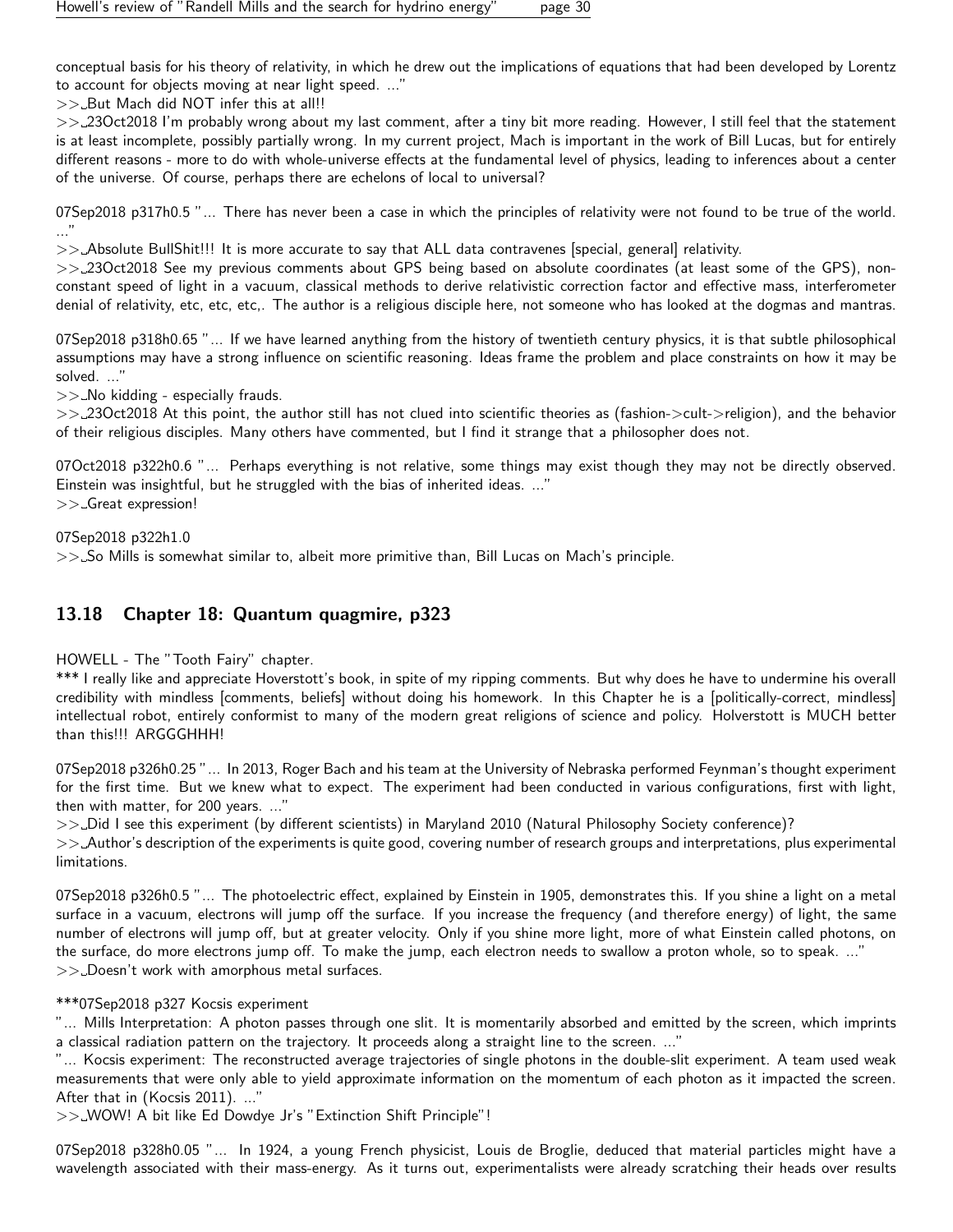conceptual basis for his theory of relativity, in which he drew out the implications of equations that had been developed by Lorentz to account for objects moving at near light speed. ..."

 $>>$  But Mach did NOT infer this at all!!

>> 23Oct2018 I'm probably wrong about my last comment, after a tiny bit more reading. However, I still feel that the statement is at least incomplete, possibly partially wrong. In my current project, Mach is important in the work of Bill Lucas, but for entirely different reasons - more to do with whole-universe effects at the fundamental level of physics, leading to inferences about a center of the universe. Of course, perhaps there are echelons of local to universal?

07Sep2018 p317h0.5 "... There has never been a case in which the principles of relativity were not found to be true of the world. ..."

>> Absolute BullShit!!! It is more accurate to say that ALL data contravenes [special, general] relativity.

>> 23Oct2018 See my previous comments about GPS being based on absolute coordinates (at least some of the GPS), nonconstant speed of light in a vacuum, classical methods to derive relativistic correction factor and effective mass, interferometer denial of relativity, etc, etc, etc,. The author is a religious disciple here, not someone who has looked at the dogmas and mantras.

07Sep2018 p318h0.65 "... If we have learned anything from the history of twentieth century physics, it is that subtle philosophical assumptions may have a strong influence on scientific reasoning. Ideas frame the problem and place constraints on how it may be solved. ..."

 $>>$  No kidding - especially frauds.

>> 23Oct2018 At this point, the author still has not clued into scientific theories as (fashion->cult->religion), and the behavior of their religious disciples. Many others have commented, but I find it strange that a philosopher does not.

07Oct2018 p322h0.6 "... Perhaps everything is not relative, some things may exist though they may not be directly observed. Einstein was insightful, but he struggled with the bias of inherited ideas. ..." >> Great expression!

07Sep2018 p322h1.0

>> So Mills is somewhat similar to, albeit more primitive than, Bill Lucas on Mach's principle.

## <span id="page-29-0"></span>13.18 Chapter 18: Quantum quagmire, p323

HOWELL - The "Tooth Fairy" chapter.

\*\*\* I really like and appreciate Hoverstott's book, in spite of my ripping comments. But why does he have to undermine his overall credibility with mindless [comments, beliefs] without doing his homework. In this Chapter he is a [politically-correct, mindless] intellectual robot, entirely conformist to many of the modern great religions of science and policy. Holverstott is MUCH better than this!!! ARGGGHHH!

07Sep2018 p326h0.25 "... In 2013, Roger Bach and his team at the University of Nebraska performed Feynman's thought experiment for the first time. But we knew what to expect. The experiment had been conducted in various configurations, first with light, then with matter, for 200 years. ..."

>> Did I see this experiment (by different scientists) in Maryland 2010 (Natural Philosophy Society conference)?

>> Author's description of the experiments is quite good, covering number of research groups and interpretations, plus experimental limitations.

07Sep2018 p326h0.5 "... The photoelectric effect, explained by Einstein in 1905, demonstrates this. If you shine a light on a metal surface in a vacuum, electrons will jump off the surface. If you increase the frequency (and therefore energy) of light, the same number of electrons will jump off, but at greater velocity. Only if you shine more light, more of what Einstein called photons, on the surface, do more electrons jump off. To make the jump, each electron needs to swallow a proton whole, so to speak. ..." >> Doesn't work with amorphous metal surfaces.

#### \*\*\*07Sep2018 p327 Kocsis experiment

"... Mills Interpretation: A photon passes through one slit. It is momentarily absorbed and emitted by the screen, which imprints a classical radiation pattern on the trajectory. It proceeds along a straight line to the screen. ..."

"... Kocsis experiment: The reconstructed average trajectories of single photons in the double-slit experiment. A team used weak measurements that were only able to yield approximate information on the momentum of each photon as it impacted the screen. After that in (Kocsis 2011). ..."

>> WOW! A bit like Ed Dowdye Jr's "Extinction Shift Principle"!

07Sep2018 p328h0.05 "... In 1924, a young French physicist, Louis de Broglie, deduced that material particles might have a wavelength associated with their mass-energy. As it turns out, experimentalists were already scratching their heads over results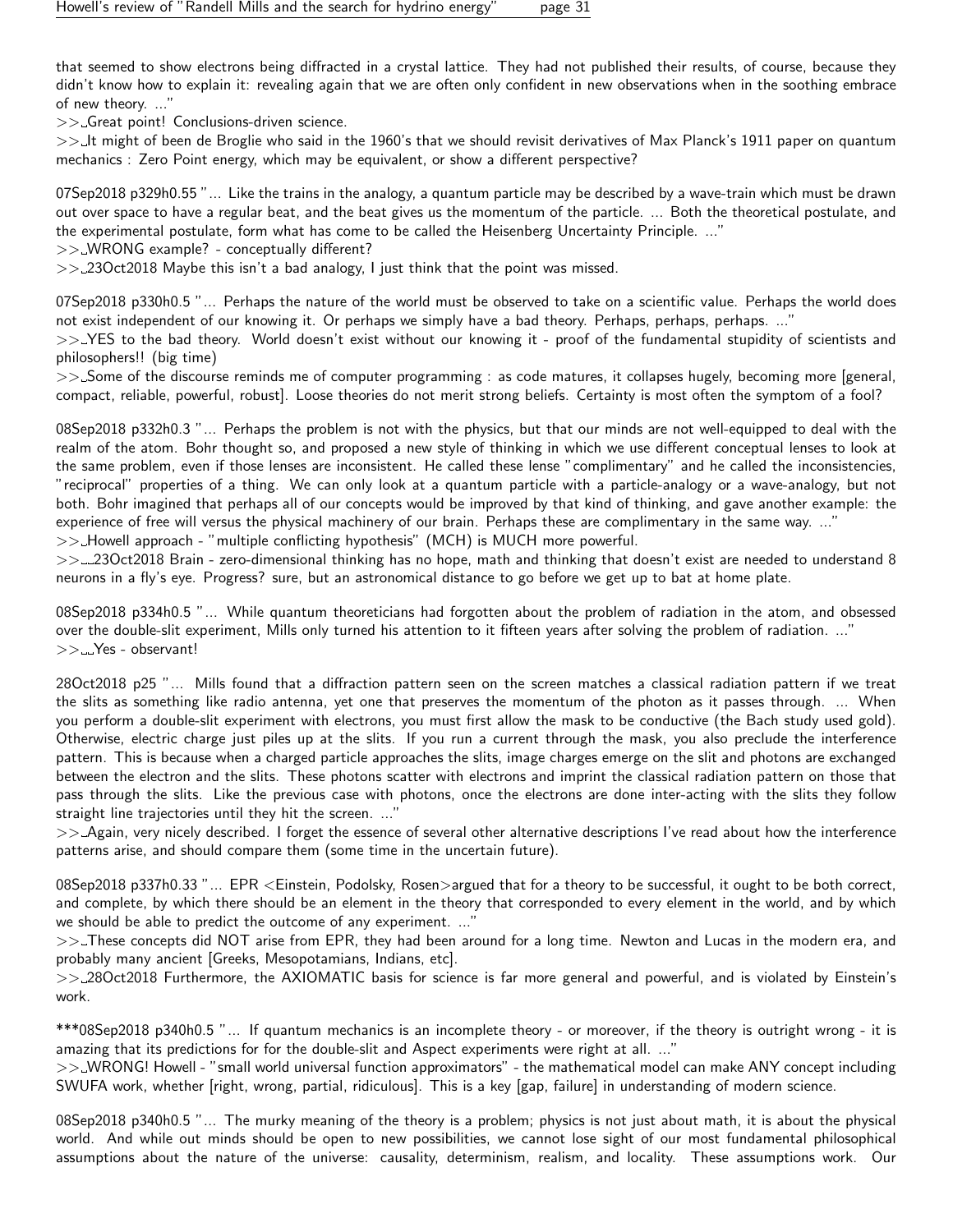that seemed to show electrons being diffracted in a crystal lattice. They had not published their results, of course, because they didn't know how to explain it: revealing again that we are often only confident in new observations when in the soothing embrace of new theory. ..."

>> Great point! Conclusions-driven science.

>> It might of been de Broglie who said in the 1960's that we should revisit derivatives of Max Planck's 1911 paper on quantum mechanics : Zero Point energy, which may be equivalent, or show a different perspective?

07Sep2018 p329h0.55 "... Like the trains in the analogy, a quantum particle may be described by a wave-train which must be drawn out over space to have a regular beat, and the beat gives us the momentum of the particle. ... Both the theoretical postulate, and the experimental postulate, form what has come to be called the Heisenberg Uncertainty Principle. ..."

>> WRONG example? - conceptually different?

 $>>$  23Oct2018 Maybe this isn't a bad analogy, I just think that the point was missed.

07Sep2018 p330h0.5 "... Perhaps the nature of the world must be observed to take on a scientific value. Perhaps the world does not exist independent of our knowing it. Or perhaps we simply have a bad theory. Perhaps, perhaps, perhaps. ..."

>>>YES to the bad theory. World doesn't exist without our knowing it - proof of the fundamental stupidity of scientists and philosophers!! (big time)

>> Some of the discourse reminds me of computer programming : as code matures, it collapses hugely, becoming more [general, compact, reliable, powerful, robust]. Loose theories do not merit strong beliefs. Certainty is most often the symptom of a fool?

08Sep2018 p332h0.3 "... Perhaps the problem is not with the physics, but that our minds are not well-equipped to deal with the realm of the atom. Bohr thought so, and proposed a new style of thinking in which we use different conceptual lenses to look at the same problem, even if those lenses are inconsistent. He called these lense "complimentary" and he called the inconsistencies, "reciprocal" properties of a thing. We can only look at a quantum particle with a particle-analogy or a wave-analogy, but not both. Bohr imagined that perhaps all of our concepts would be improved by that kind of thinking, and gave another example: the experience of free will versus the physical machinery of our brain. Perhaps these are complimentary in the same way. ..."

>> Howell approach - "multiple conflicting hypothesis" (MCH) is MUCH more powerful.

>> 23Oct2018 Brain - zero-dimensional thinking has no hope, math and thinking that doesn't exist are needed to understand 8 neurons in a fly's eye. Progress? sure, but an astronomical distance to go before we get up to bat at home plate.

08Sep2018 p334h0.5 "... While quantum theoreticians had forgotten about the problem of radiation in the atom, and obsessed over the double-slit experiment, Mills only turned his attention to it fifteen years after solving the problem of radiation. ..." >> \_\_Yes - observant!

28Oct2018 p25 "... Mills found that a diffraction pattern seen on the screen matches a classical radiation pattern if we treat the slits as something like radio antenna, yet one that preserves the momentum of the photon as it passes through. ... When you perform a double-slit experiment with electrons, you must first allow the mask to be conductive (the Bach study used gold). Otherwise, electric charge just piles up at the slits. If you run a current through the mask, you also preclude the interference pattern. This is because when a charged particle approaches the slits, image charges emerge on the slit and photons are exchanged between the electron and the slits. These photons scatter with electrons and imprint the classical radiation pattern on those that pass through the slits. Like the previous case with photons, once the electrons are done inter-acting with the slits they follow straight line trajectories until they hit the screen. ..."

>> Again, very nicely described. I forget the essence of several other alternative descriptions I've read about how the interference patterns arise, and should compare them (some time in the uncertain future).

08Sep2018 p337h0.33 "... EPR <Einstein, Podolsky, Rosen>argued that for a theory to be successful, it ought to be both correct, and complete, by which there should be an element in the theory that corresponded to every element in the world, and by which we should be able to predict the outcome of any experiment. ..."

>>. These concepts did NOT arise from EPR, they had been around for a long time. Newton and Lucas in the modern era, and probably many ancient [Greeks, Mesopotamians, Indians, etc].

>> 28Oct2018 Furthermore, the AXIOMATIC basis for science is far more general and powerful, and is violated by Einstein's work.

\*\*\*08Sep2018 p340h0.5 "... If quantum mechanics is an incomplete theory - or moreover, if the theory is outright wrong - it is amazing that its predictions for for the double-slit and Aspect experiments were right at all. ..."

>> WRONG! Howell - "small world universal function approximators" - the mathematical model can make ANY concept including SWUFA work, whether [right, wrong, partial, ridiculous]. This is a key [gap, failure] in understanding of modern science.

08Sep2018 p340h0.5 "... The murky meaning of the theory is a problem; physics is not just about math, it is about the physical world. And while out minds should be open to new possibilities, we cannot lose sight of our most fundamental philosophical assumptions about the nature of the universe: causality, determinism, realism, and locality. These assumptions work. Our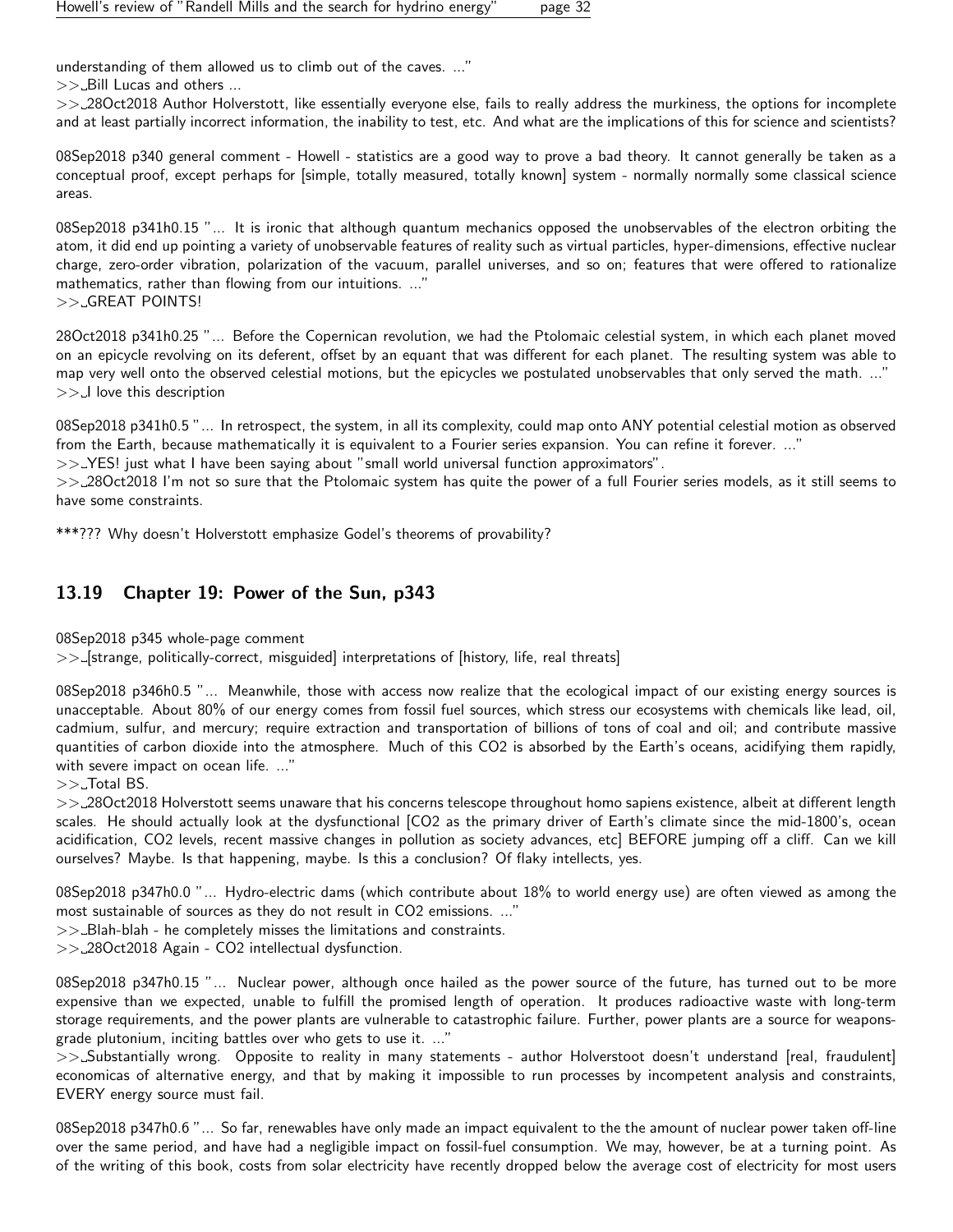understanding of them allowed us to climb out of the caves. ..."

>> Bill Lucas and others ...

>> 28Oct2018 Author Holverstott, like essentially everyone else, fails to really address the murkiness, the options for incomplete and at least partially incorrect information, the inability to test, etc. And what are the implications of this for science and scientists?

08Sep2018 p340 general comment - Howell - statistics are a good way to prove a bad theory. It cannot generally be taken as a conceptual proof, except perhaps for [simple, totally measured, totally known] system - normally normally some classical science areas.

08Sep2018 p341h0.15 "... It is ironic that although quantum mechanics opposed the unobservables of the electron orbiting the atom, it did end up pointing a variety of unobservable features of reality such as virtual particles, hyper-dimensions, effective nuclear charge, zero-order vibration, polarization of the vacuum, parallel universes, and so on; features that were offered to rationalize mathematics, rather than flowing from our intuitions. ..." >> GREAT POINTS!

28Oct2018 p341h0.25 "... Before the Copernican revolution, we had the Ptolomaic celestial system, in which each planet moved on an epicycle revolving on its deferent, offset by an equant that was different for each planet. The resulting system was able to map very well onto the observed celestial motions, but the epicycles we postulated unobservables that only served the math. ..."  $>>$  I love this description

08Sep2018 p341h0.5 "... In retrospect, the system, in all its complexity, could map onto ANY potential celestial motion as observed from the Earth, because mathematically it is equivalent to a Fourier series expansion. You can refine it forever. ..."

>> YES! just what I have been saying about "small world universal function approximators".

>> 28Oct2018 I'm not so sure that the Ptolomaic system has quite the power of a full Fourier series models, as it still seems to have some constraints.

\*\*\*??? Why doesn't Holverstott emphasize Godel's theorems of provability?

## <span id="page-31-0"></span>13.19 Chapter 19: Power of the Sun, p343

08Sep2018 p345 whole-page comment

>> [strange, politically-correct, misguided] interpretations of [history, life, real threats]

08Sep2018 p346h0.5 "... Meanwhile, those with access now realize that the ecological impact of our existing energy sources is unacceptable. About 80% of our energy comes from fossil fuel sources, which stress our ecosystems with chemicals like lead, oil, cadmium, sulfur, and mercury; require extraction and transportation of billions of tons of coal and oil; and contribute massive quantities of carbon dioxide into the atmosphere. Much of this CO2 is absorbed by the Earth's oceans, acidifying them rapidly, with severe impact on ocean life. ..."

#### $>>$  Total BS.

>> 28Oct2018 Holverstott seems unaware that his concerns telescope throughout homo sapiens existence, albeit at different length scales. He should actually look at the dysfunctional [CO2 as the primary driver of Earth's climate since the mid-1800's, ocean acidification, CO2 levels, recent massive changes in pollution as society advances, etc] BEFORE jumping off a cliff. Can we kill ourselves? Maybe. Is that happening, maybe. Is this a conclusion? Of flaky intellects, yes.

08Sep2018 p347h0.0 "... Hydro-electric dams (which contribute about 18% to world energy use) are often viewed as among the most sustainable of sources as they do not result in CO2 emissions. ..."

 $>>$  Blah-blah - he completely misses the limitations and constraints.

>> 28Oct2018 Again - CO2 intellectual dysfunction.

08Sep2018 p347h0.15 "... Nuclear power, although once hailed as the power source of the future, has turned out to be more expensive than we expected, unable to fulfill the promised length of operation. It produces radioactive waste with long-term storage requirements, and the power plants are vulnerable to catastrophic failure. Further, power plants are a source for weaponsgrade plutonium, inciting battles over who gets to use it. ..."

>> Substantially wrong. Opposite to reality in many statements - author Holverstoot doesn't understand [real, fraudulent] economicas of alternative energy, and that by making it impossible to run processes by incompetent analysis and constraints, EVERY energy source must fail.

08Sep2018 p347h0.6 "... So far, renewables have only made an impact equivalent to the the amount of nuclear power taken off-line over the same period, and have had a negligible impact on fossil-fuel consumption. We may, however, be at a turning point. As of the writing of this book, costs from solar electricity have recently dropped below the average cost of electricity for most users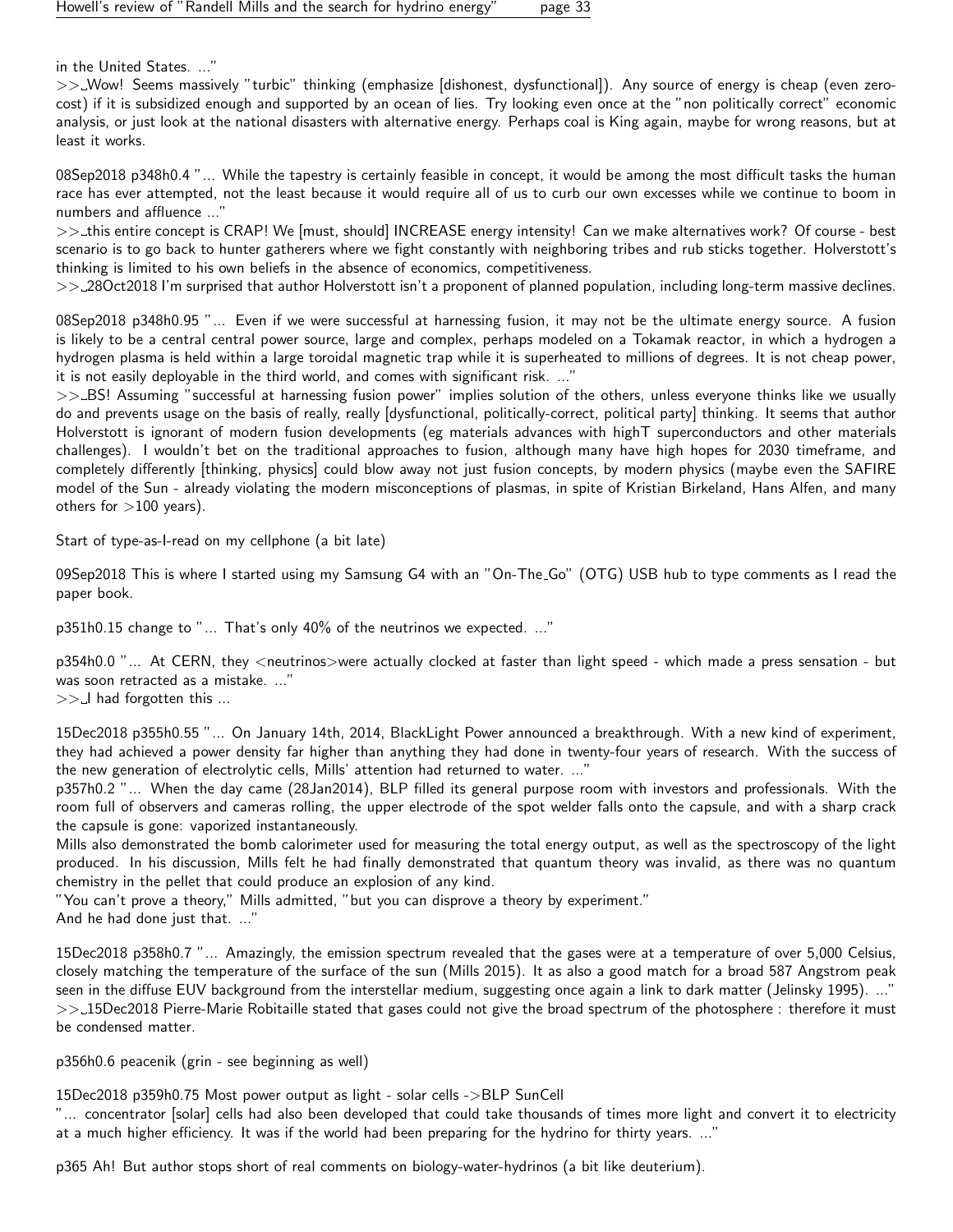in the United States. ..."

>> Wow! Seems massively "turbic" thinking (emphasize [dishonest, dysfunctional]). Any source of energy is cheap (even zerocost) if it is subsidized enough and supported by an ocean of lies. Try looking even once at the "non politically correct" economic analysis, or just look at the national disasters with alternative energy. Perhaps coal is King again, maybe for wrong reasons, but at least it works.

08Sep2018 p348h0.4 "... While the tapestry is certainly feasible in concept, it would be among the most difficult tasks the human race has ever attempted, not the least because it would require all of us to curb our own excesses while we continue to boom in numbers and affluence ..."

>>\_this entire concept is CRAP! We [must, should] INCREASE energy intensity! Can we make alternatives work? Of course - best scenario is to go back to hunter gatherers where we fight constantly with neighboring tribes and rub sticks together. Holverstott's thinking is limited to his own beliefs in the absence of economics, competitiveness.

>> 28Oct2018 I'm surprised that author Holverstott isn't a proponent of planned population, including long-term massive declines.

08Sep2018 p348h0.95 "... Even if we were successful at harnessing fusion, it may not be the ultimate energy source. A fusion is likely to be a central central power source, large and complex, perhaps modeled on a Tokamak reactor, in which a hydrogen a hydrogen plasma is held within a large toroidal magnetic trap while it is superheated to millions of degrees. It is not cheap power, it is not easily deployable in the third world, and comes with significant risk. ..."

>>\_BS! Assuming "successful at harnessing fusion power" implies solution of the others, unless everyone thinks like we usually do and prevents usage on the basis of really, really [dysfunctional, politically-correct, political party] thinking. It seems that author Holverstott is ignorant of modern fusion developments (eg materials advances with highT superconductors and other materials challenges). I wouldn't bet on the traditional approaches to fusion, although many have high hopes for 2030 timeframe, and completely differently [thinking, physics] could blow away not just fusion concepts, by modern physics (maybe even the SAFIRE model of the Sun - already violating the modern misconceptions of plasmas, in spite of Kristian Birkeland, Hans Alfen, and many others for  $>100$  years).

Start of type-as-I-read on my cellphone (a bit late)

09Sep2018 This is where I started using my Samsung G4 with an "On-The Go" (OTG) USB hub to type comments as I read the paper book.

p351h0.15 change to "... That's only 40% of the neutrinos we expected. ..."

p354h0.0 "... At CERN, they <neutrinos>were actually clocked at faster than light speed - which made a press sensation - but was soon retracted as a mistake. ..."

 $>> - I$  had forgotten this ...

15Dec2018 p355h0.55 "... On January 14th, 2014, BlackLight Power announced a breakthrough. With a new kind of experiment, they had achieved a power density far higher than anything they had done in twenty-four years of research. With the success of the new generation of electrolytic cells, Mills' attention had returned to water. ..."

p357h0.2 "... When the day came (28Jan2014), BLP filled its general purpose room with investors and professionals. With the room full of observers and cameras rolling, the upper electrode of the spot welder falls onto the capsule, and with a sharp crack the capsule is gone: vaporized instantaneously.

Mills also demonstrated the bomb calorimeter used for measuring the total energy output, as well as the spectroscopy of the light produced. In his discussion, Mills felt he had finally demonstrated that quantum theory was invalid, as there was no quantum chemistry in the pellet that could produce an explosion of any kind.

"You can't prove a theory," Mills admitted, "but you can disprove a theory by experiment."

And he had done just that. ..."

15Dec2018 p358h0.7 "... Amazingly, the emission spectrum revealed that the gases were at a temperature of over 5,000 Celsius, closely matching the temperature of the surface of the sun (Mills 2015). It as also a good match for a broad 587 Angstrom peak seen in the diffuse EUV background from the interstellar medium, suggesting once again a link to dark matter (Jelinsky 1995). ..." >> 15Dec2018 Pierre-Marie Robitaille stated that gases could not give the broad spectrum of the photosphere : therefore it must be condensed matter.

p356h0.6 peacenik (grin - see beginning as well)

15Dec2018 p359h0.75 Most power output as light - solar cells ->BLP SunCell

"... concentrator [solar] cells had also been developed that could take thousands of times more light and convert it to electricity at a much higher efficiency. It was if the world had been preparing for the hydrino for thirty years. ..."

p365 Ah! But author stops short of real comments on biology-water-hydrinos (a bit like deuterium).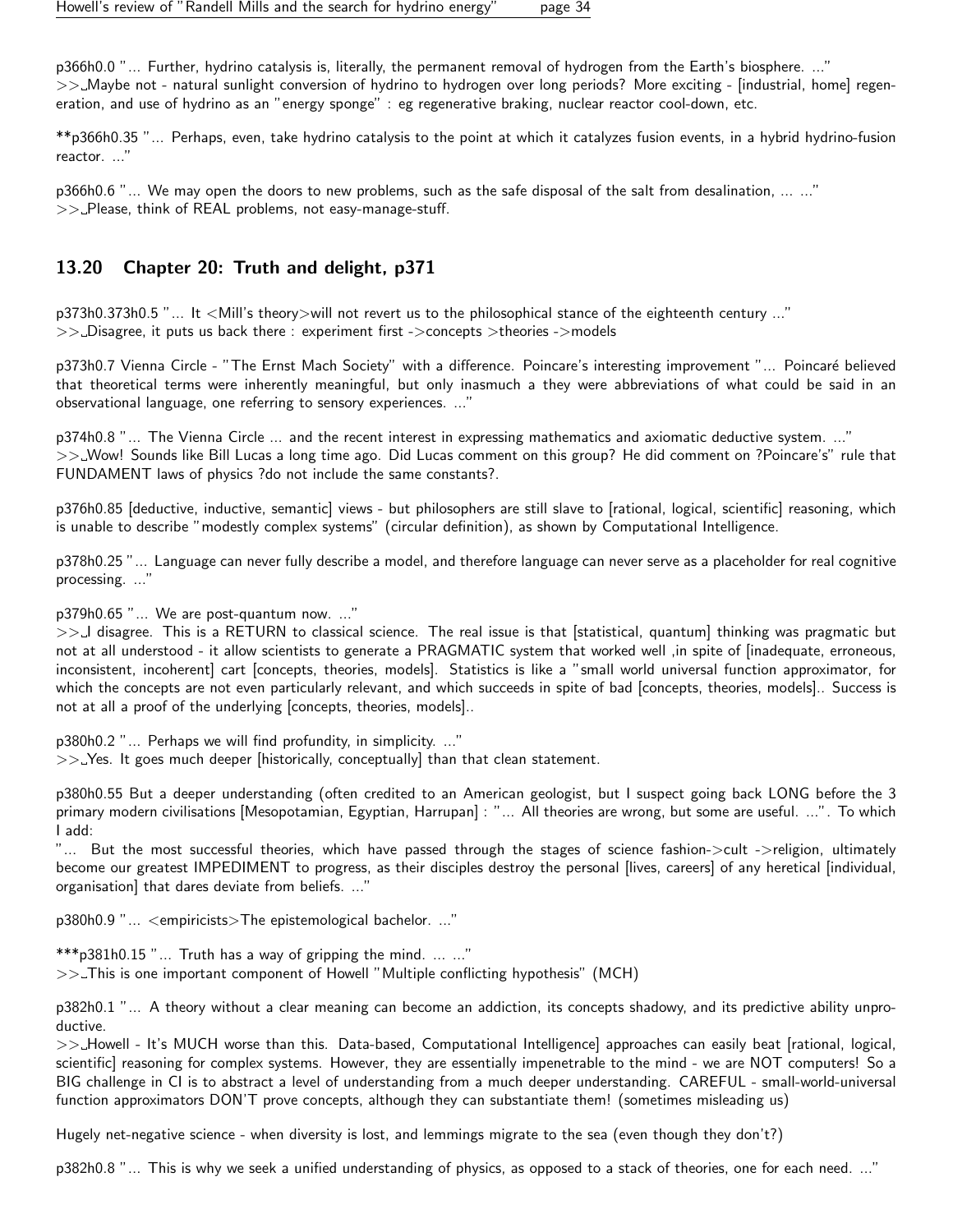p366h0.0 "... Further, hydrino catalysis is, literally, the permanent removal of hydrogen from the Earth's biosphere. ..." >> Maybe not - natural sunlight conversion of hydrino to hydrogen over long periods? More exciting - [industrial, home] regeneration, and use of hydrino as an "energy sponge" : eg regenerative braking, nuclear reactor cool-down, etc.

\*\*p366h0.35 "... Perhaps, even, take hydrino catalysis to the point at which it catalyzes fusion events, in a hybrid hydrino-fusion reactor. ..."

p366h0.6 "... We may open the doors to new problems, such as the safe disposal of the salt from desalination, ... ..."  $>>$  Please, think of REAL problems, not easy-manage-stuff.

## <span id="page-33-0"></span>13.20 Chapter 20: Truth and delight, p371

p373h0.373h0.5 "... It <Mill's theory>will not revert us to the philosophical stance of the eighteenth century ..." >> Disagree, it puts us back there : experiment first ->concepts >theories ->models

p373h0.7 Vienna Circle - "The Ernst Mach Society" with a difference. Poincare's interesting improvement "... Poincaré believed that theoretical terms were inherently meaningful, but only inasmuch a they were abbreviations of what could be said in an observational language, one referring to sensory experiences. ..."

p374h0.8 "... The Vienna Circle ... and the recent interest in expressing mathematics and axiomatic deductive system. ..." >> Wow! Sounds like Bill Lucas a long time ago. Did Lucas comment on this group? He did comment on ?Poincare's" rule that FUNDAMENT laws of physics ?do not include the same constants?.

p376h0.85 [deductive, inductive, semantic] views - but philosophers are still slave to [rational, logical, scientific] reasoning, which is unable to describe "modestly complex systems" (circular definition), as shown by Computational Intelligence.

p378h0.25 "... Language can never fully describe a model, and therefore language can never serve as a placeholder for real cognitive processing. ..."

p379h0.65 "... We are post-quantum now. ..."

>>-I disagree. This is a RETURN to classical science. The real issue is that [statistical, quantum] thinking was pragmatic but not at all understood - it allow scientists to generate a PRAGMATIC system that worked well ,in spite of [inadequate, erroneous, inconsistent, incoherent] cart [concepts, theories, models]. Statistics is like a "small world universal function approximator, for which the concepts are not even particularly relevant, and which succeeds in spite of bad [concepts, theories, models].. Success is not at all a proof of the underlying [concepts, theories, models]..

p380h0.2 "... Perhaps we will find profundity, in simplicity. ..."  $>>$  Yes. It goes much deeper [historically, conceptually] than that clean statement.

p380h0.55 But a deeper understanding (often credited to an American geologist, but I suspect going back LONG before the 3 primary modern civilisations [Mesopotamian, Egyptian, Harrupan] : "... All theories are wrong, but some are useful. ...". To which I add:

"... But the most successful theories, which have passed through the stages of science fashion->cult ->religion, ultimately become our greatest IMPEDIMENT to progress, as their disciples destroy the personal [lives, careers] of any heretical [individual, organisation] that dares deviate from beliefs. ..."

p380h0.9 "... <empiricists>The epistemological bachelor. ..."

\*\*\*p381h0.15 "... Truth has a way of gripping the mind. ... ..." >> This is one important component of Howell "Multiple conflicting hypothesis" (MCH)

p382h0.1 "... A theory without a clear meaning can become an addiction, its concepts shadowy, and its predictive ability unproductive.

>>\_Howell - It's MUCH worse than this. Data-based, Computational Intelligence] approaches can easily beat [rational, logical, scientific] reasoning for complex systems. However, they are essentially impenetrable to the mind - we are NOT computers! So a BIG challenge in CI is to abstract a level of understanding from a much deeper understanding. CAREFUL - small-world-universal function approximators DON'T prove concepts, although they can substantiate them! (sometimes misleading us)

Hugely net-negative science - when diversity is lost, and lemmings migrate to the sea (even though they don't?)

p382h0.8 "... This is why we seek a unified understanding of physics, as opposed to a stack of theories, one for each need. ..."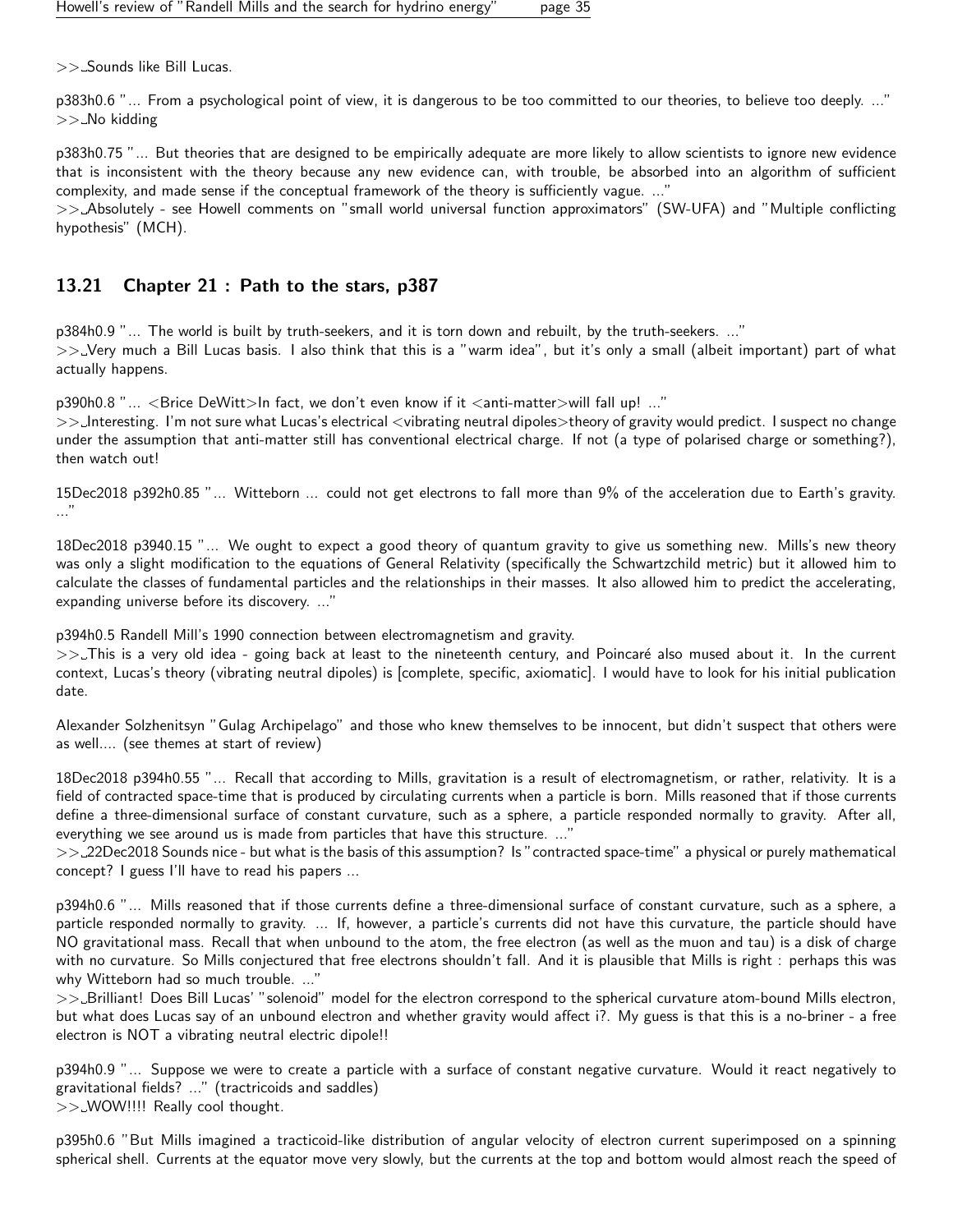>> Sounds like Bill Lucas.

p383h0.6 "... From a psychological point of view, it is dangerous to be too committed to our theories, to believe too deeply. ..."  $>>$  No kidding

p383h0.75 "... But theories that are designed to be empirically adequate are more likely to allow scientists to ignore new evidence that is inconsistent with the theory because any new evidence can, with trouble, be absorbed into an algorithm of sufficient complexity, and made sense if the conceptual framework of the theory is sufficiently vague. ..."

>> Absolutely - see Howell comments on "small world universal function approximators" (SW-UFA) and "Multiple conflicting hypothesis" (MCH).

#### <span id="page-34-0"></span>13.21 Chapter 21 : Path to the stars, p387

p384h0.9 "... The world is built by truth-seekers, and it is torn down and rebuilt, by the truth-seekers. ..."

>> Very much a Bill Lucas basis. I also think that this is a "warm idea", but it's only a small (albeit important) part of what actually happens.

p390h0.8 "... <Brice DeWitt>In fact, we don't even know if it <anti-matter>will fall up! ..."

>> Interesting. I'm not sure what Lucas's electrical <vibrating neutral dipoles>theory of gravity would predict. I suspect no change under the assumption that anti-matter still has conventional electrical charge. If not (a type of polarised charge or something?), then watch out!

15Dec2018 p392h0.85 "... Witteborn ... could not get electrons to fall more than 9% of the acceleration due to Earth's gravity. ..."

18Dec2018 p3940.15 "... We ought to expect a good theory of quantum gravity to give us something new. Mills's new theory was only a slight modification to the equations of General Relativity (specifically the Schwartzchild metric) but it allowed him to calculate the classes of fundamental particles and the relationships in their masses. It also allowed him to predict the accelerating, expanding universe before its discovery. ..."

p394h0.5 Randell Mill's 1990 connection between electromagnetism and gravity.

 $\gg$  This is a very old idea - going back at least to the nineteenth century, and Poincaré also mused about it. In the current context, Lucas's theory (vibrating neutral dipoles) is [complete, specific, axiomatic]. I would have to look for his initial publication date.

Alexander Solzhenitsyn "Gulag Archipelago" and those who knew themselves to be innocent, but didn't suspect that others were as well.... (see themes at start of review)

18Dec2018 p394h0.55 "... Recall that according to Mills, gravitation is a result of electromagnetism, or rather, relativity. It is a field of contracted space-time that is produced by circulating currents when a particle is born. Mills reasoned that if those currents define a three-dimensional surface of constant curvature, such as a sphere, a particle responded normally to gravity. After all, everything we see around us is made from particles that have this structure. ...'

>> 22Dec2018 Sounds nice - but what is the basis of this assumption? Is "contracted space-time" a physical or purely mathematical concept? I guess I'll have to read his papers ...

p394h0.6 "... Mills reasoned that if those currents define a three-dimensional surface of constant curvature, such as a sphere, a particle responded normally to gravity. ... If, however, a particle's currents did not have this curvature, the particle should have NO gravitational mass. Recall that when unbound to the atom, the free electron (as well as the muon and tau) is a disk of charge with no curvature. So Mills conjectured that free electrons shouldn't fall. And it is plausible that Mills is right : perhaps this was why Witteborn had so much trouble. ..."

>> Brilliant! Does Bill Lucas' "solenoid" model for the electron correspond to the spherical curvature atom-bound Mills electron, but what does Lucas say of an unbound electron and whether gravity would affect i?. My guess is that this is a no-briner - a free electron is NOT a vibrating neutral electric dipole!!

p394h0.9 "... Suppose we were to create a particle with a surface of constant negative curvature. Would it react negatively to gravitational fields? ..." (tractricoids and saddles) >> WOW!!!! Really cool thought.

p395h0.6 "But Mills imagined a tracticoid-like distribution of angular velocity of electron current superimposed on a spinning spherical shell. Currents at the equator move very slowly, but the currents at the top and bottom would almost reach the speed of